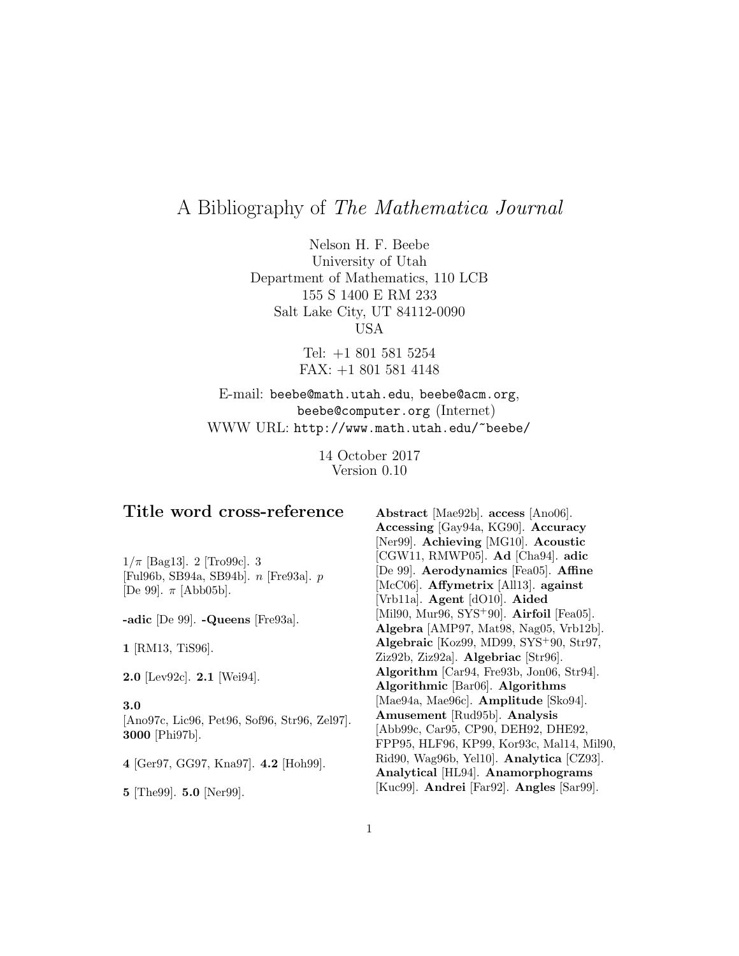# A Bibliography of The Mathematica Journal

Nelson H. F. Beebe University of Utah Department of Mathematics, 110 LCB 155 S 1400 E RM 233 Salt Lake City, UT 84112-0090 USA

> Tel: +1 801 581 5254 FAX: +1 801 581 4148

# E-mail: beebe@math.utah.edu, beebe@acm.org, beebe@computer.org (Internet) WWW URL: http://www.math.utah.edu/~beebe/

14 October 2017 Version 0.10

# **Title word cross-reference**

 $1/\pi$  [Bag13]. 2 [Tro99c]. 3 [Ful96b, SB94a, SB94b]. n [Fre93a]. p [De 99].  $\pi$  [Abb05b].

**-adic** [De 99]. **-Queens** [Fre93a].

**1** [RM13, TiS96].

**2.0** [Lev92c]. **2.1** [Wei94].

#### **3.0**

[Ano97c, Lic96, Pet96, Sof96, Str96, Zel97]. **3000** [Phi97b].

**4** [Ger97, GG97, Kna97]. **4.2** [Hoh99].

**5** [The99]. **5.0** [Ner99].

**Abstract** [Mae92b]. **access** [Ano06]. **Accessing** [Gay94a, KG90]. **Accuracy** [Ner99]. **Achieving** [MG10]. **Acoustic** [CGW11, RMWP05]. **Ad** [Cha94]. **adic** [De 99]. **Aerodynamics** [Fea05]. **Affine** [McC06]. **Affymetrix** [All13]. **against** [Vrb11a]. **Agent** [dO10]. **Aided** [Mil90, Mur96, SYS<sup>+</sup>90]. **Airfoil** [Fea05]. **Algebra** [AMP97, Mat98, Nag05, Vrb12b]. **Algebraic** [Koz99, MD99, SYS<sup>+</sup>90, Str97, Ziz92b, Ziz92a]. **Algebriac** [Str96]. **Algorithm** [Car94, Fre93b, Jon06, Str94]. **Algorithmic** [Bar06]. **Algorithms** [Mae94a, Mae96c]. **Amplitude** [Sko94]. **Amusement** [Rud95b]. **Analysis** [Abb99c, Car95, CP90, DEH92, DHE92, FPP95, HLF96, KP99, Kor93c, Mal14, Mil90, Rid90, Wag96b, Yel10]. **Analytica** [CZ93]. **Analytical** [HL94]. **Anamorphograms** [Kuc99]. **Andrei** [Far92]. **Angles** [Sar99].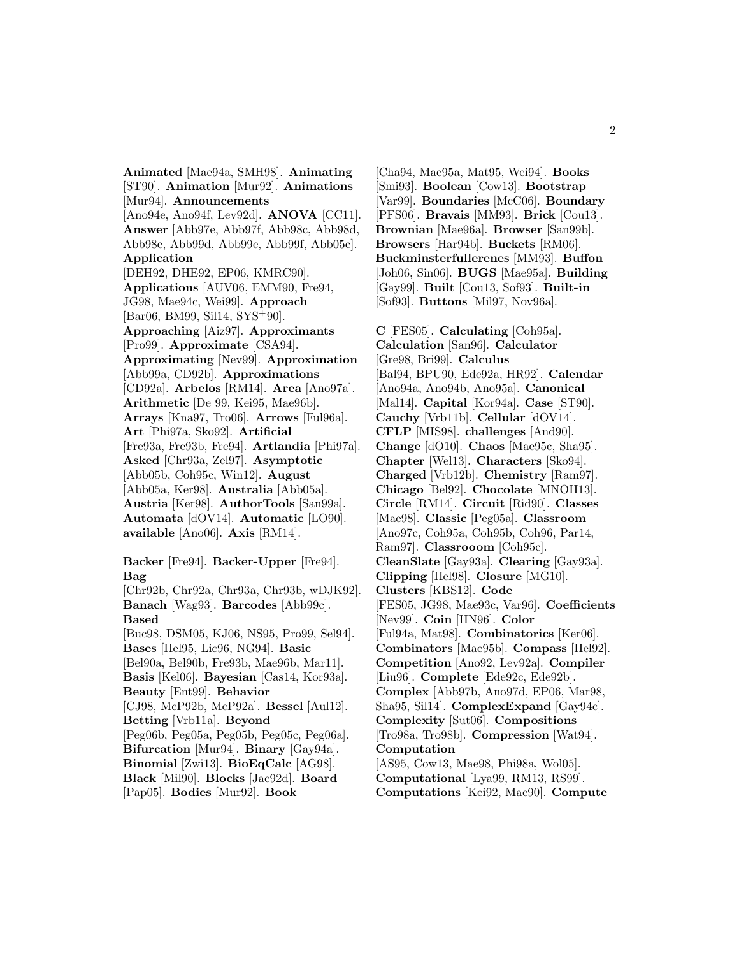**Animated** [Mae94a, SMH98]. **Animating** [ST90]. **Animation** [Mur92]. **Animations** [Mur94]. **Announcements** [Ano94e, Ano94f, Lev92d]. **ANOVA** [CC11]. **Answer** [Abb97e, Abb97f, Abb98c, Abb98d, Abb98e, Abb99d, Abb99e, Abb99f, Abb05c]. **Application** [DEH92, DHE92, EP06, KMRC90]. **Applications** [AUV06, EMM90, Fre94, JG98, Mae94c, Wei99]. **Approach** [Bar06, BM99, Sil14, SYS<sup>+</sup>90]. **Approaching** [Aiz97]. **Approximants** [Pro99]. **Approximate** [CSA94]. **Approximating** [Nev99]. **Approximation** [Abb99a, CD92b]. **Approximations** [CD92a]. **Arbelos** [RM14]. **Area** [Ano97a]. **Arithmetic** [De 99, Kei95, Mae96b]. **Arrays** [Kna97, Tro06]. **Arrows** [Ful96a]. **Art** [Phi97a, Sko92]. **Artificial** [Fre93a, Fre93b, Fre94]. **Artlandia** [Phi97a]. **Asked** [Chr93a, Zel97]. **Asymptotic** [Abb05b, Coh95c, Win12]. **August** [Abb05a, Ker98]. **Australia** [Abb05a]. **Austria** [Ker98]. **AuthorTools** [San99a]. **Automata** [dOV14]. **Automatic** [LO90]. **available** [Ano06]. **Axis** [RM14]. **Backer** [Fre94]. **Backer-Upper** [Fre94]. **Bag** [Chr92b, Chr92a, Chr93a, Chr93b, wDJK92]. **Banach** [Wag93]. **Barcodes** [Abb99c]. **Based** [Buc98, DSM05, KJ06, NS95, Pro99, Sel94]. **Bases** [Hel95, Lic96, NG94]. **Basic** [Bel90a, Bel90b, Fre93b, Mae96b, Mar11]. **Basis** [Kel06]. **Bayesian** [Cas14, Kor93a]. **Beauty** [Ent99]. **Behavior** [CJ98, McP92b, McP92a]. **Bessel** [Aul12]. **Betting** [Vrb11a]. **Beyond** [Peg06b, Peg05a, Peg05b, Peg05c, Peg06a]. **Bifurcation** [Mur94]. **Binary** [Gay94a]. **Binomial** [Zwi13]. **BioEqCalc** [AG98].

**Black** [Mil90]. **Blocks** [Jac92d]. **Board** [Pap05]. **Bodies** [Mur92]. **Book**

[Cha94, Mae95a, Mat95, Wei94]. **Books** [Smi93]. **Boolean** [Cow13]. **Bootstrap** [Var99]. **Boundaries** [McC06]. **Boundary** [PFS06]. **Bravais** [MM93]. **Brick** [Cou13]. **Brownian** [Mae96a]. **Browser** [San99b]. **Browsers** [Har94b]. **Buckets** [RM06]. **Buckminsterfullerenes** [MM93]. **Buffon** [Joh06, Sin06]. **BUGS** [Mae95a]. **Building** [Gay99]. **Built** [Cou13, Sof93]. **Built-in** [Sof93]. **Buttons** [Mil97, Nov96a].

**C** [FES05]. **Calculating** [Coh95a]. **Calculation** [San96]. **Calculator** [Gre98, Bri99]. **Calculus** [Bal94, BPU90, Ede92a, HR92]. **Calendar** [Ano94a, Ano94b, Ano95a]. **Canonical** [Mal14]. **Capital** [Kor94a]. **Case** [ST90]. **Cauchy** [Vrb11b]. **Cellular** [dOV14]. **CFLP** [MIS98]. **challenges** [And90]. **Change** [dO10]. **Chaos** [Mae95c, Sha95]. **Chapter** [Wel13]. **Characters** [Sko94]. **Charged** [Vrb12b]. **Chemistry** [Ram97]. **Chicago** [Bel92]. **Chocolate** [MNOH13]. **Circle** [RM14]. **Circuit** [Rid90]. **Classes** [Mae98]. **Classic** [Peg05a]. **Classroom** [Ano97c, Coh95a, Coh95b, Coh96, Par14, Ram97]. **Classrooom** [Coh95c]. **CleanSlate** [Gay93a]. **Clearing** [Gay93a]. **Clipping** [Hel98]. **Closure** [MG10]. **Clusters** [KBS12]. **Code** [FES05, JG98, Mae93c, Var96]. **Coefficients** [Nev99]. **Coin** [HN96]. **Color** [Ful94a, Mat98]. **Combinatorics** [Ker06]. **Combinators** [Mae95b]. **Compass** [Hel92]. **Competition** [Ano92, Lev92a]. **Compiler** [Liu96]. **Complete** [Ede92c, Ede92b]. **Complex** [Abb97b, Ano97d, EP06, Mar98, Sha95, Sil14]. **ComplexExpand** [Gay94c]. **Complexity** [Sut06]. **Compositions** [Tro98a, Tro98b]. **Compression** [Wat94]. **Computation** [AS95, Cow13, Mae98, Phi98a, Wol05]. **Computational** [Lya99, RM13, RS99]. **Computations** [Kei92, Mae90]. **Compute**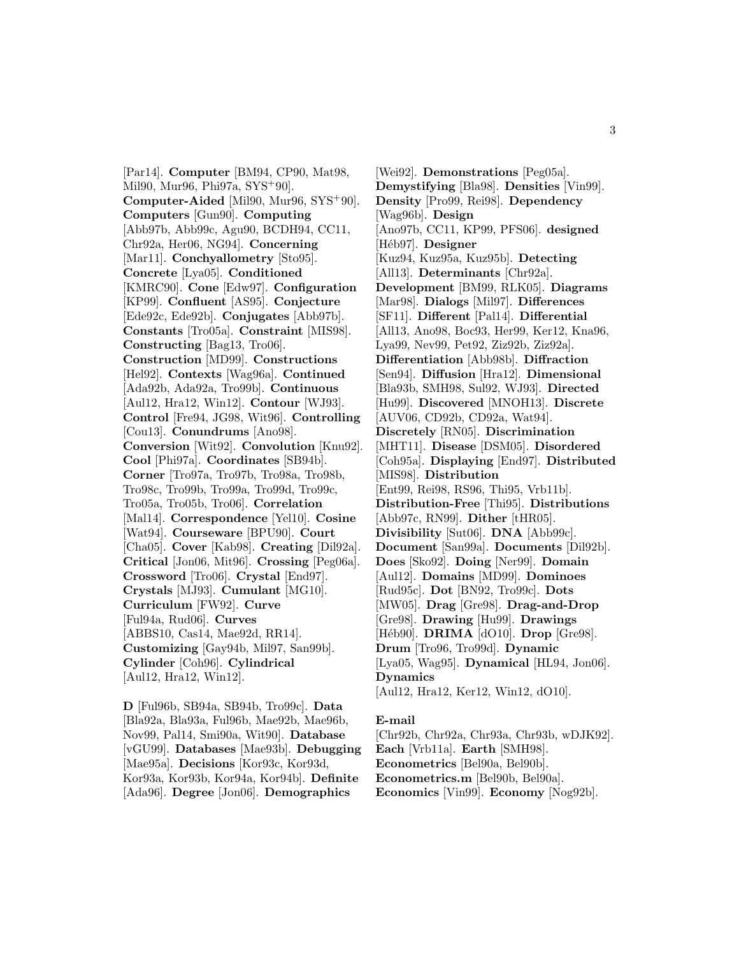[Par14]. **Computer** [BM94, CP90, Mat98, Mil90, Mur96, Phi97a, SYS<sup>+</sup>90]. **Computer-Aided** [Mil90, Mur96, SYS<sup>+</sup>90]. **Computers** [Gun90]. **Computing** [Abb97b, Abb99c, Agu90, BCDH94, CC11, Chr92a, Her06, NG94]. **Concerning** [Mar11]. **Conchyallometry** [Sto95]. **Concrete** [Lya05]. **Conditioned** [KMRC90]. **Cone** [Edw97]. **Configuration** [KP99]. **Confluent** [AS95]. **Conjecture** [Ede92c, Ede92b]. **Conjugates** [Abb97b]. **Constants** [Tro05a]. **Constraint** [MIS98]. **Constructing** [Bag13, Tro06]. **Construction** [MD99]. **Constructions** [Hel92]. **Contexts** [Wag96a]. **Continued** [Ada92b, Ada92a, Tro99b]. **Continuous** [Aul12, Hra12, Win12]. **Contour** [WJ93]. **Control** [Fre94, JG98, Wit96]. **Controlling** [Cou13]. **Conundrums** [Ano98]. **Conversion** [Wit92]. **Convolution** [Knu92]. **Cool** [Phi97a]. **Coordinates** [SB94b]. **Corner** [Tro97a, Tro97b, Tro98a, Tro98b, Tro98c, Tro99b, Tro99a, Tro99d, Tro99c, Tro05a, Tro05b, Tro06]. **Correlation** [Mal14]. **Correspondence** [Yel10]. **Cosine** [Wat94]. **Courseware** [BPU90]. **Court** [Cha05]. **Cover** [Kab98]. **Creating** [Dil92a]. **Critical** [Jon06, Mit96]. **Crossing** [Peg06a]. **Crossword** [Tro06]. **Crystal** [End97]. **Crystals** [MJ93]. **Cumulant** [MG10]. **Curriculum** [FW92]. **Curve** [Ful94a, Rud06]. **Curves** [ABBS10, Cas14, Mae92d, RR14]. **Customizing** [Gay94b, Mil97, San99b]. **Cylinder** [Coh96]. **Cylindrical** [Aul12, Hra12, Win12].

**D** [Ful96b, SB94a, SB94b, Tro99c]. **Data** [Bla92a, Bla93a, Ful96b, Mae92b, Mae96b, Nov99, Pal14, Smi90a, Wit90]. **Database** [vGU99]. **Databases** [Mae93b]. **Debugging** [Mae95a]. **Decisions** [Kor93c, Kor93d, Kor93a, Kor93b, Kor94a, Kor94b]. **Definite** [Ada96]. **Degree** [Jon06]. **Demographics**

[Wei92]. **Demonstrations** [Peg05a]. **Demystifying** [Bla98]. **Densities** [Vin99]. **Density** [Pro99, Rei98]. **Dependency** [Wag96b]. **Design** [Ano97b, CC11, KP99, PFS06]. **designed** [Héb97]. **Designer** [Kuz94, Kuz95a, Kuz95b]. **Detecting** [All13]. **Determinants** [Chr92a]. **Development** [BM99, RLK05]. **Diagrams** [Mar98]. **Dialogs** [Mil97]. **Differences** [SF11]. **Different** [Pal14]. **Differential** [All13, Ano98, Boc93, Her99, Ker12, Kna96, Lya99, Nev99, Pet92, Ziz92b, Ziz92a]. **Differentiation** [Abb98b]. **Diffraction** [Sen94]. **Diffusion** [Hra12]. **Dimensional** [Bla93b, SMH98, Sul92, WJ93]. **Directed** [Hu99]. **Discovered** [MNOH13]. **Discrete** [AUV06, CD92b, CD92a, Wat94]. **Discretely** [RN05]. **Discrimination** [MHT11]. **Disease** [DSM05]. **Disordered** [Coh95a]. **Displaying** [End97]. **Distributed** [MIS98]. **Distribution** [Ent99, Rei98, RS96, Thi95, Vrb11b]. **Distribution-Free** [Thi95]. **Distributions** [Abb97c, RN99]. **Dither** [tHR05]. **Divisibility** [Sut06]. **DNA** [Abb99c]. **Document** [San99a]. **Documents** [Dil92b]. **Does** [Sko92]. **Doing** [Ner99]. **Domain** [Aul12]. **Domains** [MD99]. **Dominoes** [Rud95c]. **Dot** [BN92, Tro99c]. **Dots** [MW05]. **Drag** [Gre98]. **Drag-and-Drop** [Gre98]. **Drawing** [Hu99]. **Drawings** [H´eb90]. **DRIMA** [dO10]. **Drop** [Gre98]. **Drum** [Tro96, Tro99d]. **Dynamic** [Lya05, Wag95]. **Dynamical** [HL94, Jon06]. **Dynamics** [Aul12, Hra12, Ker12, Win12, dO10].

#### **E-mail**

[Chr92b, Chr92a, Chr93a, Chr93b, wDJK92]. **Each** [Vrb11a]. **Earth** [SMH98]. **Econometrics** [Bel90a, Bel90b]. **Econometrics.m** [Bel90b, Bel90a]. **Economics** [Vin99]. **Economy** [Nog92b].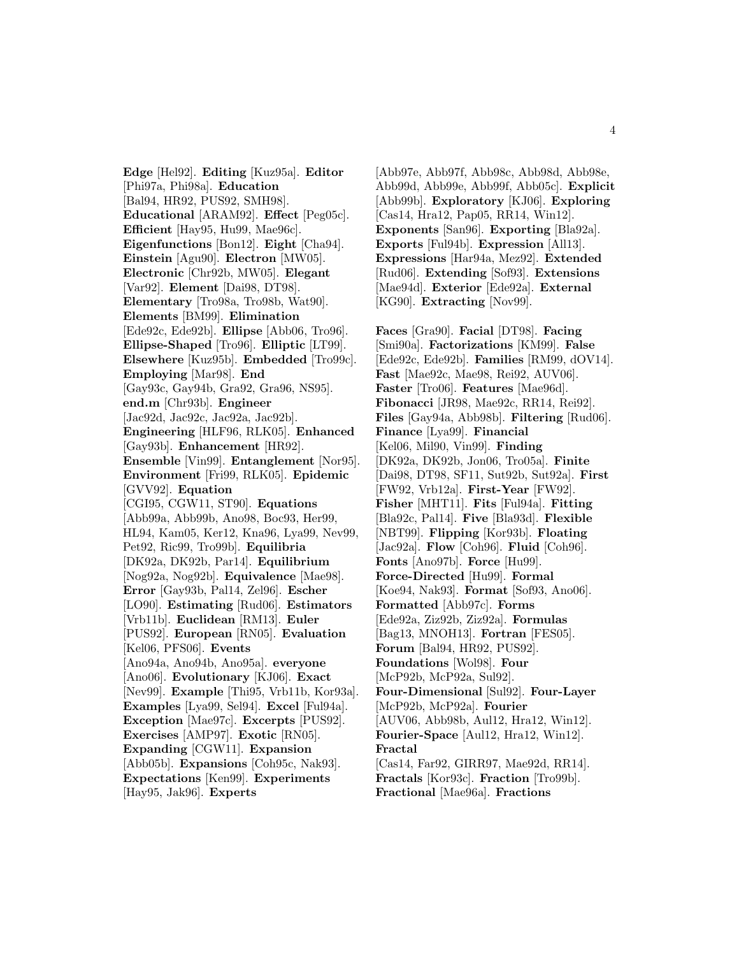**Edge** [Hel92]. **Editing** [Kuz95a]. **Editor** [Phi97a, Phi98a]. **Education** [Bal94, HR92, PUS92, SMH98]. **Educational** [ARAM92]. **Effect** [Peg05c]. **Efficient** [Hay95, Hu99, Mae96c]. **Eigenfunctions** [Bon12]. **Eight** [Cha94]. **Einstein** [Agu90]. **Electron** [MW05]. **Electronic** [Chr92b, MW05]. **Elegant** [Var92]. **Element** [Dai98, DT98]. **Elementary** [Tro98a, Tro98b, Wat90]. **Elements** [BM99]. **Elimination** [Ede92c, Ede92b]. **Ellipse** [Abb06, Tro96]. **Ellipse-Shaped** [Tro96]. **Elliptic** [LT99]. **Elsewhere** [Kuz95b]. **Embedded** [Tro99c]. **Employing** [Mar98]. **End** [Gay93c, Gay94b, Gra92, Gra96, NS95]. **end.m** [Chr93b]. **Engineer** [Jac92d, Jac92c, Jac92a, Jac92b]. **Engineering** [HLF96, RLK05]. **Enhanced** [Gay93b]. **Enhancement** [HR92]. **Ensemble** [Vin99]. **Entanglement** [Nor95]. **Environment** [Fri99, RLK05]. **Epidemic** [GVV92]. **Equation** [CGI95, CGW11, ST90]. **Equations** [Abb99a, Abb99b, Ano98, Boc93, Her99, HL94, Kam05, Ker12, Kna96, Lya99, Nev99, Pet92, Ric99, Tro99b]. **Equilibria** [DK92a, DK92b, Par14]. **Equilibrium** [Nog92a, Nog92b]. **Equivalence** [Mae98]. **Error** [Gay93b, Pal14, Zel96]. **Escher** [LO90]. **Estimating** [Rud06]. **Estimators** [Vrb11b]. **Euclidean** [RM13]. **Euler** [PUS92]. **European** [RN05]. **Evaluation** [Kel06, PFS06]. **Events** [Ano94a, Ano94b, Ano95a]. **everyone** [Ano06]. **Evolutionary** [KJ06]. **Exact** [Nev99]. **Example** [Thi95, Vrb11b, Kor93a]. **Examples** [Lya99, Sel94]. **Excel** [Ful94a]. **Exception** [Mae97c]. **Excerpts** [PUS92]. **Exercises** [AMP97]. **Exotic** [RN05]. **Expanding** [CGW11]. **Expansion** [Abb05b]. **Expansions** [Coh95c, Nak93]. **Expectations** [Ken99]. **Experiments** [Hay95, Jak96]. **Experts**

[Abb97e, Abb97f, Abb98c, Abb98d, Abb98e, Abb99d, Abb99e, Abb99f, Abb05c]. **Explicit** [Abb99b]. **Exploratory** [KJ06]. **Exploring** [Cas14, Hra12, Pap05, RR14, Win12]. **Exponents** [San96]. **Exporting** [Bla92a]. **Exports** [Ful94b]. **Expression** [All13]. **Expressions** [Har94a, Mez92]. **Extended** [Rud06]. **Extending** [Sof93]. **Extensions** [Mae94d]. **Exterior** [Ede92a]. **External** [KG90]. **Extracting** [Nov99].

**Faces** [Gra90]. **Facial** [DT98]. **Facing** [Smi90a]. **Factorizations** [KM99]. **False** [Ede92c, Ede92b]. **Families** [RM99, dOV14]. **Fast** [Mae92c, Mae98, Rei92, AUV06]. **Faster** [Tro06]. **Features** [Mae96d]. **Fibonacci** [JR98, Mae92c, RR14, Rei92]. **Files** [Gay94a, Abb98b]. **Filtering** [Rud06]. **Finance** [Lya99]. **Financial** [Kel06, Mil90, Vin99]. **Finding** [DK92a, DK92b, Jon06, Tro05a]. **Finite** [Dai98, DT98, SF11, Sut92b, Sut92a]. **First** [FW92, Vrb12a]. **First-Year** [FW92]. **Fisher** [MHT11]. **Fits** [Ful94a]. **Fitting** [Bla92c, Pal14]. **Five** [Bla93d]. **Flexible** [NBT99]. **Flipping** [Kor93b]. **Floating** [Jac92a]. **Flow** [Coh96]. **Fluid** [Coh96]. **Fonts** [Ano97b]. **Force** [Hu99]. **Force-Directed** [Hu99]. **Formal** [Koe94, Nak93]. **Format** [Sof93, Ano06]. **Formatted** [Abb97c]. **Forms** [Ede92a, Ziz92b, Ziz92a]. **Formulas** [Bag13, MNOH13]. **Fortran** [FES05]. **Forum** [Bal94, HR92, PUS92]. **Foundations** [Wol98]. **Four** [McP92b, McP92a, Sul92]. **Four-Dimensional** [Sul92]. **Four-Layer** [McP92b, McP92a]. **Fourier** [AUV06, Abb98b, Aul12, Hra12, Win12]. **Fourier-Space** [Aul12, Hra12, Win12]. **Fractal** [Cas14, Far92, GIRR97, Mae92d, RR14]. **Fractals** [Kor93c]. **Fraction** [Tro99b]. **Fractional** [Mae96a]. **Fractions**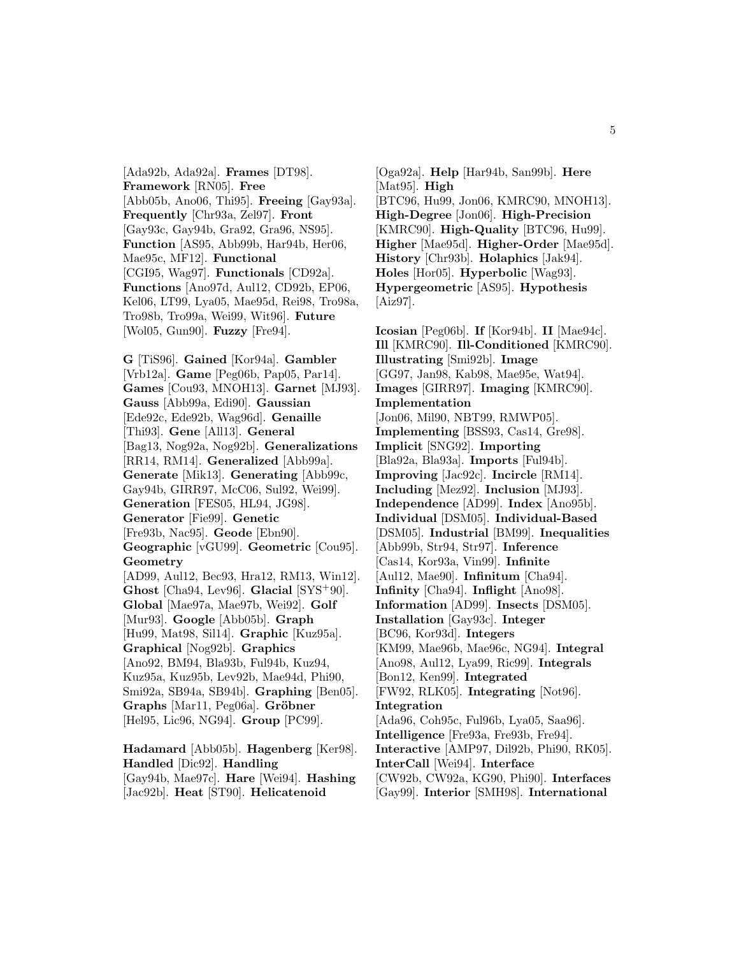[Ada92b, Ada92a]. **Frames** [DT98]. **Framework** [RN05]. **Free** [Abb05b, Ano06, Thi95]. **Freeing** [Gay93a]. **Frequently** [Chr93a, Zel97]. **Front** [Gay93c, Gay94b, Gra92, Gra96, NS95]. **Function** [AS95, Abb99b, Har94b, Her06, Mae95c, MF12]. **Functional** [CGI95, Wag97]. **Functionals** [CD92a]. **Functions** [Ano97d, Aul12, CD92b, EP06, Kel06, LT99, Lya05, Mae95d, Rei98, Tro98a, Tro98b, Tro99a, Wei99, Wit96]. **Future** [Wol05, Gun90]. **Fuzzy** [Fre94].

**G** [TiS96]. **Gained** [Kor94a]. **Gambler** [Vrb12a]. **Game** [Peg06b, Pap05, Par14]. **Games** [Cou93, MNOH13]. **Garnet** [MJ93]. **Gauss** [Abb99a, Edi90]. **Gaussian** [Ede92c, Ede92b, Wag96d]. **Genaille** [Thi93]. **Gene** [All13]. **General** [Bag13, Nog92a, Nog92b]. **Generalizations** [RR14, RM14]. **Generalized** [Abb99a]. **Generate** [Mik13]. **Generating** [Abb99c, Gay94b, GIRR97, McC06, Sul92, Wei99]. **Generation** [FES05, HL94, JG98]. **Generator** [Fie99]. **Genetic** [Fre93b, Nac95]. **Geode** [Ebn90]. **Geographic** [vGU99]. **Geometric** [Cou95]. **Geometry** [AD99, Aul12, Bec93, Hra12, RM13, Win12]. **Ghost** [Cha94, Lev96]. **Glacial** [SYS<sup>+</sup>90]. **Global** [Mae97a, Mae97b, Wei92]. **Golf** [Mur93]. **Google** [Abb05b]. **Graph** [Hu99, Mat98, Sil14]. **Graphic** [Kuz95a]. **Graphical** [Nog92b]. **Graphics** [Ano92, BM94, Bla93b, Ful94b, Kuz94, Kuz95a, Kuz95b, Lev92b, Mae94d, Phi90, Smi92a, SB94a, SB94b]. **Graphing** [Ben05]. **Graphs** [Mar11, Peg06a]. **Gröbner** [Hel95, Lic96, NG94]. **Group** [PC99].

**Hadamard** [Abb05b]. **Hagenberg** [Ker98]. **Handled** [Dic92]. **Handling** [Gay94b, Mae97c]. **Hare** [Wei94]. **Hashing** [Jac92b]. **Heat** [ST90]. **Helicatenoid**

[Oga92a]. **Help** [Har94b, San99b]. **Here** [Mat95]. **High** [BTC96, Hu99, Jon06, KMRC90, MNOH13]. **High-Degree** [Jon06]. **High-Precision** [KMRC90]. **High-Quality** [BTC96, Hu99]. **Higher** [Mae95d]. **Higher-Order** [Mae95d]. **History** [Chr93b]. **Holaphics** [Jak94]. **Holes** [Hor05]. **Hyperbolic** [Wag93]. **Hypergeometric** [AS95]. **Hypothesis** [Aiz97].

**Icosian** [Peg06b]. **If** [Kor94b]. **II** [Mae94c]. **Ill** [KMRC90]. **Ill-Conditioned** [KMRC90]. **Illustrating** [Smi92b]. **Image** [GG97, Jan98, Kab98, Mae95e, Wat94]. **Images** [GIRR97]. **Imaging** [KMRC90]. **Implementation** [Jon06, Mil90, NBT99, RMWP05]. **Implementing** [BSS93, Cas14, Gre98]. **Implicit** [SNG92]. **Importing** [Bla92a, Bla93a]. **Imports** [Ful94b]. **Improving** [Jac92c]. **Incircle** [RM14]. **Including** [Mez92]. **Inclusion** [MJ93]. **Independence** [AD99]. **Index** [Ano95b]. **Individual** [DSM05]. **Individual-Based** [DSM05]. **Industrial** [BM99]. **Inequalities** [Abb99b, Str94, Str97]. **Inference** [Cas14, Kor93a, Vin99]. **Infinite** [Aul12, Mae90]. **Infinitum** [Cha94]. **Infinity** [Cha94]. **Inflight** [Ano98]. **Information** [AD99]. **Insects** [DSM05]. **Installation** [Gay93c]. **Integer** [BC96, Kor93d]. **Integers** [KM99, Mae96b, Mae96c, NG94]. **Integral** [Ano98, Aul12, Lya99, Ric99]. **Integrals** [Bon12, Ken99]. **Integrated** [FW92, RLK05]. **Integrating** [Not96]. **Integration** [Ada96, Coh95c, Ful96b, Lya05, Saa96]. **Intelligence** [Fre93a, Fre93b, Fre94]. **Interactive** [AMP97, Dil92b, Phi90, RK05]. **InterCall** [Wei94]. **Interface** [CW92b, CW92a, KG90, Phi90]. **Interfaces** [Gay99]. **Interior** [SMH98]. **International**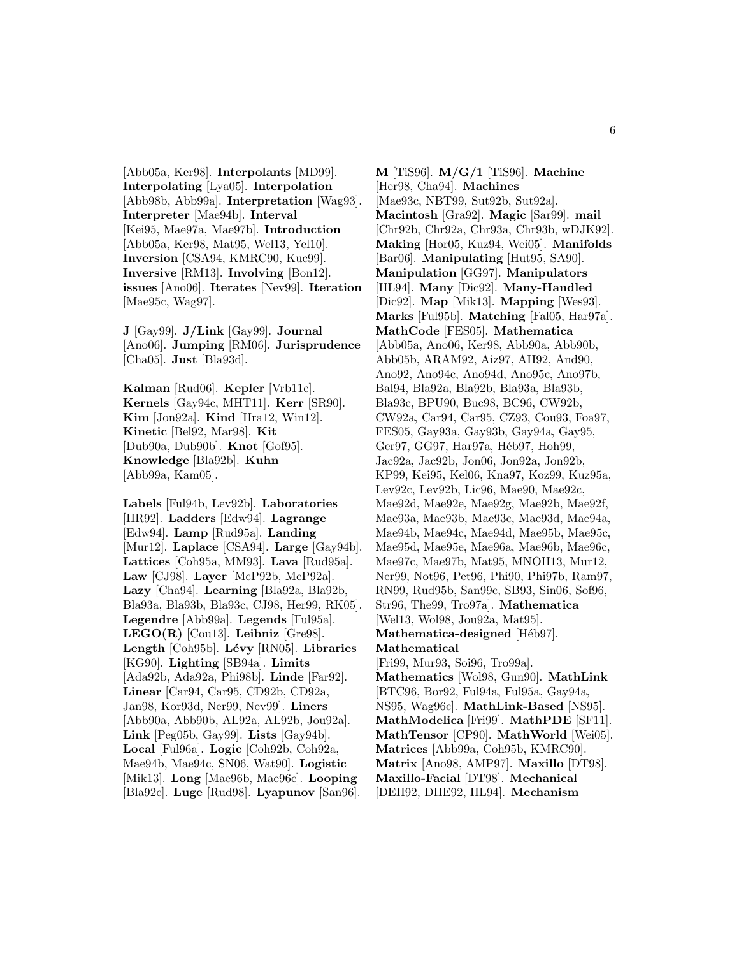[Abb05a, Ker98]. **Interpolants** [MD99]. **Interpolating** [Lya05]. **Interpolation** [Abb98b, Abb99a]. **Interpretation** [Wag93]. **Interpreter** [Mae94b]. **Interval** [Kei95, Mae97a, Mae97b]. **Introduction** [Abb05a, Ker98, Mat95, Wel13, Yel10]. **Inversion** [CSA94, KMRC90, Kuc99]. **Inversive** [RM13]. **Involving** [Bon12]. **issues** [Ano06]. **Iterates** [Nev99]. **Iteration** [Mae95c, Wag97].

**J** [Gay99]. **J/Link** [Gay99]. **Journal** [Ano06]. **Jumping** [RM06]. **Jurisprudence** [Cha05]. **Just** [Bla93d].

**Kalman** [Rud06]. **Kepler** [Vrb11c]. **Kernels** [Gay94c, MHT11]. **Kerr** [SR90]. **Kim** [Jon92a]. **Kind** [Hra12, Win12]. **Kinetic** [Bel92, Mar98]. **Kit** [Dub90a, Dub90b]. **Knot** [Gof95]. **Knowledge** [Bla92b]. **Kuhn** [Abb99a, Kam05].

**Labels** [Ful94b, Lev92b]. **Laboratories** [HR92]. **Ladders** [Edw94]. **Lagrange** [Edw94]. **Lamp** [Rud95a]. **Landing** [Mur12]. **Laplace** [CSA94]. **Large** [Gay94b]. **Lattices** [Coh95a, MM93]. **Lava** [Rud95a]. **Law** [CJ98]. **Layer** [McP92b, McP92a]. **Lazy** [Cha94]. **Learning** [Bla92a, Bla92b, Bla93a, Bla93b, Bla93c, CJ98, Her99, RK05]. **Legendre** [Abb99a]. **Legends** [Ful95a]. **LEGO(R)** [Cou13]. **Leibniz** [Gre98]. **Length** [Coh95b]. **L´evy** [RN05]. **Libraries** [KG90]. **Lighting** [SB94a]. **Limits** [Ada92b, Ada92a, Phi98b]. **Linde** [Far92]. **Linear** [Car94, Car95, CD92b, CD92a, Jan98, Kor93d, Ner99, Nev99]. **Liners** [Abb90a, Abb90b, AL92a, AL92b, Jou92a]. **Link** [Peg05b, Gay99]. **Lists** [Gay94b]. **Local** [Ful96a]. **Logic** [Coh92b, Coh92a, Mae94b, Mae94c, SN06, Wat90]. **Logistic** [Mik13]. **Long** [Mae96b, Mae96c]. **Looping** [Bla92c]. **Luge** [Rud98]. **Lyapunov** [San96].

**M** [TiS96]. **M/G/1** [TiS96]. **Machine** [Her98, Cha94]. **Machines** [Mae93c, NBT99, Sut92b, Sut92a]. **Macintosh** [Gra92]. **Magic** [Sar99]. **mail** [Chr92b, Chr92a, Chr93a, Chr93b, wDJK92]. **Making** [Hor05, Kuz94, Wei05]. **Manifolds** [Bar06]. **Manipulating** [Hut95, SA90]. **Manipulation** [GG97]. **Manipulators** [HL94]. **Many** [Dic92]. **Many-Handled** [Dic92]. **Map** [Mik13]. **Mapping** [Wes93]. **Marks** [Ful95b]. **Matching** [Fal05, Har97a]. **MathCode** [FES05]. **Mathematica** [Abb05a, Ano06, Ker98, Abb90a, Abb90b, Abb05b, ARAM92, Aiz97, AH92, And90, Ano92, Ano94c, Ano94d, Ano95c, Ano97b, Bal94, Bla92a, Bla92b, Bla93a, Bla93b, Bla93c, BPU90, Buc98, BC96, CW92b, CW92a, Car94, Car95, CZ93, Cou93, Foa97, FES05, Gay93a, Gay93b, Gay94a, Gay95, Ger97, GG97, Har97a, Héb97, Hoh99, Jac92a, Jac92b, Jon06, Jon92a, Jon92b, KP99, Kei95, Kel06, Kna97, Koz99, Kuz95a, Lev92c, Lev92b, Lic96, Mae90, Mae92c, Mae92d, Mae92e, Mae92g, Mae92b, Mae92f, Mae93a, Mae93b, Mae93c, Mae93d, Mae94a, Mae94b, Mae94c, Mae94d, Mae95b, Mae95c, Mae95d, Mae95e, Mae96a, Mae96b, Mae96c, Mae97c, Mae97b, Mat95, MNOH13, Mur12, Ner99, Not96, Pet96, Phi90, Phi97b, Ram97, RN99, Rud95b, San99c, SB93, Sin06, Sof96, Str96, The99, Tro97a]. **Mathematica** [Wel13, Wol98, Jou92a, Mat95]. **Mathematica-designed** [Héb97]. **Mathematical** [Fri99, Mur93, Soi96, Tro99a]. **Mathematics** [Wol98, Gun90]. **MathLink** [BTC96, Bor92, Ful94a, Ful95a, Gay94a, NS95, Wag96c]. **MathLink-Based** [NS95]. **MathModelica** [Fri99]. **MathPDE** [SF11]. **MathTensor** [CP90]. **MathWorld** [Wei05]. **Matrices** [Abb99a, Coh95b, KMRC90]. **Matrix** [Ano98, AMP97]. **Maxillo** [DT98]. **Maxillo-Facial** [DT98]. **Mechanical** [DEH92, DHE92, HL94]. **Mechanism**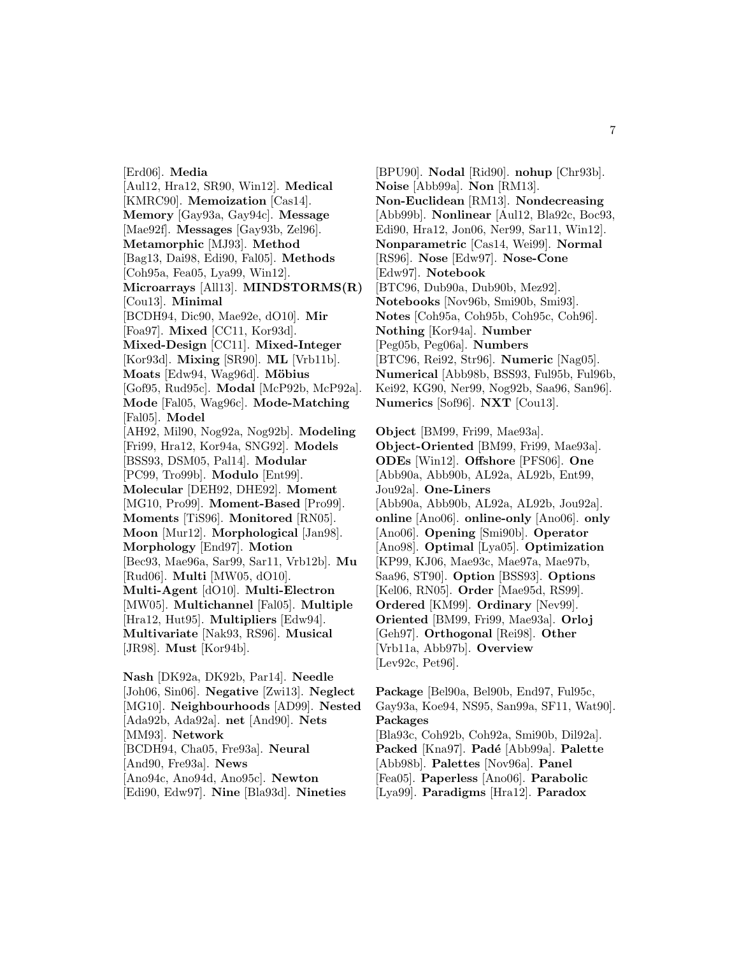[Erd06]. **Media** [Aul12, Hra12, SR90, Win12]. **Medical** [KMRC90]. **Memoization** [Cas14]. **Memory** [Gay93a, Gay94c]. **Message** [Mae92f]. **Messages** [Gay93b, Zel96]. **Metamorphic** [MJ93]. **Method** [Bag13, Dai98, Edi90, Fal05]. **Methods** [Coh95a, Fea05, Lya99, Win12]. **Microarrays** [All13]. **MINDSTORMS(R)** [Cou13]. **Minimal** [BCDH94, Dic90, Mae92e, dO10]. **Mir** [Foa97]. **Mixed** [CC11, Kor93d]. **Mixed-Design** [CC11]. **Mixed-Integer** [Kor93d]. **Mixing** [SR90]. **ML** [Vrb11b]. **Moats** [Edw94, Wag96d]. **M¨obius** [Gof95, Rud95c]. **Modal** [McP92b, McP92a]. **Mode** [Fal05, Wag96c]. **Mode-Matching** [Fal05]. **Model** [AH92, Mil90, Nog92a, Nog92b]. **Modeling** [Fri99, Hra12, Kor94a, SNG92]. **Models** [BSS93, DSM05, Pal14]. **Modular** [PC99, Tro99b]. **Modulo** [Ent99]. **Molecular** [DEH92, DHE92]. **Moment** [MG10, Pro99]. **Moment-Based** [Pro99]. **Moments** [TiS96]. **Monitored** [RN05]. **Moon** [Mur12]. **Morphological** [Jan98]. **Morphology** [End97]. **Motion** [Bec93, Mae96a, Sar99, Sar11, Vrb12b]. **Mu** [Rud06]. **Multi** [MW05, dO10]. **Multi-Agent** [dO10]. **Multi-Electron** [MW05]. **Multichannel** [Fal05]. **Multiple** [Hra12, Hut95]. **Multipliers** [Edw94]. **Multivariate** [Nak93, RS96]. **Musical** [JR98]. **Must** [Kor94b].

**Nash** [DK92a, DK92b, Par14]. **Needle** [Joh06, Sin06]. **Negative** [Zwi13]. **Neglect** [MG10]. **Neighbourhoods** [AD99]. **Nested** [Ada92b, Ada92a]. **net** [And90]. **Nets** [MM93]. **Network** [BCDH94, Cha05, Fre93a]. **Neural** [And90, Fre93a]. **News** [Ano94c, Ano94d, Ano95c]. **Newton** [Edi90, Edw97]. **Nine** [Bla93d]. **Nineties**

[BPU90]. **Nodal** [Rid90]. **nohup** [Chr93b]. **Noise** [Abb99a]. **Non** [RM13]. **Non-Euclidean** [RM13]. **Nondecreasing** [Abb99b]. **Nonlinear** [Aul12, Bla92c, Boc93, Edi90, Hra12, Jon06, Ner99, Sar11, Win12]. **Nonparametric** [Cas14, Wei99]. **Normal** [RS96]. **Nose** [Edw97]. **Nose-Cone** [Edw97]. **Notebook** [BTC96, Dub90a, Dub90b, Mez92]. **Notebooks** [Nov96b, Smi90b, Smi93]. **Notes** [Coh95a, Coh95b, Coh95c, Coh96]. **Nothing** [Kor94a]. **Number** [Peg05b, Peg06a]. **Numbers** [BTC96, Rei92, Str96]. **Numeric** [Nag05]. **Numerical** [Abb98b, BSS93, Ful95b, Ful96b, Kei92, KG90, Ner99, Nog92b, Saa96, San96]. **Numerics** [Sof96]. **NXT** [Cou13].

**Object** [BM99, Fri99, Mae93a]. **Object-Oriented** [BM99, Fri99, Mae93a]. **ODEs** [Win12]. **Offshore** [PFS06]. **One** [Abb90a, Abb90b, AL92a, AL92b, Ent99, Jou92a]. **One-Liners** [Abb90a, Abb90b, AL92a, AL92b, Jou92a]. **online** [Ano06]. **online-only** [Ano06]. **only** [Ano06]. **Opening** [Smi90b]. **Operator** [Ano98]. **Optimal** [Lya05]. **Optimization** [KP99, KJ06, Mae93c, Mae97a, Mae97b, Saa96, ST90]. **Option** [BSS93]. **Options** [Kel06, RN05]. **Order** [Mae95d, RS99]. **Ordered** [KM99]. **Ordinary** [Nev99]. **Oriented** [BM99, Fri99, Mae93a]. **Orloj** [Geh97]. **Orthogonal** [Rei98]. **Other** [Vrb11a, Abb97b]. **Overview** [Lev92c, Pet96].

**Package** [Bel90a, Bel90b, End97, Ful95c, Gay93a, Koe94, NS95, San99a, SF11, Wat90]. **Packages** [Bla93c, Coh92b, Coh92a, Smi90b, Dil92a]. Packed<sup>[Kna97]</sup>. Padé<sup>[Abb99a]</sup>. Palette [Abb98b]. **Palettes** [Nov96a]. **Panel** [Fea05]. **Paperless** [Ano06]. **Parabolic** [Lya99]. **Paradigms** [Hra12]. **Paradox**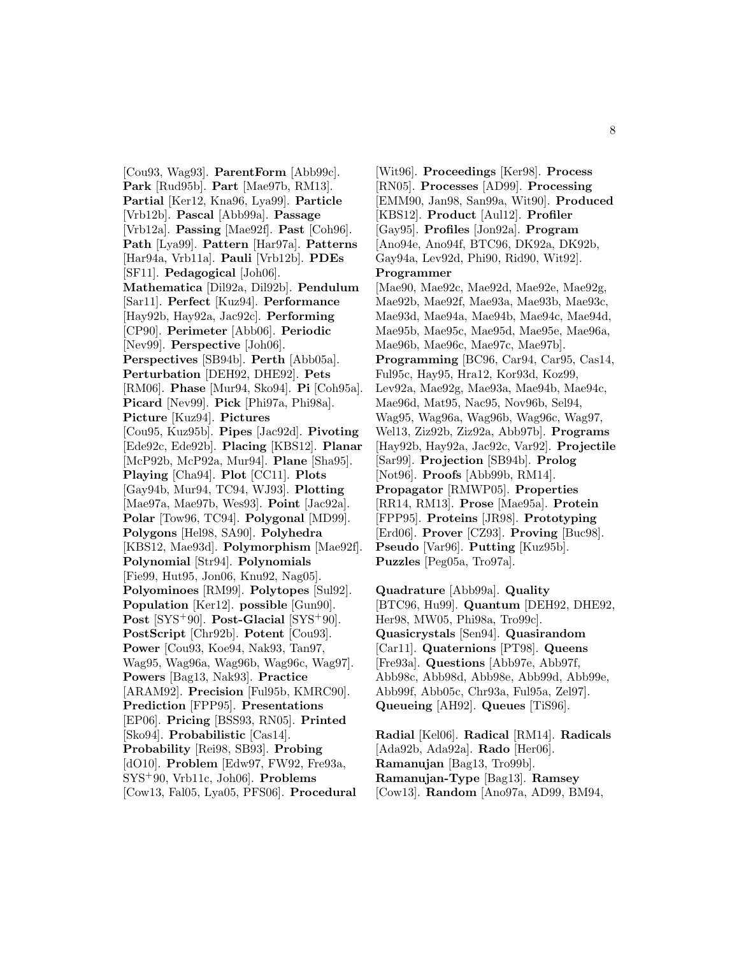[Cou93, Wag93]. **ParentForm** [Abb99c]. **Park** [Rud95b]. **Part** [Mae97b, RM13]. **Partial** [Ker12, Kna96, Lya99]. **Particle** [Vrb12b]. **Pascal** [Abb99a]. **Passage** [Vrb12a]. **Passing** [Mae92f]. **Past** [Coh96]. **Path** [Lya99]. **Pattern** [Har97a]. **Patterns** [Har94a, Vrb11a]. **Pauli** [Vrb12b]. **PDEs** [SF11]. **Pedagogical** [Joh06]. **Mathematica** [Dil92a, Dil92b]. **Pendulum** [Sar11]. **Perfect** [Kuz94]. **Performance** [Hay92b, Hay92a, Jac92c]. **Performing** [CP90]. **Perimeter** [Abb06]. **Periodic** [Nev99]. **Perspective** [Joh06]. **Perspectives** [SB94b]. **Perth** [Abb05a]. **Perturbation** [DEH92, DHE92]. **Pets** [RM06]. **Phase** [Mur94, Sko94]. **Pi** [Coh95a]. **Picard** [Nev99]. **Pick** [Phi97a, Phi98a]. **Picture** [Kuz94]. **Pictures** [Cou95, Kuz95b]. **Pipes** [Jac92d]. **Pivoting** [Ede92c, Ede92b]. **Placing** [KBS12]. **Planar** [McP92b, McP92a, Mur94]. **Plane** [Sha95]. **Playing** [Cha94]. **Plot** [CC11]. **Plots** [Gay94b, Mur94, TC94, WJ93]. **Plotting** [Mae97a, Mae97b, Wes93]. **Point** [Jac92a]. **Polar** [Tow96, TC94]. **Polygonal** [MD99]. **Polygons** [Hel98, SA90]. **Polyhedra** [KBS12, Mae93d]. **Polymorphism** [Mae92f]. **Polynomial** [Str94]. **Polynomials** [Fie99, Hut95, Jon06, Knu92, Nag05]. **Polyominoes** [RM99]. **Polytopes** [Sul92]. **Population** [Ker12]. **possible** [Gun90]. **Post** [SYS<sup>+</sup>90]. **Post-Glacial** [SYS<sup>+</sup>90]. **PostScript** [Chr92b]. **Potent** [Cou93]. **Power** [Cou93, Koe94, Nak93, Tan97, Wag95, Wag96a, Wag96b, Wag96c, Wag97]. **Powers** [Bag13, Nak93]. **Practice** [ARAM92]. **Precision** [Ful95b, KMRC90]. **Prediction** [FPP95]. **Presentations** [EP06]. **Pricing** [BSS93, RN05]. **Printed** [Sko94]. **Probabilistic** [Cas14]. **Probability** [Rei98, SB93]. **Probing** [dO10]. **Problem** [Edw97, FW92, Fre93a, SYS<sup>+</sup>90, Vrb11c, Joh06]. **Problems** [Cow13, Fal05, Lya05, PFS06]. **Procedural**

[Wit96]. **Proceedings** [Ker98]. **Process** [RN05]. **Processes** [AD99]. **Processing** [EMM90, Jan98, San99a, Wit90]. **Produced** [KBS12]. **Product** [Aul12]. **Profiler** [Gay95]. **Profiles** [Jon92a]. **Program** [Ano94e, Ano94f, BTC96, DK92a, DK92b, Gay94a, Lev92d, Phi90, Rid90, Wit92]. **Programmer** [Mae90, Mae92c, Mae92d, Mae92e, Mae92g, Mae92b, Mae92f, Mae93a, Mae93b, Mae93c, Mae93d, Mae94a, Mae94b, Mae94c, Mae94d, Mae95b, Mae95c, Mae95d, Mae95e, Mae96a, Mae96b, Mae96c, Mae97c, Mae97b]. **Programming** [BC96, Car94, Car95, Cas14, Ful95c, Hay95, Hra12, Kor93d, Koz99, Lev92a, Mae92g, Mae93a, Mae94b, Mae94c, Mae96d, Mat95, Nac95, Nov96b, Sel94, Wag95, Wag96a, Wag96b, Wag96c, Wag97, Wel13, Ziz92b, Ziz92a, Abb97b]. **Programs** [Hay92b, Hay92a, Jac92c, Var92]. **Projectile** [Sar99]. **Projection** [SB94b]. **Prolog** [Not96]. **Proofs** [Abb99b, RM14]. **Propagator** [RMWP05]. **Properties** [RR14, RM13]. **Prose** [Mae95a]. **Protein** [FPP95]. **Proteins** [JR98]. **Prototyping** [Erd06]. **Prover** [CZ93]. **Proving** [Buc98]. **Pseudo** [Var96]. **Putting** [Kuz95b]. **Puzzles** [Peg05a, Tro97a].

**Quadrature** [Abb99a]. **Quality** [BTC96, Hu99]. **Quantum** [DEH92, DHE92, Her98, MW05, Phi98a, Tro99c]. **Quasicrystals** [Sen94]. **Quasirandom** [Car11]. **Quaternions** [PT98]. **Queens** [Fre93a]. **Questions** [Abb97e, Abb97f, Abb98c, Abb98d, Abb98e, Abb99d, Abb99e, Abb99f, Abb05c, Chr93a, Ful95a, Zel97]. **Queueing** [AH92]. **Queues** [TiS96].

**Radial** [Kel06]. **Radical** [RM14]. **Radicals** [Ada92b, Ada92a]. **Rado** [Her06]. **Ramanujan** [Bag13, Tro99b]. **Ramanujan-Type** [Bag13]. **Ramsey** [Cow13]. **Random** [Ano97a, AD99, BM94,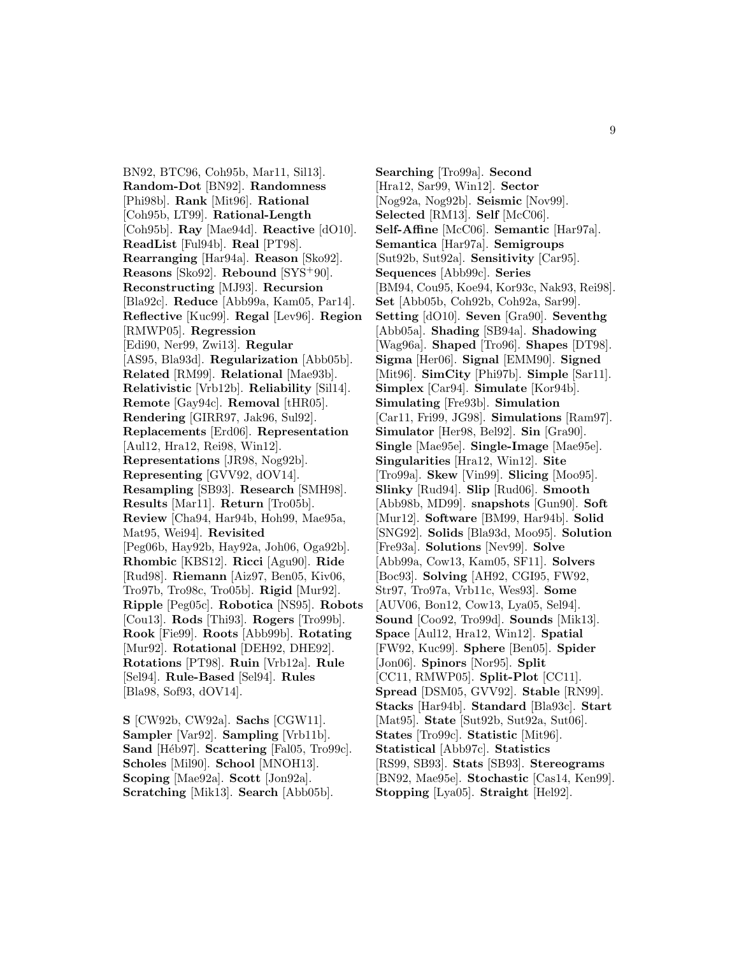BN92, BTC96, Coh95b, Mar11, Sil13]. **Random-Dot** [BN92]. **Randomness** [Phi98b]. **Rank** [Mit96]. **Rational** [Coh95b, LT99]. **Rational-Length** [Coh95b]. **Ray** [Mae94d]. **Reactive** [dO10]. **ReadList** [Ful94b]. **Real** [PT98]. **Rearranging** [Har94a]. **Reason** [Sko92]. **Reasons** [Sko92]. **Rebound** [SYS<sup>+</sup>90]. **Reconstructing** [MJ93]. **Recursion** [Bla92c]. **Reduce** [Abb99a, Kam05, Par14]. **Reflective** [Kuc99]. **Regal** [Lev96]. **Region** [RMWP05]. **Regression** [Edi90, Ner99, Zwi13]. **Regular** [AS95, Bla93d]. **Regularization** [Abb05b]. **Related** [RM99]. **Relational** [Mae93b]. **Relativistic** [Vrb12b]. **Reliability** [Sil14]. **Remote** [Gay94c]. **Removal** [tHR05]. **Rendering** [GIRR97, Jak96, Sul92]. **Replacements** [Erd06]. **Representation** [Aul12, Hra12, Rei98, Win12]. **Representations** [JR98, Nog92b]. **Representing** [GVV92, dOV14]. **Resampling** [SB93]. **Research** [SMH98]. **Results** [Mar11]. **Return** [Tro05b]. **Review** [Cha94, Har94b, Hoh99, Mae95a, Mat95, Wei94]. **Revisited** [Peg06b, Hay92b, Hay92a, Joh06, Oga92b]. **Rhombic** [KBS12]. **Ricci** [Agu90]. **Ride** [Rud98]. **Riemann** [Aiz97, Ben05, Kiv06, Tro97b, Tro98c, Tro05b]. **Rigid** [Mur92]. **Ripple** [Peg05c]. **Robotica** [NS95]. **Robots** [Cou13]. **Rods** [Thi93]. **Rogers** [Tro99b]. **Rook** [Fie99]. **Roots** [Abb99b]. **Rotating** [Mur92]. **Rotational** [DEH92, DHE92]. **Rotations** [PT98]. **Ruin** [Vrb12a]. **Rule** [Sel94]. **Rule-Based** [Sel94]. **Rules** [Bla98, Sof93, dOV14].

**S** [CW92b, CW92a]. **Sachs** [CGW11]. **Sampler** [Var92]. **Sampling** [Vrb11b]. Sand [Héb97]. Scattering [Fal05, Tro99c]. **Scholes** [Mil90]. **School** [MNOH13]. **Scoping** [Mae92a]. **Scott** [Jon92a]. **Scratching** [Mik13]. **Search** [Abb05b].

**Searching** [Tro99a]. **Second** [Hra12, Sar99, Win12]. **Sector** [Nog92a, Nog92b]. **Seismic** [Nov99]. **Selected** [RM13]. **Self** [McC06]. **Self-Affine** [McC06]. **Semantic** [Har97a]. **Semantica** [Har97a]. **Semigroups** [Sut92b, Sut92a]. **Sensitivity** [Car95]. **Sequences** [Abb99c]. **Series** [BM94, Cou95, Koe94, Kor93c, Nak93, Rei98]. **Set** [Abb05b, Coh92b, Coh92a, Sar99]. **Setting** [dO10]. **Seven** [Gra90]. **Seventhg** [Abb05a]. **Shading** [SB94a]. **Shadowing** [Wag96a]. **Shaped** [Tro96]. **Shapes** [DT98]. **Sigma** [Her06]. **Signal** [EMM90]. **Signed** [Mit96]. **SimCity** [Phi97b]. **Simple** [Sar11]. **Simplex** [Car94]. **Simulate** [Kor94b]. **Simulating** [Fre93b]. **Simulation** [Car11, Fri99, JG98]. **Simulations** [Ram97]. **Simulator** [Her98, Bel92]. **Sin** [Gra90]. **Single** [Mae95e]. **Single-Image** [Mae95e]. **Singularities** [Hra12, Win12]. **Site** [Tro99a]. **Skew** [Vin99]. **Slicing** [Moo95]. **Slinky** [Rud94]. **Slip** [Rud06]. **Smooth** [Abb98b, MD99]. **snapshots** [Gun90]. **Soft** [Mur12]. **Software** [BM99, Har94b]. **Solid** [SNG92]. **Solids** [Bla93d, Moo95]. **Solution** [Fre93a]. **Solutions** [Nev99]. **Solve** [Abb99a, Cow13, Kam05, SF11]. **Solvers** [Boc93]. **Solving** [AH92, CGI95, FW92, Str97, Tro97a, Vrb11c, Wes93]. **Some** [AUV06, Bon12, Cow13, Lya05, Sel94]. **Sound** [Coo92, Tro99d]. **Sounds** [Mik13]. **Space** [Aul12, Hra12, Win12]. **Spatial** [FW92, Kuc99]. **Sphere** [Ben05]. **Spider** [Jon06]. **Spinors** [Nor95]. **Split** [CC11, RMWP05]. **Split-Plot** [CC11]. **Spread** [DSM05, GVV92]. **Stable** [RN99]. **Stacks** [Har94b]. **Standard** [Bla93c]. **Start** [Mat95]. **State** [Sut92b, Sut92a, Sut06]. **States** [Tro99c]. **Statistic** [Mit96]. **Statistical** [Abb97c]. **Statistics** [RS99, SB93]. **Stats** [SB93]. **Stereograms** [BN92, Mae95e]. **Stochastic** [Cas14, Ken99]. **Stopping** [Lya05]. **Straight** [Hel92].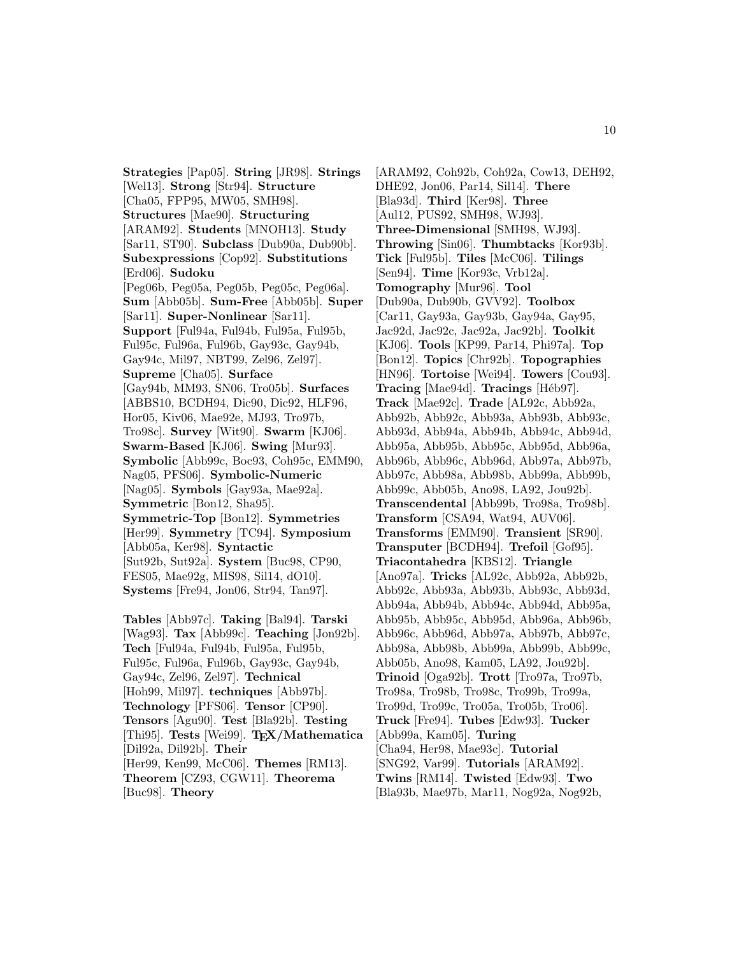**Strategies** [Pap05]. **String** [JR98]. **Strings** [Wel13]. **Strong** [Str94]. **Structure** [Cha05, FPP95, MW05, SMH98]. **Structures** [Mae90]. **Structuring** [ARAM92]. **Students** [MNOH13]. **Study** [Sar11, ST90]. **Subclass** [Dub90a, Dub90b]. **Subexpressions** [Cop92]. **Substitutions** [Erd06]. **Sudoku** [Peg06b, Peg05a, Peg05b, Peg05c, Peg06a]. **Sum** [Abb05b]. **Sum-Free** [Abb05b]. **Super** [Sar11]. **Super-Nonlinear** [Sar11]. **Support** [Ful94a, Ful94b, Ful95a, Ful95b, Ful95c, Ful96a, Ful96b, Gay93c, Gay94b, Gay94c, Mil97, NBT99, Zel96, Zel97]. **Supreme** [Cha05]. **Surface** [Gay94b, MM93, SN06, Tro05b]. **Surfaces** [ABBS10, BCDH94, Dic90, Dic92, HLF96, Hor05, Kiv06, Mae92e, MJ93, Tro97b, Tro98c]. **Survey** [Wit90]. **Swarm** [KJ06]. **Swarm-Based** [KJ06]. **Swing** [Mur93]. **Symbolic** [Abb99c, Boc93, Coh95c, EMM90, Nag05, PFS06]. **Symbolic-Numeric** [Nag05]. **Symbols** [Gay93a, Mae92a]. **Symmetric** [Bon12, Sha95]. **Symmetric-Top** [Bon12]. **Symmetries** [Her99]. **Symmetry** [TC94]. **Symposium** [Abb05a, Ker98]. **Syntactic** [Sut92b, Sut92a]. **System** [Buc98, CP90, FES05, Mae92g, MIS98, Sil14, dO10]. **Systems** [Fre94, Jon06, Str94, Tan97].

**Tables** [Abb97c]. **Taking** [Bal94]. **Tarski** [Wag93]. **Tax** [Abb99c]. **Teaching** [Jon92b]. **Tech** [Ful94a, Ful94b, Ful95a, Ful95b, Ful95c, Ful96a, Ful96b, Gay93c, Gay94b, Gay94c, Zel96, Zel97]. **Technical** [Hoh99, Mil97]. **techniques** [Abb97b]. **Technology** [PFS06]. **Tensor** [CP90]. **Tensors** [Agu90]. **Test** [Bla92b]. **Testing** [Thi95]. **Tests** [Wei99]. **TEX/Mathematica** [Dil92a, Dil92b]. **Their** [Her99, Ken99, McC06]. **Themes** [RM13]. **Theorem** [CZ93, CGW11]. **Theorema** [Buc98]. **Theory**

[ARAM92, Coh92b, Coh92a, Cow13, DEH92, DHE92, Jon06, Par14, Sil14]. **There** [Bla93d]. **Third** [Ker98]. **Three** [Aul12, PUS92, SMH98, WJ93]. **Three-Dimensional** [SMH98, WJ93]. **Throwing** [Sin06]. **Thumbtacks** [Kor93b]. **Tick** [Ful95b]. **Tiles** [McC06]. **Tilings** [Sen94]. **Time** [Kor93c, Vrb12a]. **Tomography** [Mur96]. **Tool** [Dub90a, Dub90b, GVV92]. **Toolbox** [Car11, Gay93a, Gay93b, Gay94a, Gay95, Jac92d, Jac92c, Jac92a, Jac92b]. **Toolkit** [KJ06]. **Tools** [KP99, Par14, Phi97a]. **Top** [Bon12]. **Topics** [Chr92b]. **Topographies** [HN96]. **Tortoise** [Wei94]. **Towers** [Cou93]. **Tracing** [Mae94d]. **Tracings** [Héb97]. **Track** [Mae92c]. **Trade** [AL92c, Abb92a, Abb92b, Abb92c, Abb93a, Abb93b, Abb93c, Abb93d, Abb94a, Abb94b, Abb94c, Abb94d, Abb95a, Abb95b, Abb95c, Abb95d, Abb96a, Abb96b, Abb96c, Abb96d, Abb97a, Abb97b, Abb97c, Abb98a, Abb98b, Abb99a, Abb99b, Abb99c, Abb05b, Ano98, LA92, Jou92b]. **Transcendental** [Abb99b, Tro98a, Tro98b]. **Transform** [CSA94, Wat94, AUV06]. **Transforms** [EMM90]. **Transient** [SR90]. **Transputer** [BCDH94]. **Trefoil** [Gof95]. **Triacontahedra** [KBS12]. **Triangle** [Ano97a]. **Tricks** [AL92c, Abb92a, Abb92b, Abb92c, Abb93a, Abb93b, Abb93c, Abb93d, Abb94a, Abb94b, Abb94c, Abb94d, Abb95a, Abb95b, Abb95c, Abb95d, Abb96a, Abb96b, Abb96c, Abb96d, Abb97a, Abb97b, Abb97c, Abb98a, Abb98b, Abb99a, Abb99b, Abb99c, Abb05b, Ano98, Kam05, LA92, Jou92b]. **Trinoid** [Oga92b]. **Trott** [Tro97a, Tro97b, Tro98a, Tro98b, Tro98c, Tro99b, Tro99a, Tro99d, Tro99c, Tro05a, Tro05b, Tro06]. **Truck** [Fre94]. **Tubes** [Edw93]. **Tucker** [Abb99a, Kam05]. **Turing** [Cha94, Her98, Mae93c]. **Tutorial** [SNG92, Var99]. **Tutorials** [ARAM92]. **Twins** [RM14]. **Twisted** [Edw93]. **Two** [Bla93b, Mae97b, Mar11, Nog92a, Nog92b,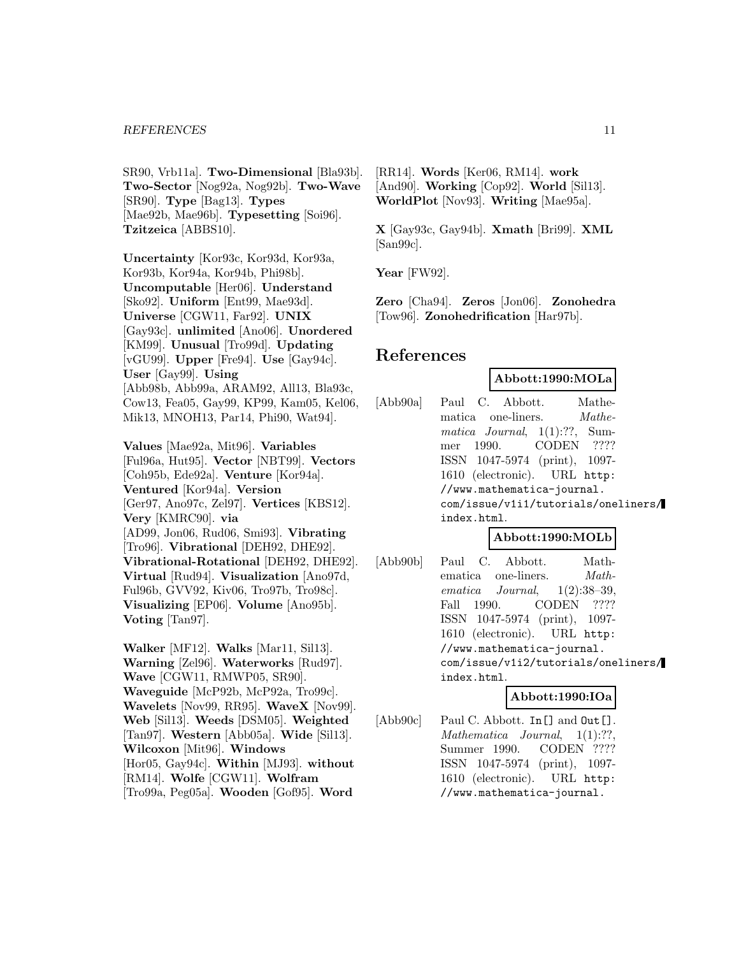#### *REFERENCES* 11

SR90, Vrb11a]. **Two-Dimensional** [Bla93b]. **Two-Sector** [Nog92a, Nog92b]. **Two-Wave** [SR90]. **Type** [Bag13]. **Types** [Mae92b, Mae96b]. **Typesetting** [Soi96]. **Tzitzeica** [ABBS10].

**Uncertainty** [Kor93c, Kor93d, Kor93a, Kor93b, Kor94a, Kor94b, Phi98b]. **Uncomputable** [Her06]. **Understand** [Sko92]. **Uniform** [Ent99, Mae93d]. **Universe** [CGW11, Far92]. **UNIX** [Gay93c]. **unlimited** [Ano06]. **Unordered** [KM99]. **Unusual** [Tro99d]. **Updating** [vGU99]. **Upper** [Fre94]. **Use** [Gay94c]. **User** [Gay99]. **Using** [Abb98b, Abb99a, ARAM92, All13, Bla93c, Cow13, Fea05, Gay99, KP99, Kam05, Kel06, Mik13, MNOH13, Par14, Phi90, Wat94].

**Values** [Mae92a, Mit96]. **Variables** [Ful96a, Hut95]. **Vector** [NBT99]. **Vectors** [Coh95b, Ede92a]. **Venture** [Kor94a]. **Ventured** [Kor94a]. **Version** [Ger97, Ano97c, Zel97]. **Vertices** [KBS12]. **Very** [KMRC90]. **via** [AD99, Jon06, Rud06, Smi93]. **Vibrating** [Tro96]. **Vibrational** [DEH92, DHE92]. **Vibrational-Rotational** [DEH92, DHE92]. **Virtual** [Rud94]. **Visualization** [Ano97d, Ful96b, GVV92, Kiv06, Tro97b, Tro98c]. **Visualizing** [EP06]. **Volume** [Ano95b]. **Voting** [Tan97].

**Walker** [MF12]. **Walks** [Mar11, Sil13]. **Warning** [Zel96]. **Waterworks** [Rud97]. **Wave** [CGW11, RMWP05, SR90]. **Waveguide** [McP92b, McP92a, Tro99c]. **Wavelets** [Nov99, RR95]. **WaveX** [Nov99]. **Web** [Sil13]. **Weeds** [DSM05]. **Weighted** [Tan97]. **Western** [Abb05a]. **Wide** [Sil13]. **Wilcoxon** [Mit96]. **Windows** [Hor05, Gay94c]. **Within** [MJ93]. **without** [RM14]. **Wolfe** [CGW11]. **Wolfram** [Tro99a, Peg05a]. **Wooden** [Gof95]. **Word**

[RR14]. **Words** [Ker06, RM14]. **work** [And90]. **Working** [Cop92]. **World** [Sil13]. **WorldPlot** [Nov93]. **Writing** [Mae95a].

**X** [Gay93c, Gay94b]. **Xmath** [Bri99]. **XML** [San99c].

**Year** [FW92].

**Zero** [Cha94]. **Zeros** [Jon06]. **Zonohedra** [Tow96]. **Zonohedrification** [Har97b].

# **References**

#### **Abbott:1990:MOLa**

[Abb90a] Paul C. Abbott. Mathematica one-liners. *Mathe*matica Journal, 1(1):??, Summer 1990. CODEN ???? ISSN 1047-5974 (print), 1097- 1610 (electronic). URL http: //www.mathematica-journal. com/issue/v1i1/tutorials/oneliners/ index.html.

# **Abbott:1990:MOLb**

[Abb90b] Paul C. Abbott. Mathematica one-liners. *Math*ematica Journal, 1(2):38–39, Fall 1990. CODEN ???? ISSN 1047-5974 (print), 1097- 1610 (electronic). URL http: //www.mathematica-journal. com/issue/v1i2/tutorials/oneliners/ index.html.

#### **Abbott:1990:IOa**

[Abb90c] Paul C. Abbott. In [] and  $\text{Out}$  []. Mathematica Journal,  $1(1):??$ Summer 1990. CODEN ???? ISSN 1047-5974 (print), 1097- 1610 (electronic). URL http: //www.mathematica-journal.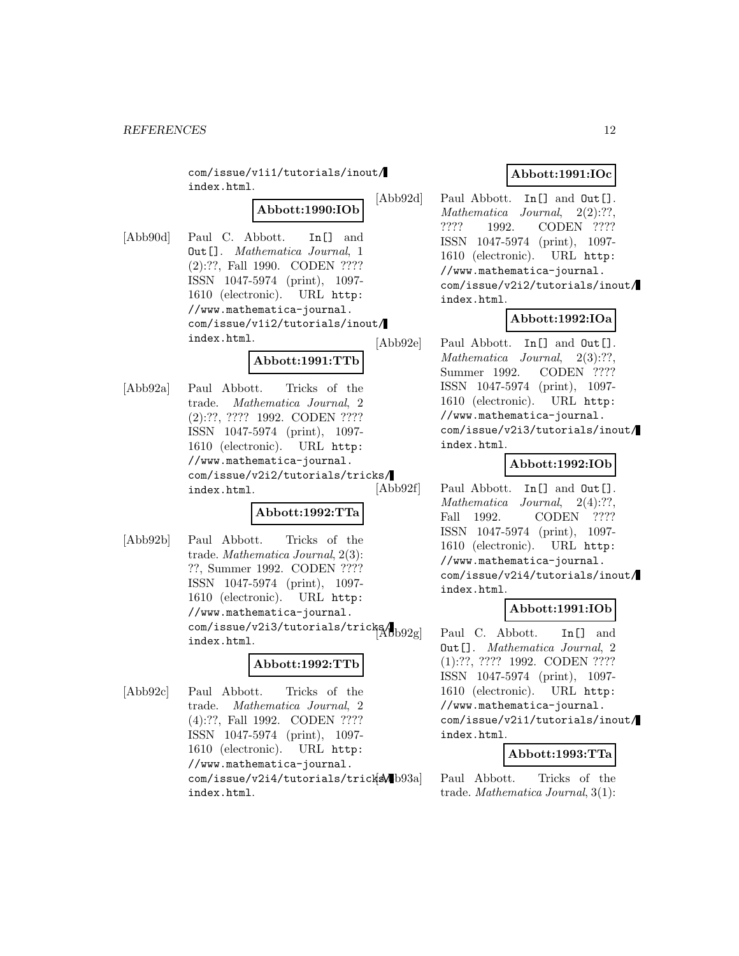com/issue/v1i1/tutorials/inout/ index.html.

# **Abbott:1990:IOb**

[Abb90d] Paul C. Abbott. In[] and Out[]. Mathematica Journal, 1 (2):??, Fall 1990. CODEN ???? ISSN 1047-5974 (print), 1097- 1610 (electronic). URL http: //www.mathematica-journal. com/issue/v1i2/tutorials/inout/ index.html.

# **Abbott:1991:TTb**

[Abb92a] Paul Abbott. Tricks of the trade. Mathematica Journal, 2 (2):??, ???? 1992. CODEN ???? ISSN 1047-5974 (print), 1097- 1610 (electronic). URL http: //www.mathematica-journal. com/issue/v2i2/tutorials/tricks/ index.html.

# **Abbott:1992:TTa**

[Abb92b] Paul Abbott. Tricks of the trade. Mathematica Journal, 2(3): ??, Summer 1992. CODEN ???? ISSN 1047-5974 (print), 1097- 1610 (electronic). URL http: //www.mathematica-journal.  $\frac{1}{\text{com}}$ /issue/v2i3/tutorials/tricks/ $\frac{1}{|\text{Ab}\text{b}92\text{g}|}$ index.html.

# **Abbott:1992:TTb**

[Abb92c] Paul Abbott. Tricks of the trade. Mathematica Journal, 2 (4):??, Fall 1992. CODEN ???? ISSN 1047-5974 (print), 1097- 1610 (electronic). URL http: //www.mathematica-journal. com/issue/v2i4/tutorials/tricksMb93a index.html.

# **Abbott:1991:IOc**

[Abb92d] Paul Abbott. In [] and Out []. Mathematica Journal, 2(2):??, ???? 1992. CODEN ???? ISSN 1047-5974 (print), 1097- 1610 (electronic). URL http: //www.mathematica-journal. com/issue/v2i2/tutorials/inout/ index.html.

# **Abbott:1992:IOa**

[Abb92e] Paul Abbott. In [] and Out []. Mathematica Journal, 2(3):??, Summer 1992. CODEN ???? ISSN 1047-5974 (print), 1097- 1610 (electronic). URL http: //www.mathematica-journal. com/issue/v2i3/tutorials/inout/ index.html.

#### **Abbott:1992:IOb**

[Abb92f] Paul Abbott. In [] and Out []. Mathematica Journal, 2(4):??, Fall 1992. CODEN ???? ISSN 1047-5974 (print), 1097- 1610 (electronic). URL http: //www.mathematica-journal. com/issue/v2i4/tutorials/inout/ index.html.

#### **Abbott:1991:IOb**

Paul C. Abbott. In[] and Out[]. Mathematica Journal, 2 (1):??, ???? 1992. CODEN ???? ISSN 1047-5974 (print), 1097- 1610 (electronic). URL http: //www.mathematica-journal. com/issue/v2i1/tutorials/inout/ index.html.

# **Abbott:1993:TTa**

Paul Abbott. Tricks of the trade. Mathematica Journal, 3(1):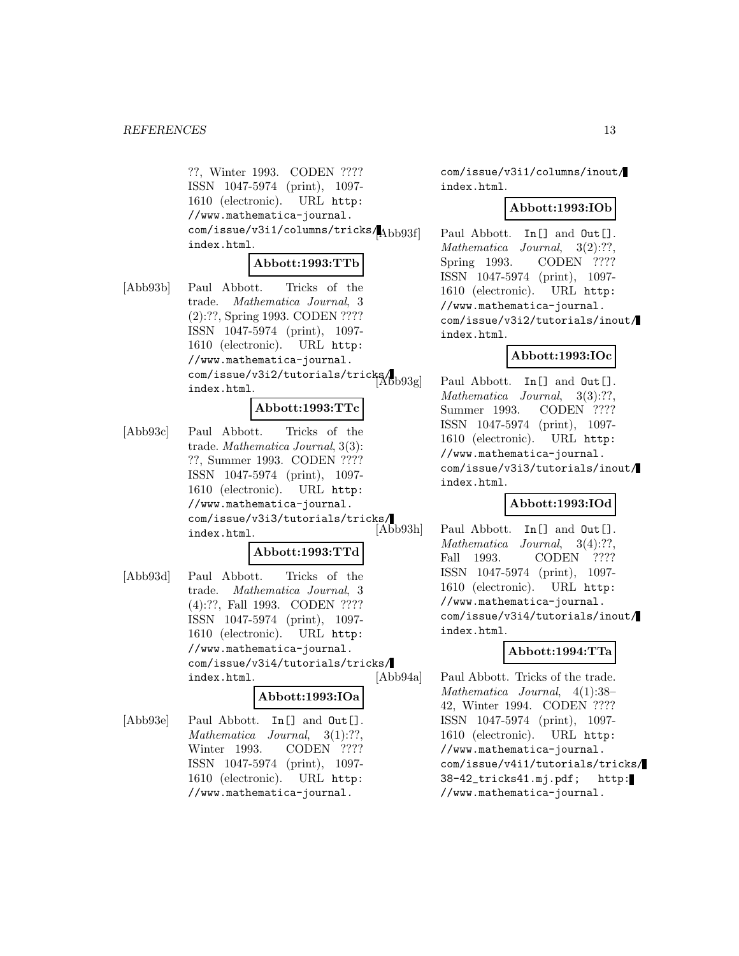??, Winter 1993. CODEN ???? ISSN 1047-5974 (print), 1097- 1610 (electronic). URL http: //www.mathematica-journal. com/issue/v3i1/columns/tricks/ index.html.

#### **Abbott:1993:TTb**

[Abb93b] Paul Abbott. Tricks of the trade. Mathematica Journal, 3 (2):??, Spring 1993. CODEN ???? ISSN 1047-5974 (print), 1097- 1610 (electronic). URL http: //www.mathematica-journal. com/issue/v3i2/tutorials/tricks/ index.html.

# **Abbott:1993:TTc**

[Abb93c] Paul Abbott. Tricks of the trade. Mathematica Journal, 3(3): ??, Summer 1993. CODEN ???? ISSN 1047-5974 (print), 1097- 1610 (electronic). URL http: //www.mathematica-journal. com/issue/v3i3/tutorials/tricks/ index.html.

#### **Abbott:1993:TTd**

[Abb93d] Paul Abbott. Tricks of the trade. Mathematica Journal, 3 (4):??, Fall 1993. CODEN ???? ISSN 1047-5974 (print), 1097- 1610 (electronic). URL http: //www.mathematica-journal. com/issue/v3i4/tutorials/tricks/ index.html.

# **Abbott:1993:IOa**

[Abb93e] Paul Abbott. In[] and Out[]. Mathematica Journal, 3(1):??, Winter 1993. CODEN ???? ISSN 1047-5974 (print), 1097- 1610 (electronic). URL http: //www.mathematica-journal.

com/issue/v3i1/columns/inout/ index.html.

#### **Abbott:1993:IOb**

Paul Abbott. In[] and Out[]. Mathematica Journal, 3(2):??, Spring 1993. CODEN ???? ISSN 1047-5974 (print), 1097- 1610 (electronic). URL http: //www.mathematica-journal. com/issue/v3i2/tutorials/inout/ index.html.

#### **Abbott:1993:IOc**

Paul Abbott. In[] and Out[]. Mathematica Journal, 3(3):??, Summer 1993. CODEN ???? ISSN 1047-5974 (print), 1097- 1610 (electronic). URL http: //www.mathematica-journal. com/issue/v3i3/tutorials/inout/ index.html.

#### **Abbott:1993:IOd**

Paul Abbott. In[] and Out[]. Mathematica Journal, 3(4):??, Fall 1993. CODEN ???? ISSN 1047-5974 (print), 1097- 1610 (electronic). URL http: //www.mathematica-journal. com/issue/v3i4/tutorials/inout/ index.html.

#### **Abbott:1994:TTa**

[Abb94a] Paul Abbott. Tricks of the trade. Mathematica Journal, 4(1):38– 42, Winter 1994. CODEN ???? ISSN 1047-5974 (print), 1097- 1610 (electronic). URL http: //www.mathematica-journal. com/issue/v4i1/tutorials/tricks/ 38-42\_tricks41.mj.pdf; http: //www.mathematica-journal.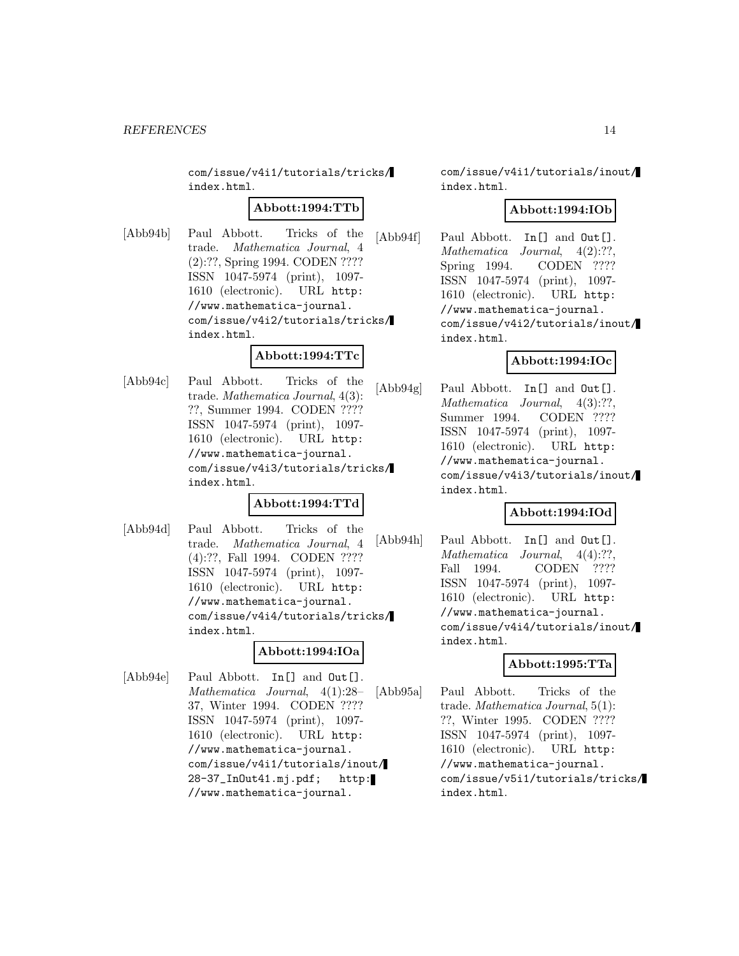com/issue/v4i1/tutorials/tricks/ index.html.

#### **Abbott:1994:TTb**

[Abb94b] Paul Abbott. Tricks of the trade. Mathematica Journal, 4 (2):??, Spring 1994. CODEN ???? ISSN 1047-5974 (print), 1097- 1610 (electronic). URL http: //www.mathematica-journal. com/issue/v4i2/tutorials/tricks/ index.html.

#### **Abbott:1994:TTc**

[Abb94c] Paul Abbott. Tricks of the trade. Mathematica Journal, 4(3): ??, Summer 1994. CODEN ???? ISSN 1047-5974 (print), 1097- 1610 (electronic). URL http: //www.mathematica-journal. com/issue/v4i3/tutorials/tricks/ index.html.

# **Abbott:1994:TTd**

[Abb94d] Paul Abbott. Tricks of the trade. Mathematica Journal, 4 (4):??, Fall 1994. CODEN ???? ISSN 1047-5974 (print), 1097- 1610 (electronic). URL http: //www.mathematica-journal. com/issue/v4i4/tutorials/tricks/ index.html.

# **Abbott:1994:IOa**

[Abb94e] Paul Abbott. In [] and Out []. Mathematica Journal, 4(1):28– 37, Winter 1994. CODEN ???? ISSN 1047-5974 (print), 1097- 1610 (electronic). URL http: //www.mathematica-journal. com/issue/v4i1/tutorials/inout/ 28-37\_InOut41.mj.pdf; http: //www.mathematica-journal.

com/issue/v4i1/tutorials/inout/ index.html.

#### **Abbott:1994:IOb**

[Abb94f] Paul Abbott. In[] and Out[]. Mathematica Journal,  $4(2):??$ Spring 1994. CODEN ???? ISSN 1047-5974 (print), 1097- 1610 (electronic). URL http: //www.mathematica-journal. com/issue/v4i2/tutorials/inout/ index.html.

# **Abbott:1994:IOc**

[Abb94g] Paul Abbott. In [] and Out []. Mathematica Journal, 4(3):??, Summer 1994. CODEN ???? ISSN 1047-5974 (print), 1097- 1610 (electronic). URL http: //www.mathematica-journal. com/issue/v4i3/tutorials/inout/ index.html.

# **Abbott:1994:IOd**

[Abb94h] Paul Abbott. In [] and  $Out$ []. Mathematica Journal, 4(4):??, Fall 1994. CODEN ???? ISSN 1047-5974 (print), 1097- 1610 (electronic). URL http: //www.mathematica-journal. com/issue/v4i4/tutorials/inout/ index.html.

# **Abbott:1995:TTa**

[Abb95a] Paul Abbott. Tricks of the trade. Mathematica Journal, 5(1): ??, Winter 1995. CODEN ???? ISSN 1047-5974 (print), 1097- 1610 (electronic). URL http: //www.mathematica-journal. com/issue/v5i1/tutorials/tricks/ index.html.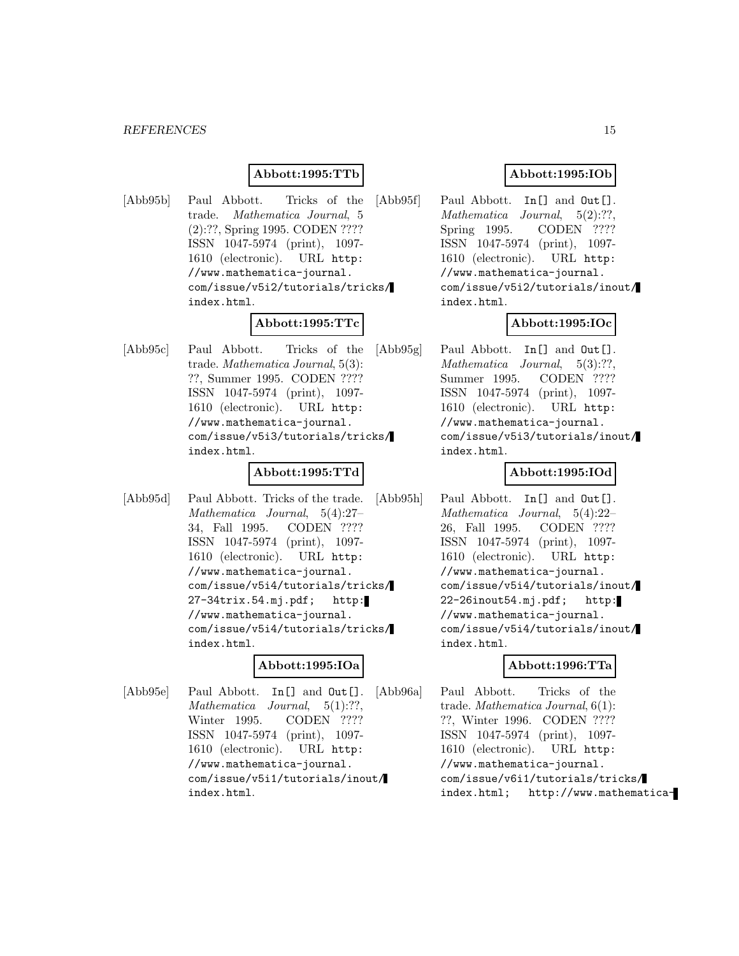#### *REFERENCES* 15

#### **Abbott:1995:TTb**

[Abb95b] Paul Abbott. Tricks of the trade. Mathematica Journal, 5 (2):??, Spring 1995. CODEN ???? ISSN 1047-5974 (print), 1097- 1610 (electronic). URL http: //www.mathematica-journal. com/issue/v5i2/tutorials/tricks/ index.html.

# **Abbott:1995:TTc**

[Abb95c] Paul Abbott. Tricks of the trade. Mathematica Journal, 5(3): ??, Summer 1995. CODEN ???? ISSN 1047-5974 (print), 1097- 1610 (electronic). URL http: //www.mathematica-journal. com/issue/v5i3/tutorials/tricks/ index.html.

#### **Abbott:1995:TTd**

[Abb95d] Paul Abbott. Tricks of the trade. Mathematica Journal, 5(4):27– 34, Fall 1995. CODEN ???? ISSN 1047-5974 (print), 1097- 1610 (electronic). URL http: //www.mathematica-journal. com/issue/v5i4/tutorials/tricks/ 27-34trix.54.mj.pdf; http: //www.mathematica-journal. com/issue/v5i4/tutorials/tricks/ index.html.

# **Abbott:1995:IOa**

[Abb95e] Paul Abbott. In [] and Out []. Mathematica Journal, 5(1):??, Winter 1995. CODEN ???? ISSN 1047-5974 (print), 1097- 1610 (electronic). URL http: //www.mathematica-journal. com/issue/v5i1/tutorials/inout/ index.html.

#### **Abbott:1995:IOb**

[Abb95f] Paul Abbott. In [] and Out []. Mathematica Journal, 5(2):??, Spring 1995. CODEN ???? ISSN 1047-5974 (print), 1097- 1610 (electronic). URL http: //www.mathematica-journal. com/issue/v5i2/tutorials/inout/ index.html.

#### **Abbott:1995:IOc**

[Abb95g] Paul Abbott. In [] and Out []. Mathematica Journal, 5(3):??, Summer 1995. CODEN ???? ISSN 1047-5974 (print), 1097- 1610 (electronic). URL http: //www.mathematica-journal. com/issue/v5i3/tutorials/inout/ index.html.

#### **Abbott:1995:IOd**

[Abb95h] Paul Abbott. In [] and  $Out$ []. Mathematica Journal, 5(4):22– 26, Fall 1995. CODEN ???? ISSN 1047-5974 (print), 1097- 1610 (electronic). URL http: //www.mathematica-journal. com/issue/v5i4/tutorials/inout/ 22-26inout54.mj.pdf; http: //www.mathematica-journal. com/issue/v5i4/tutorials/inout/ index.html.

#### **Abbott:1996:TTa**

[Abb96a] Paul Abbott. Tricks of the trade. Mathematica Journal, 6(1): ??, Winter 1996. CODEN ???? ISSN 1047-5974 (print), 1097- 1610 (electronic). URL http: //www.mathematica-journal. com/issue/v6i1/tutorials/tricks/ index.html; http://www.mathematica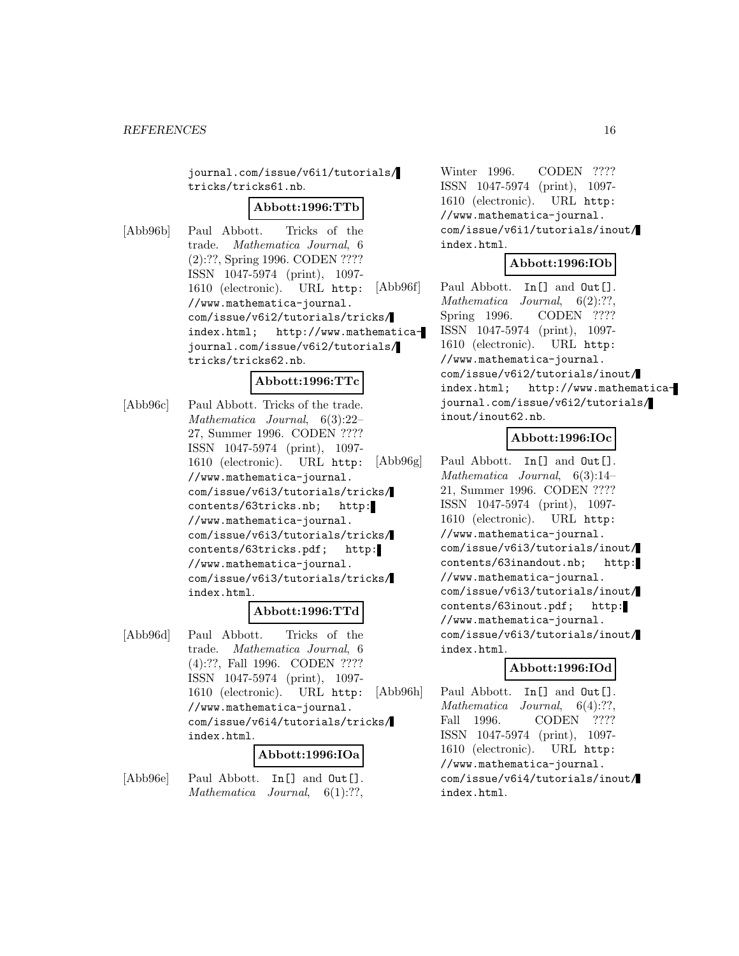journal.com/issue/v6i1/tutorials/ tricks/tricks61.nb.

#### **Abbott:1996:TTb**

[Abb96b] Paul Abbott. Tricks of the trade. Mathematica Journal, 6 (2):??, Spring 1996. CODEN ???? ISSN 1047-5974 (print), 1097- 1610 (electronic). URL http: //www.mathematica-journal. com/issue/v6i2/tutorials/tricks/ index.html; http://www.mathematicajournal.com/issue/v6i2/tutorials/ tricks/tricks62.nb.

#### **Abbott:1996:TTc**

[Abb96c] Paul Abbott. Tricks of the trade. Mathematica Journal, 6(3):22– 27, Summer 1996. CODEN ???? ISSN 1047-5974 (print), 1097- 1610 (electronic). URL http: //www.mathematica-journal. com/issue/v6i3/tutorials/tricks/ contents/63tricks.nb; http: //www.mathematica-journal. com/issue/v6i3/tutorials/tricks/ contents/63tricks.pdf; http: //www.mathematica-journal. com/issue/v6i3/tutorials/tricks/ index.html.

# **Abbott:1996:TTd**

[Abb96d] Paul Abbott. Tricks of the trade. Mathematica Journal, 6 (4):??, Fall 1996. CODEN ???? ISSN 1047-5974 (print), 1097- 1610 (electronic). URL http: //www.mathematica-journal. com/issue/v6i4/tutorials/tricks/ index.html.

#### **Abbott:1996:IOa**

[Abb96e] Paul Abbott. In [] and Out []. Mathematica Journal,  $6(1)$ :??,

Winter 1996. CODEN ???? ISSN 1047-5974 (print), 1097- 1610 (electronic). URL http: //www.mathematica-journal. com/issue/v6i1/tutorials/inout/ index.html.

#### **Abbott:1996:IOb**

[Abb96f] Paul Abbott. In [] and Out []. Mathematica Journal, 6(2):??, Spring 1996. CODEN ???? ISSN 1047-5974 (print), 1097- 1610 (electronic). URL http: //www.mathematica-journal. com/issue/v6i2/tutorials/inout/ index.html; http://www.mathematicajournal.com/issue/v6i2/tutorials/ inout/inout62.nb.

# **Abbott:1996:IOc**

[Abb96g] Paul Abbott. In [] and Out []. Mathematica Journal, 6(3):14– 21, Summer 1996. CODEN ???? ISSN 1047-5974 (print), 1097- 1610 (electronic). URL http: //www.mathematica-journal. com/issue/v6i3/tutorials/inout/ contents/63inandout.nb; http: //www.mathematica-journal. com/issue/v6i3/tutorials/inout/ contents/63inout.pdf; http: //www.mathematica-journal. com/issue/v6i3/tutorials/inout/ index.html.

#### **Abbott:1996:IOd**

[Abb96h] Paul Abbott. In [] and Out []. Mathematica Journal, 6(4):??, Fall 1996. CODEN ???? ISSN 1047-5974 (print), 1097- 1610 (electronic). URL http: //www.mathematica-journal. com/issue/v6i4/tutorials/inout/ index.html.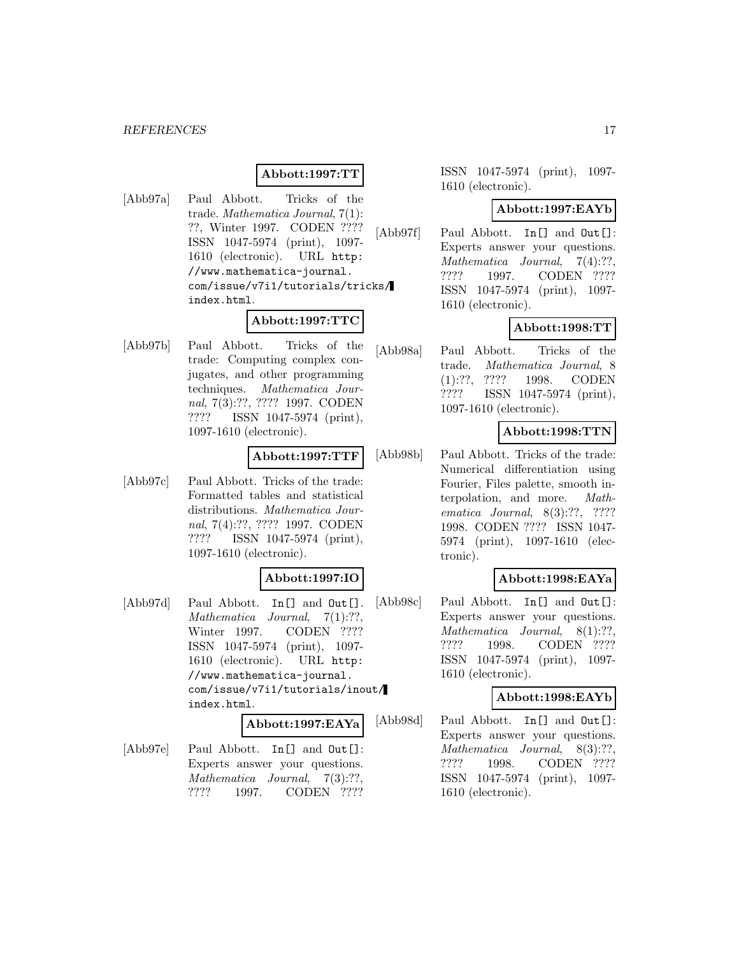#### *REFERENCES* 17

# **Abbott:1997:TT**

[Abb97a] Paul Abbott. Tricks of the trade. Mathematica Journal, 7(1): ??, Winter 1997. CODEN ???? ISSN 1047-5974 (print), 1097- 1610 (electronic). URL http: //www.mathematica-journal. com/issue/v7i1/tutorials/tricks/ index.html.

# **Abbott:1997:TTC**

[Abb97b] Paul Abbott. Tricks of the trade: Computing complex conjugates, and other programming techniques. Mathematica Journal, 7(3):??, ???? 1997. CODEN ???? ISSN 1047-5974 (print), 1097-1610 (electronic).

#### **Abbott:1997:TTF**

[Abb97c] Paul Abbott. Tricks of the trade: Formatted tables and statistical distributions. Mathematica Journal, 7(4):??, ???? 1997. CODEN ???? ISSN 1047-5974 (print), 1097-1610 (electronic).

# **Abbott:1997:IO**

[Abb97d] Paul Abbott. In [] and Out []. Mathematica Journal, 7(1):??, Winter 1997. CODEN ???? ISSN 1047-5974 (print), 1097- 1610 (electronic). URL http: //www.mathematica-journal. com/issue/v7i1/tutorials/inout/ index.html.

#### **Abbott:1997:EAYa**

[Abb97e] Paul Abbott. In [] and Out []: Experts answer your questions. Mathematica Journal, 7(3):??, ???? 1997. CODEN ????

ISSN 1047-5974 (print), 1097- 1610 (electronic).

# **Abbott:1997:EAYb**

[Abb97f] Paul Abbott. In [] and  $Out[]$ : Experts answer your questions. Mathematica Journal, 7(4):??, ???? 1997. CODEN ???? ISSN 1047-5974 (print), 1097- 1610 (electronic).

# **Abbott:1998:TT**

[Abb98a] Paul Abbott. Tricks of the trade. Mathematica Journal, 8 (1):??, ???? 1998. CODEN ???? ISSN 1047-5974 (print), 1097-1610 (electronic).

# **Abbott:1998:TTN**

[Abb98b] Paul Abbott. Tricks of the trade: Numerical differentiation using Fourier, Files palette, smooth interpolation, and more. Mathematica Journal, 8(3):??, ???? 1998. CODEN ???? ISSN 1047- 5974 (print), 1097-1610 (electronic).

# **Abbott:1998:EAYa**

[Abb98c] Paul Abbott. In [] and  $Out[]$ : Experts answer your questions. Mathematica Journal, 8(1):??, ???? 1998. CODEN ???? ISSN 1047-5974 (print), 1097- 1610 (electronic).

#### **Abbott:1998:EAYb**

[Abb98d] Paul Abbott. In [] and  $Out[]$ : Experts answer your questions. Mathematica Journal, 8(3):??, ???? 1998. CODEN ???? ISSN 1047-5974 (print), 1097- 1610 (electronic).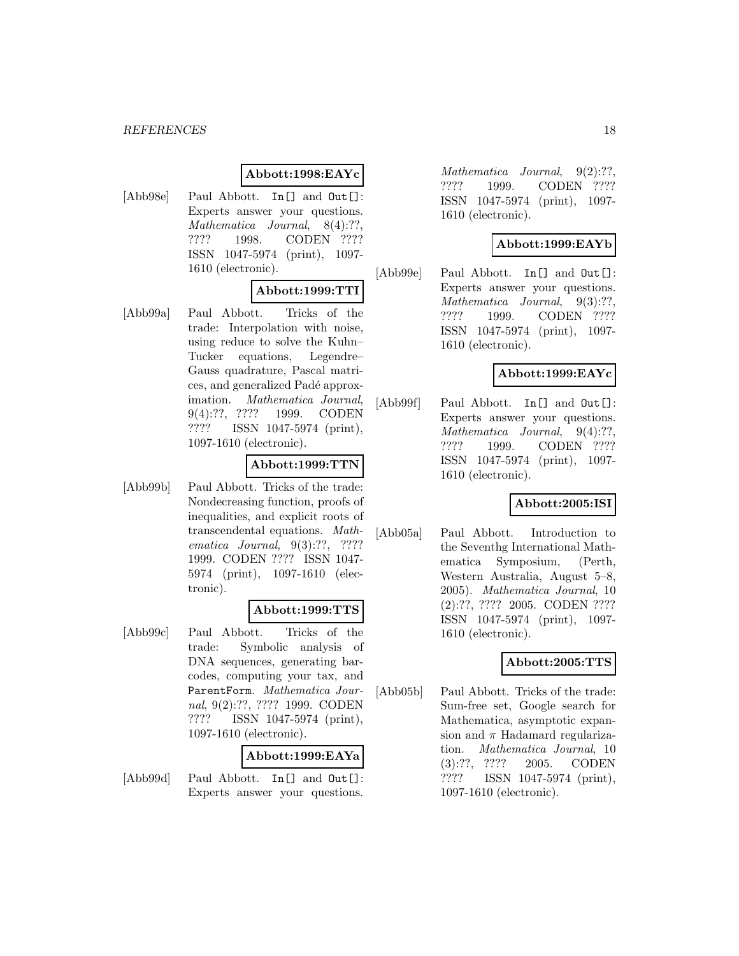# **Abbott:1998:EAYc**

[Abb98e] Paul Abbott. In [] and Out []: Experts answer your questions. Mathematica Journal, 8(4):??, ???? 1998. CODEN ???? ISSN 1047-5974 (print), 1097- 1610 (electronic).

# **Abbott:1999:TTI**

[Abb99a] Paul Abbott. Tricks of the trade: Interpolation with noise, using reduce to solve the Kuhn– Tucker equations, Legendre– Gauss quadrature, Pascal matrices, and generalized Padé approximation. Mathematica Journal, 9(4):??, ???? 1999. CODEN ???? ISSN 1047-5974 (print), 1097-1610 (electronic).

#### **Abbott:1999:TTN**

[Abb99b] Paul Abbott. Tricks of the trade: Nondecreasing function, proofs of inequalities, and explicit roots of transcendental equations. Mathematica Journal, 9(3):??, ???? 1999. CODEN ???? ISSN 1047- 5974 (print), 1097-1610 (electronic).

# **Abbott:1999:TTS**

[Abb99c] Paul Abbott. Tricks of the trade: Symbolic analysis of DNA sequences, generating barcodes, computing your tax, and ParentForm. Mathematica Journal, 9(2):??, ???? 1999. CODEN ???? ISSN 1047-5974 (print), 1097-1610 (electronic).

#### **Abbott:1999:EAYa**

[Abb99d] Paul Abbott. In [] and Out []: Experts answer your questions.

Mathematica Journal,  $9(2)$ :??, ???? 1999. CODEN ???? ISSN 1047-5974 (print), 1097- 1610 (electronic).

# **Abbott:1999:EAYb**

[Abb99e] Paul Abbott. In[] and Out[]: Experts answer your questions. Mathematica Journal, 9(3):??, ???? 1999. CODEN ???? ISSN 1047-5974 (print), 1097- 1610 (electronic).

# **Abbott:1999:EAYc**

[Abb99f] Paul Abbott. In [] and  $Out[]$ : Experts answer your questions. Mathematica Journal, 9(4):??, ???? 1999. CODEN ???? ISSN 1047-5974 (print), 1097- 1610 (electronic).

# **Abbott:2005:ISI**

[Abb05a] Paul Abbott. Introduction to the Seventhg International Mathematica Symposium, (Perth, Western Australia, August 5–8, 2005). Mathematica Journal, 10 (2):??, ???? 2005. CODEN ???? ISSN 1047-5974 (print), 1097- 1610 (electronic).

# **Abbott:2005:TTS**

[Abb05b] Paul Abbott. Tricks of the trade: Sum-free set, Google search for Mathematica, asymptotic expansion and  $\pi$  Hadamard regularization. Mathematica Journal, 10 (3):??, ???? 2005. CODEN ???? ISSN 1047-5974 (print), 1097-1610 (electronic).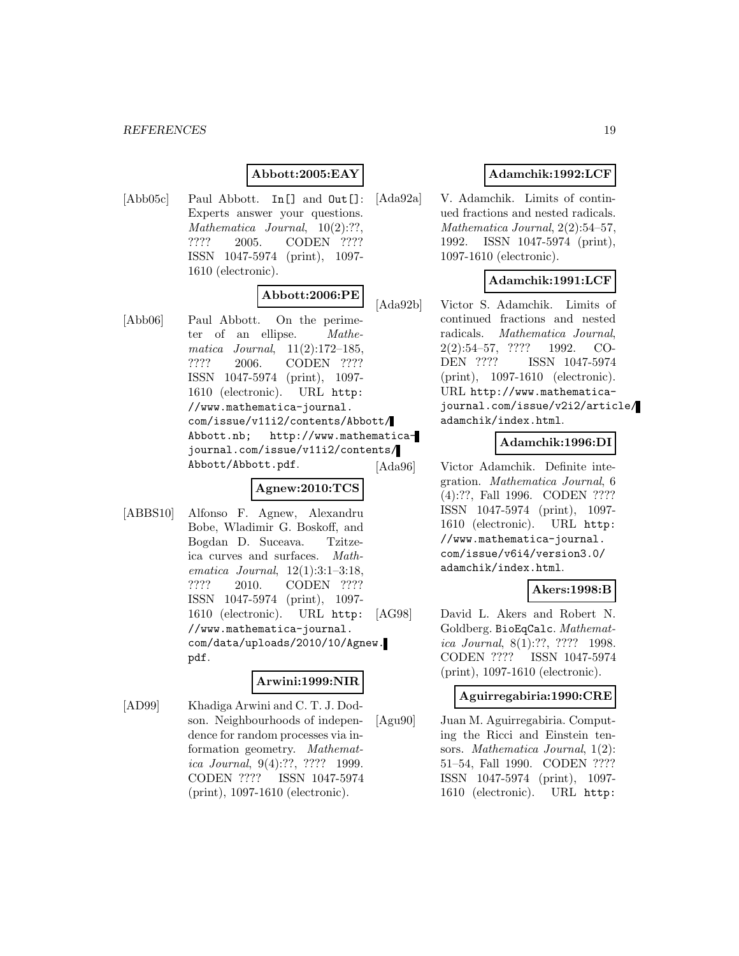# **Abbott:2005:EAY**

[Abb05c] Paul Abbott. In [] and  $Out[]$ : Experts answer your questions. Mathematica Journal,  $10(2)$ :??. ???? 2005. CODEN ???? ISSN 1047-5974 (print), 1097- 1610 (electronic).

# **Abbott:2006:PE**

[Abb06] Paul Abbott. On the perimeter of an ellipse. Mathematica Journal, 11(2):172–185, ???? 2006. CODEN ???? ISSN 1047-5974 (print), 1097- 1610 (electronic). URL http: //www.mathematica-journal. com/issue/v11i2/contents/Abbott/ Abbott.nb; http://www.mathematicajournal.com/issue/v11i2/contents/ Abbott/Abbott.pdf.

# **Agnew:2010:TCS**

[ABBS10] Alfonso F. Agnew, Alexandru Bobe, Wladimir G. Boskoff, and Bogdan D. Suceava. Tzitzeica curves and surfaces. Mathematica Journal, 12(1):3:1–3:18, ???? 2010. CODEN ???? ISSN 1047-5974 (print), 1097- 1610 (electronic). URL http: //www.mathematica-journal. com/data/uploads/2010/10/Agnew. pdf.

#### **Arwini:1999:NIR**

[AD99] Khadiga Arwini and C. T. J. Dodson. Neighbourhoods of independence for random processes via information geometry. Mathematica Journal, 9(4):??, ???? 1999. CODEN ???? ISSN 1047-5974 (print), 1097-1610 (electronic).

# **Adamchik:1992:LCF**

[Ada92a] V. Adamchik. Limits of continued fractions and nested radicals. Mathematica Journal, 2(2):54–57, 1992. ISSN 1047-5974 (print), 1097-1610 (electronic).

# **Adamchik:1991:LCF**

[Ada92b] Victor S. Adamchik. Limits of continued fractions and nested radicals. Mathematica Journal, 2(2):54–57, ???? 1992. CO-DEN ???? ISSN 1047-5974 (print), 1097-1610 (electronic). URL http://www.mathematicajournal.com/issue/v2i2/article/ adamchik/index.html.

# **Adamchik:1996:DI**

[Ada96] Victor Adamchik. Definite integration. Mathematica Journal, 6 (4):??, Fall 1996. CODEN ???? ISSN 1047-5974 (print), 1097- 1610 (electronic). URL http: //www.mathematica-journal. com/issue/v6i4/version3.0/ adamchik/index.html.

# **Akers:1998:B**

[AG98] David L. Akers and Robert N. Goldberg. BioEqCalc. Mathematica Journal, 8(1):??, ???? 1998. CODEN ???? ISSN 1047-5974 (print), 1097-1610 (electronic).

#### **Aguirregabiria:1990:CRE**

[Agu90] Juan M. Aguirregabiria. Computing the Ricci and Einstein tensors. Mathematica Journal,  $1(2)$ : 51–54, Fall 1990. CODEN ???? ISSN 1047-5974 (print), 1097- 1610 (electronic). URL http: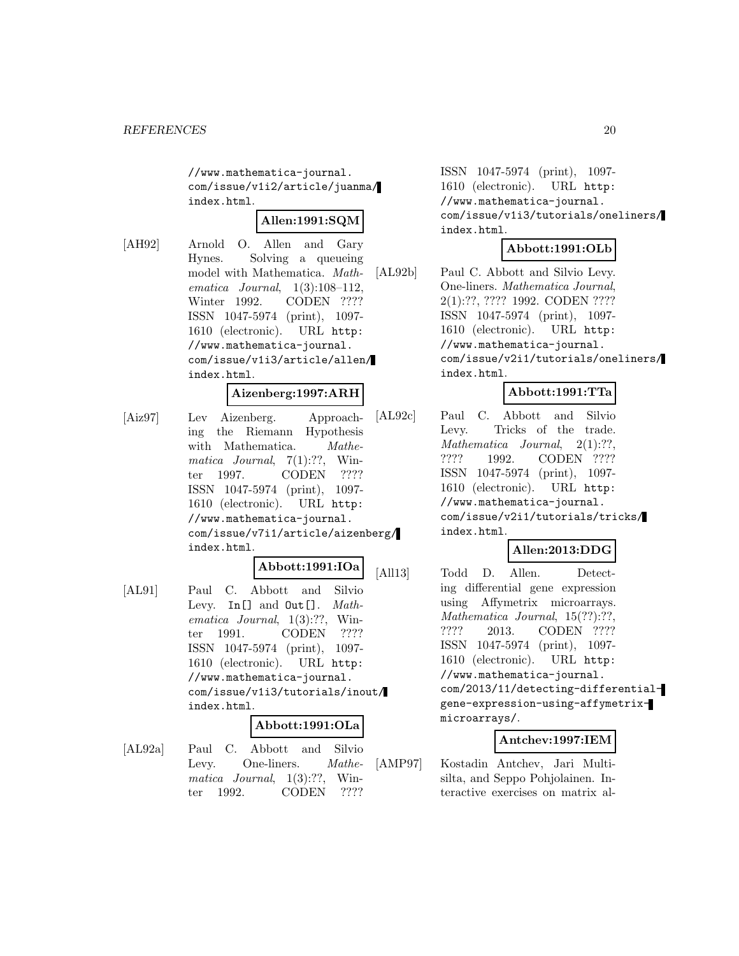//www.mathematica-journal. com/issue/v1i2/article/juanma/ index.html.

# **Allen:1991:SQM**

[AH92] Arnold O. Allen and Gary Hynes. Solving a queueing model with Mathematica. Mathematica Journal, 1(3):108–112, Winter 1992. CODEN ???? ISSN 1047-5974 (print), 1097- 1610 (electronic). URL http: //www.mathematica-journal. com/issue/v1i3/article/allen/ index.html.

#### **Aizenberg:1997:ARH**

[Aiz97] Lev Aizenberg. Approaching the Riemann Hypothesis with Mathematica. Mathematica Journal,  $7(1):??$ , Winter 1997. CODEN ???? ISSN 1047-5974 (print), 1097- 1610 (electronic). URL http: //www.mathematica-journal. com/issue/v7i1/article/aizenberg/ index.html.

# **Abbott:1991:IOa**

[AL91] Paul C. Abbott and Silvio Levy. In[] and Out[]. Mathematica Journal, 1(3):??, Winter 1991. CODEN ???? ISSN 1047-5974 (print), 1097- 1610 (electronic). URL http: //www.mathematica-journal. com/issue/v1i3/tutorials/inout/ index.html.

#### **Abbott:1991:OLa**

[AL92a] Paul C. Abbott and Silvio Levy. One-liners. Mathematica Journal, 1(3):??, Winter 1992. CODEN ????

ISSN 1047-5974 (print), 1097- 1610 (electronic). URL http: //www.mathematica-journal. com/issue/v1i3/tutorials/oneliners/ index.html.

# **Abbott:1991:OLb**

[AL92b] Paul C. Abbott and Silvio Levy. One-liners. Mathematica Journal, 2(1):??, ???? 1992. CODEN ???? ISSN 1047-5974 (print), 1097- 1610 (electronic). URL http: //www.mathematica-journal. com/issue/v2i1/tutorials/oneliners/ index.html.

# **Abbott:1991:TTa**

[AL92c] Paul C. Abbott and Silvio Levy. Tricks of the trade. Mathematica Journal, 2(1):??, ???? 1992. CODEN ???? ISSN 1047-5974 (print), 1097- 1610 (electronic). URL http: //www.mathematica-journal. com/issue/v2i1/tutorials/tricks/ index.html.

# **Allen:2013:DDG**

[All13] Todd D. Allen. Detecting differential gene expression using Affymetrix microarrays. Mathematica Journal, 15(??):??, ???? 2013. CODEN ???? ISSN 1047-5974 (print), 1097- 1610 (electronic). URL http: //www.mathematica-journal. com/2013/11/detecting-differentialgene-expression-using-affymetrixmicroarrays/.

# **Antchev:1997:IEM**

[AMP97] Kostadin Antchev, Jari Multisilta, and Seppo Pohjolainen. Interactive exercises on matrix al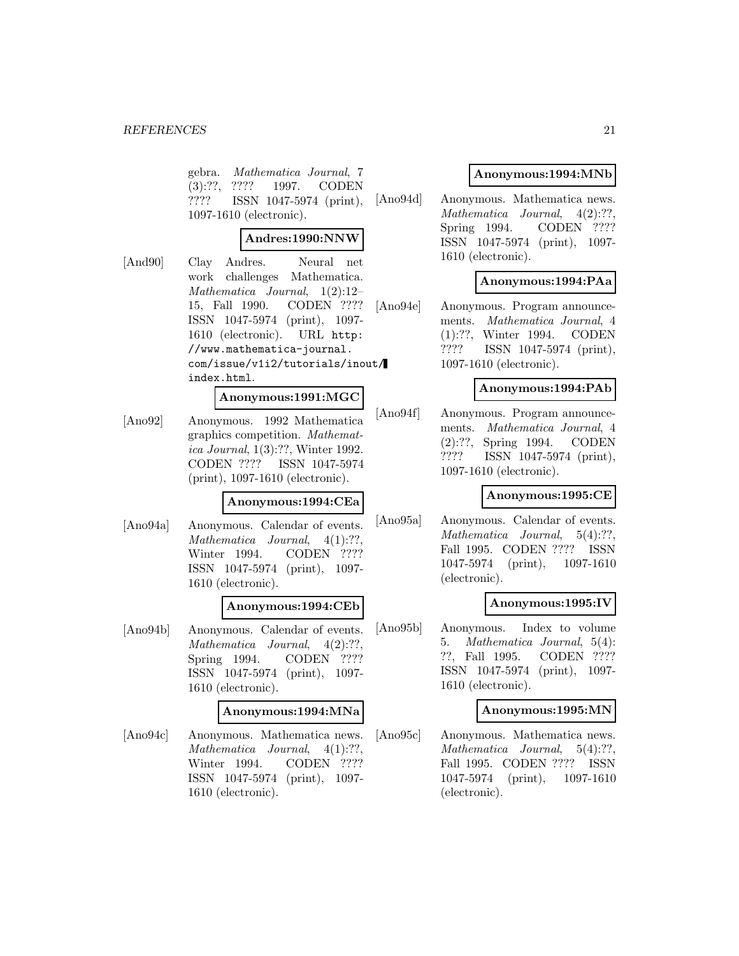gebra. Mathematica Journal, 7 (3):??, ???? 1997. CODEN ???? ISSN 1047-5974 (print), 1097-1610 (electronic).

# **Andres:1990:NNW**

[And90] Clay Andres. Neural net work challenges Mathematica. Mathematica Journal, 1(2):12– 15, Fall 1990. CODEN ???? ISSN 1047-5974 (print), 1097- 1610 (electronic). URL http: //www.mathematica-journal. com/issue/v1i2/tutorials/inout/ index.html.

#### **Anonymous:1991:MGC**

[Ano92] Anonymous. 1992 Mathematica graphics competition. Mathematica Journal, 1(3):??, Winter 1992. CODEN ???? ISSN 1047-5974 (print), 1097-1610 (electronic).

# **Anonymous:1994:CEa**

[Ano94a] Anonymous. Calendar of events. Mathematica Journal, 4(1):??, Winter 1994. CODEN ???? ISSN 1047-5974 (print), 1097- 1610 (electronic).

#### **Anonymous:1994:CEb**

[Ano94b] Anonymous. Calendar of events. Mathematica Journal, 4(2):??, Spring 1994. CODEN ???? ISSN 1047-5974 (print), 1097- 1610 (electronic).

#### **Anonymous:1994:MNa**

[Ano94c] Anonymous. Mathematica news. Mathematica Journal, 4(1):??, Winter 1994. CODEN ???? ISSN 1047-5974 (print), 1097- 1610 (electronic).

# **Anonymous:1994:MNb**

[Ano94d] Anonymous. Mathematica news. Mathematica Journal, 4(2):??, Spring 1994. CODEN ???? ISSN 1047-5974 (print), 1097- 1610 (electronic).

#### **Anonymous:1994:PAa**

[Ano94e] Anonymous. Program announcements. Mathematica Journal, 4 (1):??, Winter 1994. CODEN ???? ISSN 1047-5974 (print), 1097-1610 (electronic).

#### **Anonymous:1994:PAb**

[Ano94f] Anonymous. Program announcements. Mathematica Journal, 4 (2):??, Spring 1994. CODEN ???? ISSN 1047-5974 (print), 1097-1610 (electronic).

#### **Anonymous:1995:CE**

[Ano95a] Anonymous. Calendar of events. Mathematica Journal, 5(4):??, Fall 1995. CODEN ???? ISSN 1047-5974 (print), 1097-1610 (electronic).

#### **Anonymous:1995:IV**

[Ano95b] Anonymous. Index to volume 5. Mathematica Journal, 5(4): ??, Fall 1995. CODEN ???? ISSN 1047-5974 (print), 1097- 1610 (electronic).

# **Anonymous:1995:MN**

[Ano95c] Anonymous. Mathematica news. Mathematica Journal, 5(4):??, Fall 1995. CODEN ???? ISSN 1047-5974 (print), 1097-1610 (electronic).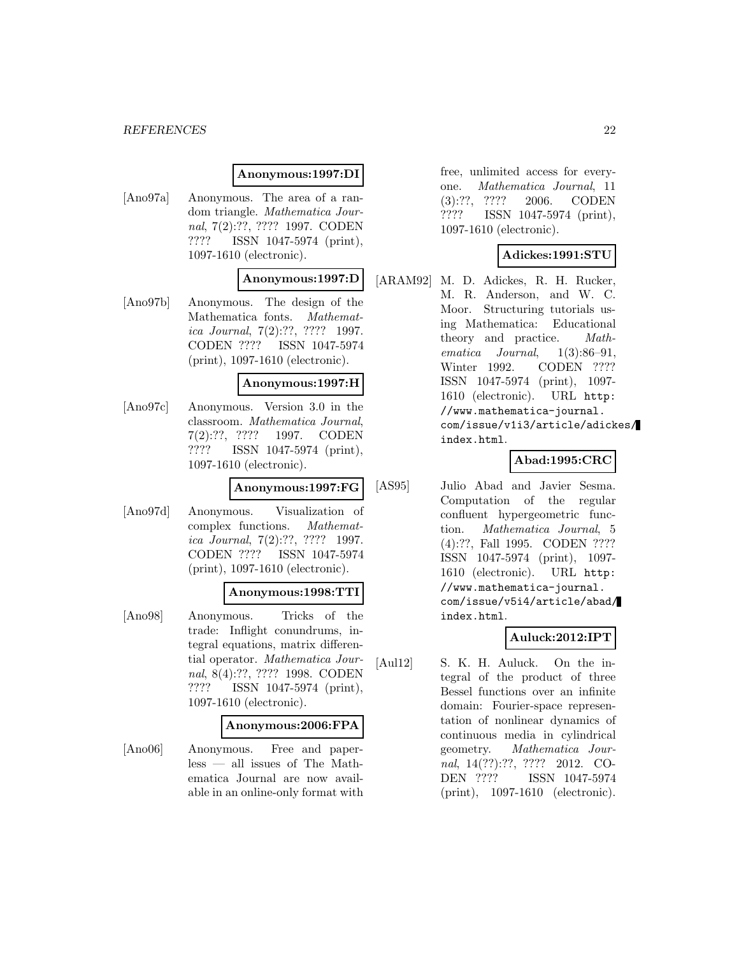#### *REFERENCES* 22

#### **Anonymous:1997:DI**

[Ano97a] Anonymous. The area of a random triangle. Mathematica Journal, 7(2):??, ???? 1997. CODEN ???? ISSN 1047-5974 (print), 1097-1610 (electronic).

#### **Anonymous:1997:D**

[Ano97b] Anonymous. The design of the Mathematica fonts. Mathematica Journal, 7(2):??, ???? 1997. CODEN ???? ISSN 1047-5974 (print), 1097-1610 (electronic).

#### **Anonymous:1997:H**

[Ano97c] Anonymous. Version 3.0 in the classroom. Mathematica Journal, 7(2):??, ???? 1997. CODEN ???? ISSN 1047-5974 (print), 1097-1610 (electronic).

#### **Anonymous:1997:FG**

[Ano97d] Anonymous. Visualization of complex functions. Mathematica Journal, 7(2):??, ???? 1997. CODEN ???? ISSN 1047-5974 (print), 1097-1610 (electronic).

#### **Anonymous:1998:TTI**

[Ano98] Anonymous. Tricks of the trade: Inflight conundrums, integral equations, matrix differential operator. Mathematica Journal, 8(4):??, ???? 1998. CODEN ???? ISSN 1047-5974 (print), 1097-1610 (electronic).

#### **Anonymous:2006:FPA**

[Ano06] Anonymous. Free and paperless — all issues of The Mathematica Journal are now available in an online-only format with free, unlimited access for everyone. Mathematica Journal, 11 (3):??, ???? 2006. CODEN ???? ISSN 1047-5974 (print), 1097-1610 (electronic).

#### **Adickes:1991:STU**

[ARAM92] M. D. Adickes, R. H. Rucker, M. R. Anderson, and W. C. Moor. Structuring tutorials using Mathematica: Educational theory and practice. Mathematica Journal, 1(3):86–91, Winter 1992. CODEN ???? ISSN 1047-5974 (print), 1097- 1610 (electronic). URL http: //www.mathematica-journal. com/issue/v1i3/article/adickes/ index.html.

# **Abad:1995:CRC**

[AS95] Julio Abad and Javier Sesma. Computation of the regular confluent hypergeometric function. Mathematica Journal, 5 (4):??, Fall 1995. CODEN ???? ISSN 1047-5974 (print), 1097- 1610 (electronic). URL http: //www.mathematica-journal. com/issue/v5i4/article/abad/ index.html.

# **Auluck:2012:IPT**

[Aul12] S. K. H. Auluck. On the integral of the product of three Bessel functions over an infinite domain: Fourier-space representation of nonlinear dynamics of continuous media in cylindrical geometry. Mathematica Journal, 14(??):??, ???? 2012. CO-DEN ???? ISSN 1047-5974 (print), 1097-1610 (electronic).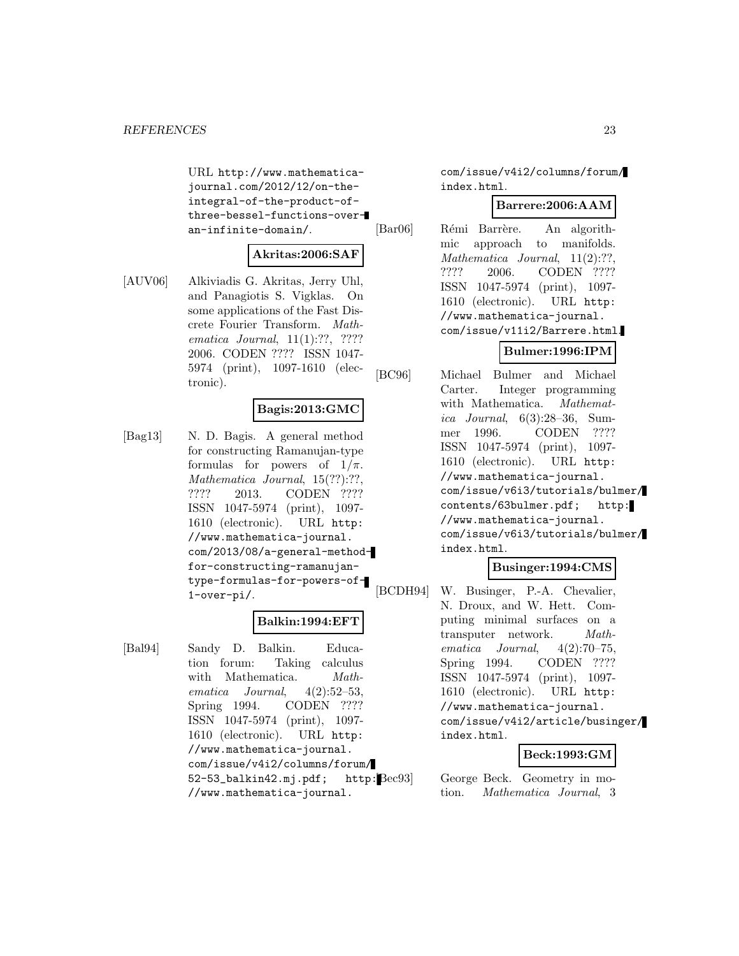URL http://www.mathematicajournal.com/2012/12/on-theintegral-of-the-product-ofthree-bessel-functions-overan-infinite-domain/.

# **Akritas:2006:SAF**

[AUV06] Alkiviadis G. Akritas, Jerry Uhl, and Panagiotis S. Vigklas. On some applications of the Fast Discrete Fourier Transform. Mathematica Journal, 11(1):??, ???? 2006. CODEN ???? ISSN 1047- 5974 (print), 1097-1610 (electronic).

# **Bagis:2013:GMC**

[Bag13] N. D. Bagis. A general method for constructing Ramanujan-type formulas for powers of  $1/\pi$ . Mathematica Journal, 15(??):??, ???? 2013. CODEN ???? ISSN 1047-5974 (print), 1097- 1610 (electronic). URL http: //www.mathematica-journal. com/2013/08/a-general-methodfor-constructing-ramanujantype-formulas-for-powers-of-1-over-pi/.

#### **Balkin:1994:EFT**

[Bal94] Sandy D. Balkin. Education forum: Taking calculus with Mathematica. Mathematica Journal, 4(2):52–53, Spring 1994. CODEN ???? ISSN 1047-5974 (print), 1097- 1610 (electronic). URL http: //www.mathematica-journal. com/issue/v4i2/columns/forum/ 52-53\_balkin42.mj.pdf; http: //www.mathematica-journal.

com/issue/v4i2/columns/forum/ index.html.

#### **Barrere:2006:AAM**

[Bar06] Rémi Barrère. An algorithmic approach to manifolds. Mathematica Journal, 11(2):??, ???? 2006. CODEN ???? ISSN 1047-5974 (print), 1097- 1610 (electronic). URL http: //www.mathematica-journal. com/issue/v11i2/Barrere.html.

# **Bulmer:1996:IPM**

[BC96] Michael Bulmer and Michael Carter. Integer programming with Mathematica. Mathematica Journal, 6(3):28–36, Summer 1996. CODEN ???? ISSN 1047-5974 (print), 1097- 1610 (electronic). URL http: //www.mathematica-journal. com/issue/v6i3/tutorials/bulmer/ contents/63bulmer.pdf; http: //www.mathematica-journal. com/issue/v6i3/tutorials/bulmer/ index.html.

# **Businger:1994:CMS**

[BCDH94] W. Businger, P.-A. Chevalier, N. Droux, and W. Hett. Computing minimal surfaces on a transputer network. Mathematica Journal, 4(2):70–75, Spring 1994. CODEN ???? ISSN 1047-5974 (print), 1097- 1610 (electronic). URL http: //www.mathematica-journal. com/issue/v4i2/article/businger/ index.html.

#### **Beck:1993:GM**

George Beck. Geometry in motion. Mathematica Journal, 3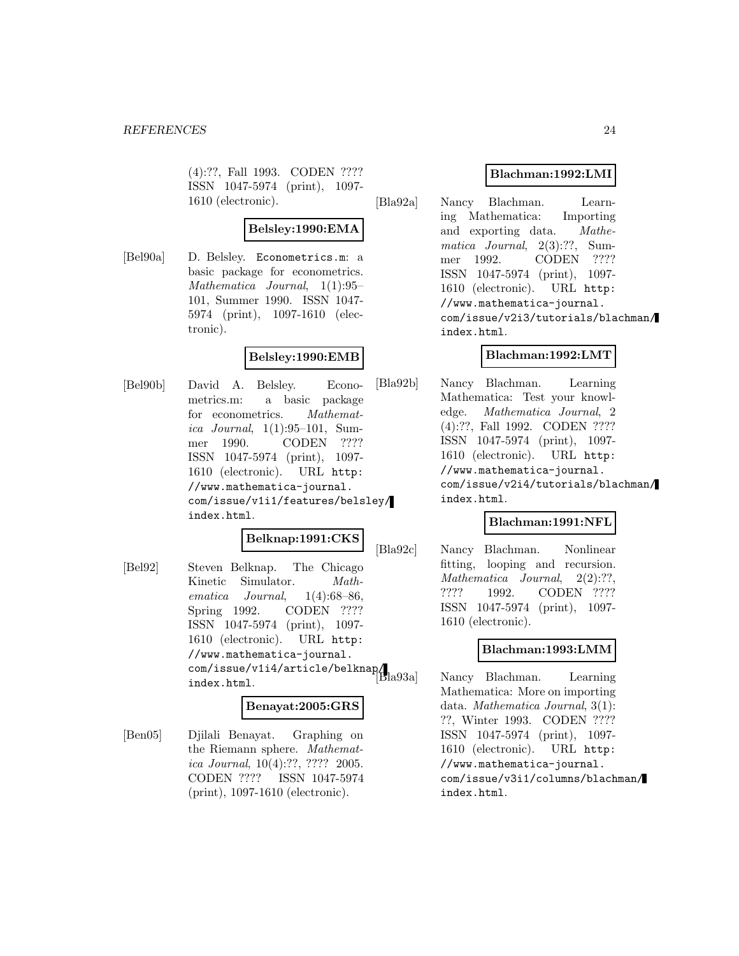(4):??, Fall 1993. CODEN ???? ISSN 1047-5974 (print), 1097- 1610 (electronic).

# **Belsley:1990:EMA**

[Bel90a] D. Belsley. Econometrics.m: a basic package for econometrics. Mathematica Journal, 1(1):95– 101, Summer 1990. ISSN 1047- 5974 (print), 1097-1610 (electronic).

# **Belsley:1990:EMB**

[Bel90b] David A. Belsley. Econometrics.m: a basic package for econometrics. Mathematica Journal, 1(1):95–101, Summer 1990. CODEN ???? ISSN 1047-5974 (print), 1097- 1610 (electronic). URL http: //www.mathematica-journal. com/issue/v1i1/features/belsley/ index.html.

# **Belknap:1991:CKS**

[Bel92] Steven Belknap. The Chicago Kinetic Simulator. Mathematica Journal,  $1(4):68-86$ , Spring 1992. CODEN ???? ISSN 1047-5974 (print), 1097- 1610 (electronic). URL http: //www.mathematica-journal. com/issue/v1i4/article/belknap/ index.html.

# **Benayat:2005:GRS**

[Ben05] Djilali Benayat. Graphing on the Riemann sphere. Mathematica Journal, 10(4):??, ???? 2005. CODEN ???? ISSN 1047-5974 (print), 1097-1610 (electronic).

# **Blachman:1992:LMI**

[Bla92a] Nancy Blachman. Learning Mathematica: Importing and exporting data. Mathematica Journal, 2(3):??, Summer 1992. CODEN ???? ISSN 1047-5974 (print), 1097- 1610 (electronic). URL http: //www.mathematica-journal. com/issue/v2i3/tutorials/blachman/ index.html.

# **Blachman:1992:LMT**

[Bla92b] Nancy Blachman. Learning Mathematica: Test your knowledge. Mathematica Journal, 2 (4):??, Fall 1992. CODEN ???? ISSN 1047-5974 (print), 1097- 1610 (electronic). URL http: //www.mathematica-journal. com/issue/v2i4/tutorials/blachman/ index.html.

# **Blachman:1991:NFL**

[Bla92c] Nancy Blachman. Nonlinear fitting, looping and recursion. Mathematica Journal, 2(2):??, ???? 1992. CODEN ???? ISSN 1047-5974 (print), 1097- 1610 (electronic).

# **Blachman:1993:LMM**

Nancy Blachman. Learning Mathematica: More on importing data. Mathematica Journal, 3(1): ??, Winter 1993. CODEN ???? ISSN 1047-5974 (print), 1097- 1610 (electronic). URL http: //www.mathematica-journal. com/issue/v3i1/columns/blachman/ index.html.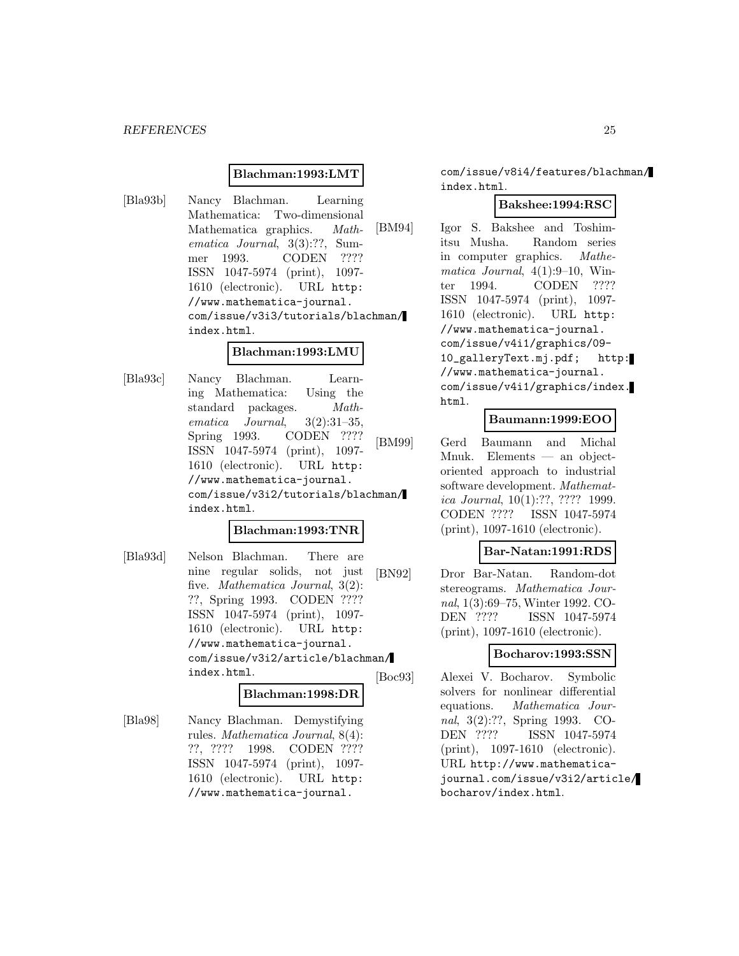#### **Blachman:1993:LMT**

[Bla93b] Nancy Blachman. Learning Mathematica: Two-dimensional Mathematica graphics. Mathematica Journal, 3(3):??, Summer 1993. CODEN ???? ISSN 1047-5974 (print), 1097- 1610 (electronic). URL http: //www.mathematica-journal. com/issue/v3i3/tutorials/blachman/ index.html.

#### **Blachman:1993:LMU**

[Bla93c] Nancy Blachman. Learning Mathematica: Using the standard packages. Mathematica Journal, 3(2):31–35, Spring 1993. CODEN ???? ISSN 1047-5974 (print), 1097- 1610 (electronic). URL http: //www.mathematica-journal. com/issue/v3i2/tutorials/blachman/ index.html.

#### **Blachman:1993:TNR**

[Bla93d] Nelson Blachman. There are nine regular solids, not just five. Mathematica Journal, 3(2): ??, Spring 1993. CODEN ???? ISSN 1047-5974 (print), 1097- 1610 (electronic). URL http: //www.mathematica-journal. com/issue/v3i2/article/blachman/ index.html.

#### **Blachman:1998:DR**

[Bla98] Nancy Blachman. Demystifying rules. Mathematica Journal, 8(4): ??, ???? 1998. CODEN ???? ISSN 1047-5974 (print), 1097- 1610 (electronic). URL http: //www.mathematica-journal.

com/issue/v8i4/features/blachman/ index.html.

# **Bakshee:1994:RSC**

[BM94] Igor S. Bakshee and Toshimitsu Musha. Random series in computer graphics. Mathematica Journal,  $4(1):9-10$ , Winter 1994. CODEN ???? ISSN 1047-5974 (print), 1097- 1610 (electronic). URL http: //www.mathematica-journal. com/issue/v4i1/graphics/09- 10\_galleryText.mj.pdf; http: //www.mathematica-journal. com/issue/v4i1/graphics/index. html.

#### **Baumann:1999:EOO**

[BM99] Gerd Baumann and Michal Mnuk. Elements — an objectoriented approach to industrial software development. Mathematica Journal, 10(1):??, ???? 1999. CODEN ???? ISSN 1047-5974 (print), 1097-1610 (electronic).

#### **Bar-Natan:1991:RDS**

[BN92] Dror Bar-Natan. Random-dot stereograms. Mathematica Journal, 1(3):69–75, Winter 1992. CO-DEN ???? ISSN 1047-5974 (print), 1097-1610 (electronic).

#### **Bocharov:1993:SSN**

[Boc93] Alexei V. Bocharov. Symbolic solvers for nonlinear differential equations. Mathematica Journal, 3(2):??, Spring 1993. CO-DEN ???? ISSN 1047-5974 (print), 1097-1610 (electronic). URL http://www.mathematicajournal.com/issue/v3i2/article/ bocharov/index.html.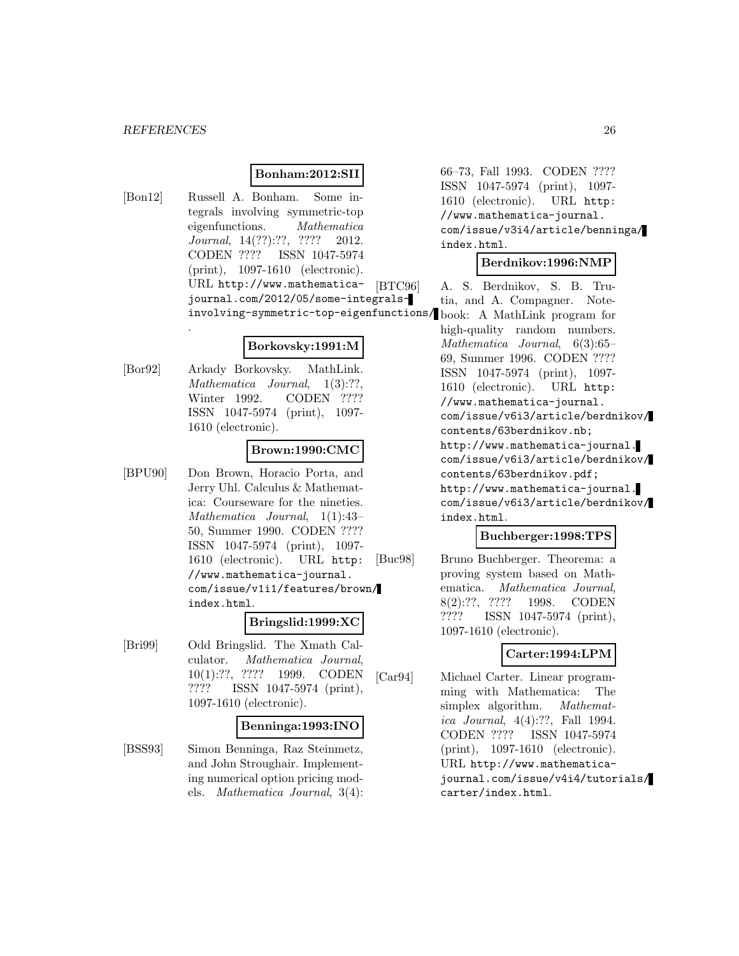.

# **Bonham:2012:SII**

[Bon12] Russell A. Bonham. Some integrals involving symmetric-top eigenfunctions. Mathematica Journal, 14(??):??, ???? 2012. CODEN ???? ISSN 1047-5974 (print), 1097-1610 (electronic). URL http://www.mathematica- [BTC96] journal.com/2012/05/some-integralsinvolving-symmetric-top-eigenfunctions/ book: A MathLink program for

#### **Borkovsky:1991:M**

[Bor92] Arkady Borkovsky. MathLink. Mathematica Journal, 1(3):??, Winter 1992. CODEN ???? ISSN 1047-5974 (print), 1097- 1610 (electronic).

# **Brown:1990:CMC**

[BPU90] Don Brown, Horacio Porta, and Jerry Uhl. Calculus & Mathematica: Courseware for the nineties. Mathematica Journal, 1(1):43– 50, Summer 1990. CODEN ???? ISSN 1047-5974 (print), 1097- 1610 (electronic). URL http: //www.mathematica-journal. com/issue/v1i1/features/brown/ index.html.

#### **Bringslid:1999:XC**

[Bri99] Odd Bringslid. The Xmath Calculator. Mathematica Journal, 10(1):??, ???? 1999. CODEN ???? ISSN 1047-5974 (print), 1097-1610 (electronic).

#### **Benninga:1993:INO**

[BSS93] Simon Benninga, Raz Steinmetz, and John Stroughair. Implementing numerical option pricing models. Mathematica Journal, 3(4):

66–73, Fall 1993. CODEN ???? ISSN 1047-5974 (print), 1097- 1610 (electronic). URL http: //www.mathematica-journal. com/issue/v3i4/article/benninga/ index.html.

#### **Berdnikov:1996:NMP**

A. S. Berdnikov, S. B. Trutia, and A. Compagner. Notehigh-quality random numbers. Mathematica Journal, 6(3):65– 69, Summer 1996. CODEN ???? ISSN 1047-5974 (print), 1097- 1610 (electronic). URL http: //www.mathematica-journal. com/issue/v6i3/article/berdnikov/ contents/63berdnikov.nb; http://www.mathematica-journal. com/issue/v6i3/article/berdnikov/ contents/63berdnikov.pdf; http://www.mathematica-journal. com/issue/v6i3/article/berdnikov/ index.html.

#### **Buchberger:1998:TPS**

[Buc98] Bruno Buchberger. Theorema: a proving system based on Mathematica. Mathematica Journal, 8(2):??, ???? 1998. CODEN ???? ISSN 1047-5974 (print), 1097-1610 (electronic).

# **Carter:1994:LPM**

[Car94] Michael Carter. Linear programming with Mathematica: The simplex algorithm. *Mathemat*ica Journal, 4(4):??, Fall 1994. CODEN ???? ISSN 1047-5974 (print), 1097-1610 (electronic). URL http://www.mathematicajournal.com/issue/v4i4/tutorials/ carter/index.html.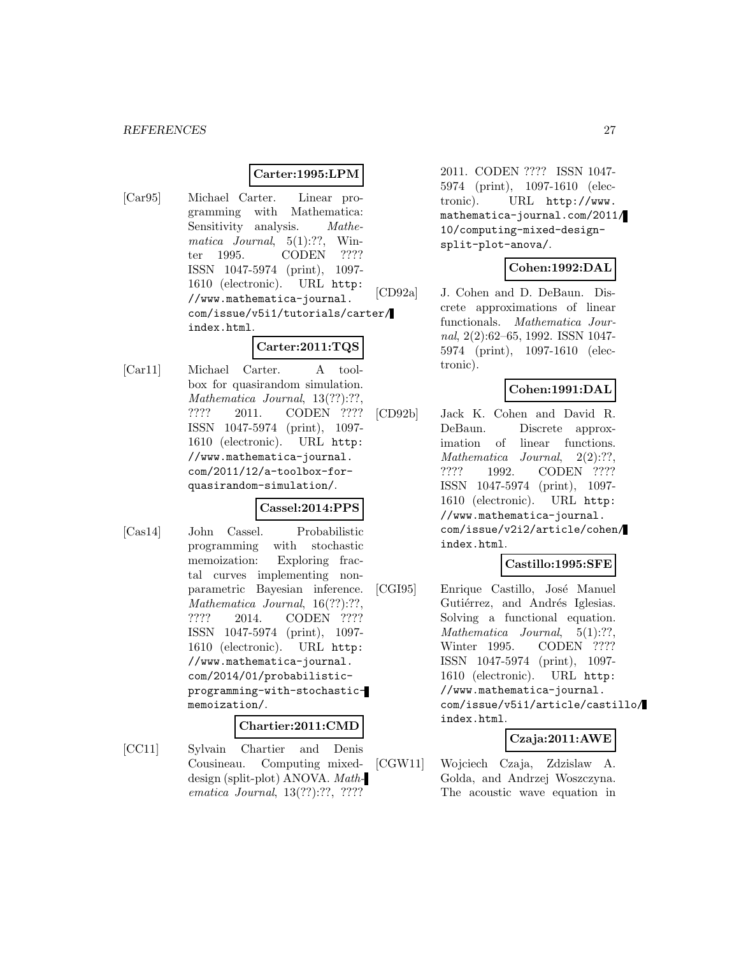#### **Carter:1995:LPM**

[Car95] Michael Carter. Linear programming with Mathematica: Sensitivity analysis. *Mathe*matica Journal,  $5(1):$ ??, Winter 1995. CODEN ???? ISSN 1047-5974 (print), 1097- 1610 (electronic). URL http: //www.mathematica-journal. com/issue/v5i1/tutorials/carter/ index.html.

# **Carter:2011:TQS**

[Car11] Michael Carter. A toolbox for quasirandom simulation. Mathematica Journal, 13(??):??, ???? 2011. CODEN ???? ISSN 1047-5974 (print), 1097- 1610 (electronic). URL http: //www.mathematica-journal. com/2011/12/a-toolbox-forquasirandom-simulation/.

# **Cassel:2014:PPS**

[Cas14] John Cassel. Probabilistic programming with stochastic memoization: Exploring fractal curves implementing nonparametric Bayesian inference. Mathematica Journal, 16(??):??, ???? 2014. CODEN ???? ISSN 1047-5974 (print), 1097- 1610 (electronic). URL http: //www.mathematica-journal. com/2014/01/probabilisticprogramming-with-stochasticmemoization/.

#### **Chartier:2011:CMD**

[CC11] Sylvain Chartier and Denis Cousineau. Computing mixeddesign (split-plot) ANOVA. Mathematica Journal, 13(??):??, ????

2011. CODEN ???? ISSN 1047- 5974 (print), 1097-1610 (electronic). URL http://www. mathematica-journal.com/2011/ 10/computing-mixed-designsplit-plot-anova/.

# **Cohen:1992:DAL**

[CD92a] J. Cohen and D. DeBaun. Discrete approximations of linear functionals. Mathematica Journal, 2(2):62–65, 1992. ISSN 1047- 5974 (print), 1097-1610 (electronic).

# **Cohen:1991:DAL**

[CD92b] Jack K. Cohen and David R. DeBaun. Discrete approximation of linear functions. Mathematica Journal, 2(2):??, ???? 1992. CODEN ???? ISSN 1047-5974 (print), 1097- 1610 (electronic). URL http: //www.mathematica-journal. com/issue/v2i2/article/cohen/ index.html.

# **Castillo:1995:SFE**

[CGI95] Enrique Castillo, José Manuel Gutiérrez, and Andrés Iglesias. Solving a functional equation. Mathematica Journal, 5(1):??, Winter 1995. CODEN ???? ISSN 1047-5974 (print), 1097- 1610 (electronic). URL http: //www.mathematica-journal. com/issue/v5i1/article/castillo/ index.html.

# **Czaja:2011:AWE**

[CGW11] Wojciech Czaja, Zdzislaw A. Golda, and Andrzej Woszczyna. The acoustic wave equation in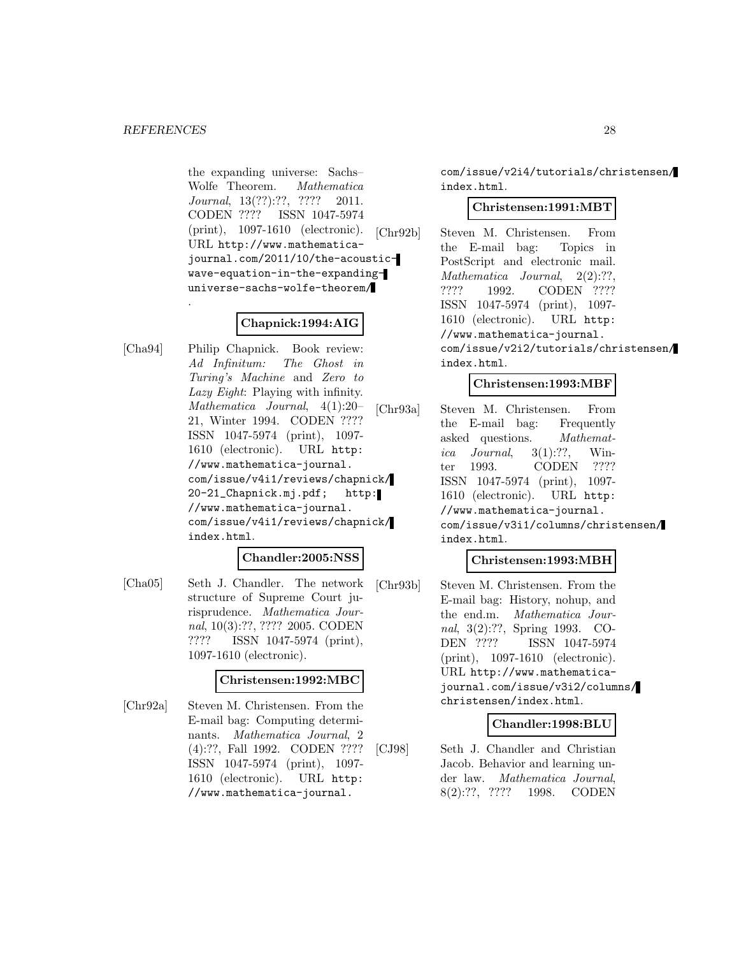.

the expanding universe: Sachs– Wolfe Theorem. Mathematica Journal, 13(??):??, ???? 2011. CODEN ???? ISSN 1047-5974 (print), 1097-1610 (electronic). URL http://www.mathematicajournal.com/2011/10/the-acousticwave-equation-in-the-expandinguniverse-sachs-wolfe-theorem/

# **Chapnick:1994:AIG**

[Cha94] Philip Chapnick. Book review: Ad Infinitum: The Ghost in Turing's Machine and Zero to Lazy Eight: Playing with infinity. Mathematica Journal, 4(1):20– 21, Winter 1994. CODEN ???? ISSN 1047-5974 (print), 1097- 1610 (electronic). URL http: //www.mathematica-journal. com/issue/v4i1/reviews/chapnick/ 20-21\_Chapnick.mj.pdf; http: //www.mathematica-journal. com/issue/v4i1/reviews/chapnick/ index.html.

#### **Chandler:2005:NSS**

[Cha05] Seth J. Chandler. The network structure of Supreme Court jurisprudence. Mathematica Journal, 10(3):??, ???? 2005. CODEN ???? ISSN 1047-5974 (print), 1097-1610 (electronic).

#### **Christensen:1992:MBC**

[Chr92a] Steven M. Christensen. From the E-mail bag: Computing determinants. Mathematica Journal, 2 (4):??, Fall 1992. CODEN ???? ISSN 1047-5974 (print), 1097- 1610 (electronic). URL http: //www.mathematica-journal.

com/issue/v2i4/tutorials/christensen/ index.html.

#### **Christensen:1991:MBT**

[Chr92b] Steven M. Christensen. From the E-mail bag: Topics in PostScript and electronic mail. Mathematica Journal, 2(2):??, ???? 1992. CODEN ???? ISSN 1047-5974 (print), 1097- 1610 (electronic). URL http: //www.mathematica-journal. com/issue/v2i2/tutorials/christensen/ index.html.

# **Christensen:1993:MBF**

[Chr93a] Steven M. Christensen. From the E-mail bag: Frequently asked questions. Mathematica Journal,  $3(1)$ :??, Winter 1993. CODEN ???? ISSN 1047-5974 (print), 1097- 1610 (electronic). URL http: //www.mathematica-journal. com/issue/v3i1/columns/christensen/ index.html.

# **Christensen:1993:MBH**

[Chr93b] Steven M. Christensen. From the E-mail bag: History, nohup, and the end.m. Mathematica Journal, 3(2):??, Spring 1993. CO-DEN ???? ISSN 1047-5974 (print), 1097-1610 (electronic). URL http://www.mathematicajournal.com/issue/v3i2/columns/ christensen/index.html.

# **Chandler:1998:BLU**

[CJ98] Seth J. Chandler and Christian Jacob. Behavior and learning under law. Mathematica Journal, 8(2):??, ???? 1998. CODEN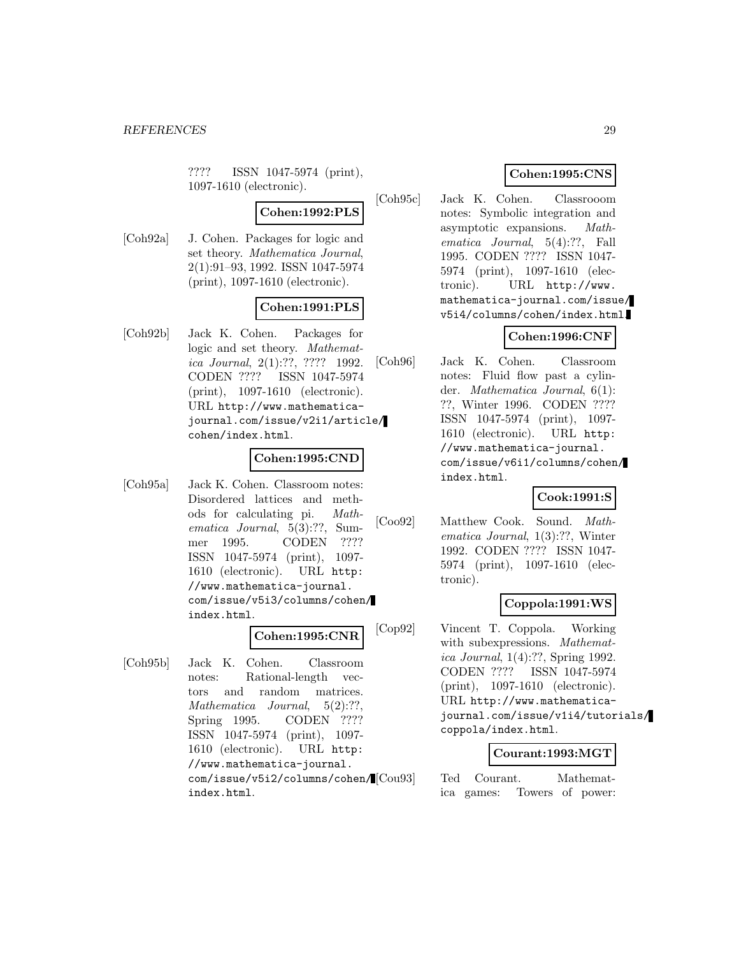???? ISSN 1047-5974 (print), 1097-1610 (electronic).

# **Cohen:1992:PLS**

[Coh92a] J. Cohen. Packages for logic and set theory. Mathematica Journal, 2(1):91–93, 1992. ISSN 1047-5974 (print), 1097-1610 (electronic).

# **Cohen:1991:PLS**

[Coh92b] Jack K. Cohen. Packages for logic and set theory. Mathematica Journal, 2(1):??, ???? 1992. CODEN ???? ISSN 1047-5974 (print), 1097-1610 (electronic). URL http://www.mathematicajournal.com/issue/v2i1/article/ cohen/index.html.

# **Cohen:1995:CND**

[Coh95a] Jack K. Cohen. Classroom notes: Disordered lattices and methods for calculating pi. Mathematica Journal, 5(3):??, Summer 1995. CODEN ???? ISSN 1047-5974 (print), 1097- 1610 (electronic). URL http: //www.mathematica-journal. com/issue/v5i3/columns/cohen/ index.html.

#### **Cohen:1995:CNR**

[Coh95b] Jack K. Cohen. Classroom notes: Rational-length vectors and random matrices. Mathematica Journal, 5(2):??, Spring 1995. CODEN ???? ISSN 1047-5974 (print), 1097- 1610 (electronic). URL http: //www.mathematica-journal. com/issue/v5i2/columns/cohen/ index.html.

# **Cohen:1995:CNS**

[Coh95c] Jack K. Cohen. Classrooom notes: Symbolic integration and asymptotic expansions. Mathematica Journal, 5(4):??, Fall 1995. CODEN ???? ISSN 1047- 5974 (print), 1097-1610 (electronic). URL http://www. mathematica-journal.com/issue/ v5i4/columns/cohen/index.html.

# **Cohen:1996:CNF**

[Coh96] Jack K. Cohen. Classroom notes: Fluid flow past a cylinder. Mathematica Journal, 6(1): ??, Winter 1996. CODEN ???? ISSN 1047-5974 (print), 1097- 1610 (electronic). URL http: //www.mathematica-journal. com/issue/v6i1/columns/cohen/ index.html.

# **Cook:1991:S**

[Coo92] Matthew Cook. Sound. Mathematica Journal, 1(3):??, Winter 1992. CODEN ???? ISSN 1047- 5974 (print), 1097-1610 (electronic).

# **Coppola:1991:WS**

[Cop92] Vincent T. Coppola. Working with subexpressions. Mathematica Journal, 1(4):??, Spring 1992. CODEN ???? ISSN 1047-5974 (print), 1097-1610 (electronic). URL http://www.mathematicajournal.com/issue/v1i4/tutorials/ coppola/index.html.

#### **Courant:1993:MGT**

Ted Courant. Mathematica games: Towers of power: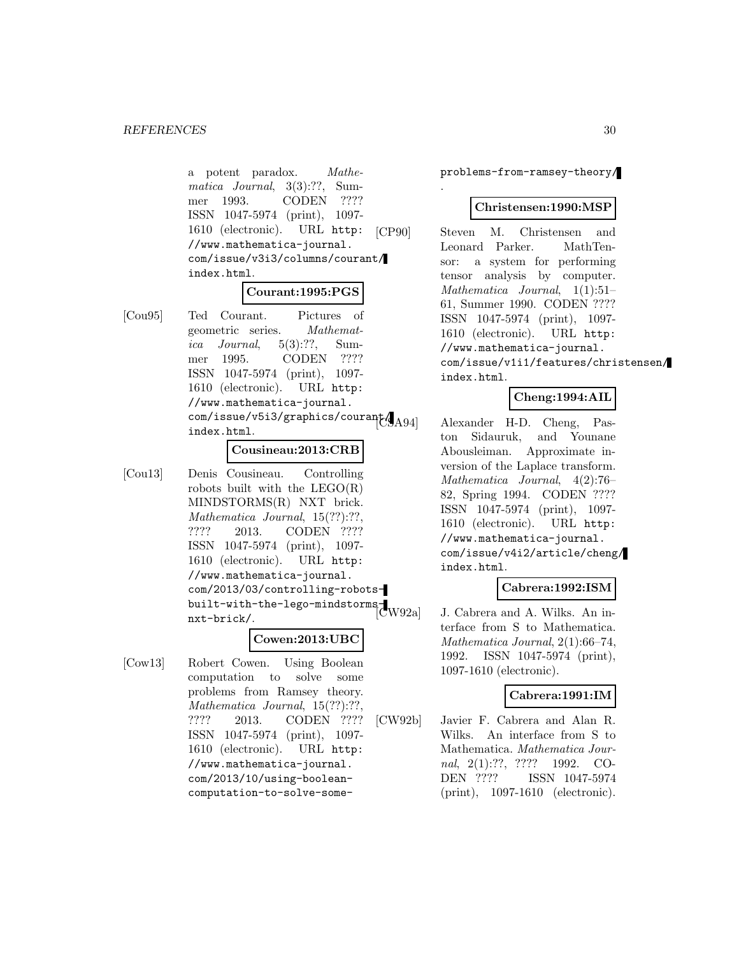a potent paradox. Mathematica Journal, 3(3):??, Summer 1993. CODEN ???? ISSN 1047-5974 (print), 1097- 1610 (electronic). URL http: //www.mathematica-journal. com/issue/v3i3/columns/courant/ index.html.

#### **Courant:1995:PGS**

[Cou95] Ted Courant. Pictures of geometric series. Mathematica Journal,  $5(3):$ ??, Summer 1995. CODEN ???? ISSN 1047-5974 (print), 1097- 1610 (electronic). URL http: //www.mathematica-journal.  $\text{com}/\text{issue}/\text{v5i3}/\text{graphics}/\text{couran}$ index.html.

#### **Cousineau:2013:CRB**

[Cou13] Denis Cousineau. Controlling robots built with the  $LEGO(R)$ MINDSTORMS(R) NXT brick. Mathematica Journal, 15(??):??, ???? 2013. CODEN ???? ISSN 1047-5974 (print), 1097- 1610 (electronic). URL http: //www.mathematica-journal. com/2013/03/controlling-robotsbuilt-with-the-lego-mindstorms-<br>|CW92a nxt-brick/.

#### **Cowen:2013:UBC**

[Cow13] Robert Cowen. Using Boolean computation to solve some problems from Ramsey theory. Mathematica Journal, 15(??):??, ???? 2013. CODEN ???? ISSN 1047-5974 (print), 1097- 1610 (electronic). URL http: //www.mathematica-journal. com/2013/10/using-booleancomputation-to-solve-someproblems-from-ramsey-theory/

.

#### **Christensen:1990:MSP**

[CP90] Steven M. Christensen and Leonard Parker. MathTensor: a system for performing tensor analysis by computer. Mathematica Journal, 1(1):51– 61, Summer 1990. CODEN ???? ISSN 1047-5974 (print), 1097- 1610 (electronic). URL http: //www.mathematica-journal. com/issue/v1i1/features/christensen/ index.html.

# **Cheng:1994:AIL**

Alexander H-D. Cheng, Paston Sidauruk, and Younane Abousleiman. Approximate inversion of the Laplace transform. Mathematica Journal, 4(2):76– 82, Spring 1994. CODEN ???? ISSN 1047-5974 (print), 1097- 1610 (electronic). URL http: //www.mathematica-journal. com/issue/v4i2/article/cheng/ index.html.

# **Cabrera:1992:ISM**

J. Cabrera and A. Wilks. An interface from S to Mathematica. Mathematica Journal, 2(1):66–74, 1992. ISSN 1047-5974 (print), 1097-1610 (electronic).

#### **Cabrera:1991:IM**

[CW92b] Javier F. Cabrera and Alan R. Wilks. An interface from S to Mathematica. Mathematica Journal, 2(1):??, ???? 1992. CO-DEN ???? ISSN 1047-5974 (print), 1097-1610 (electronic).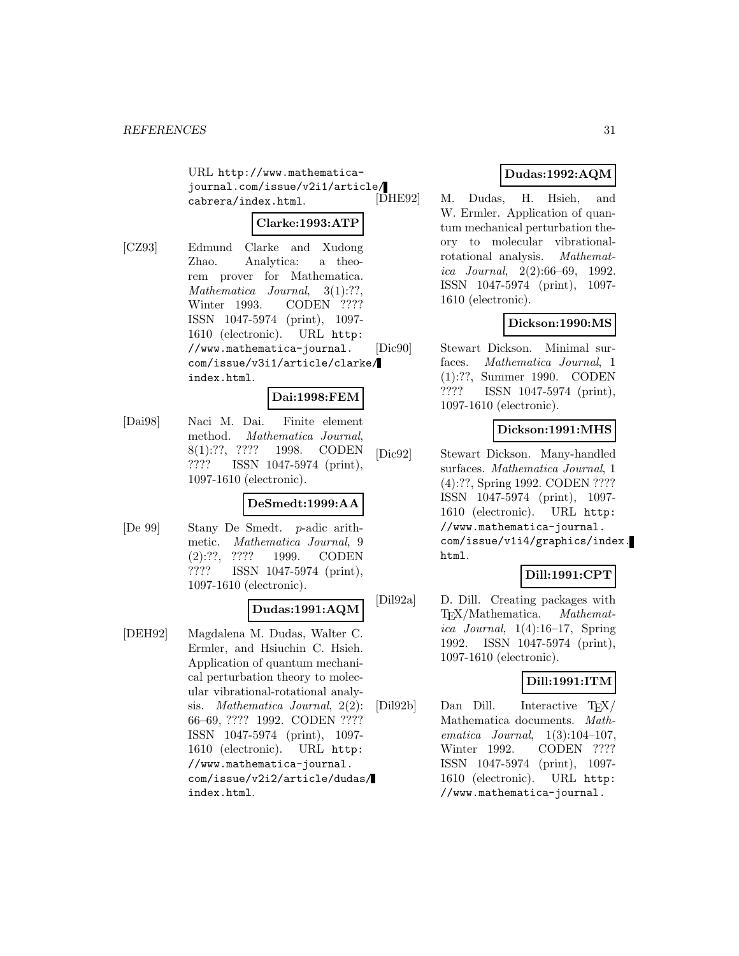URL http://www.mathematicajournal.com/issue/v2i1/article/ cabrera/index.html.

# **Clarke:1993:ATP**

[CZ93] Edmund Clarke and Xudong Zhao. Analytica: a theorem prover for Mathematica. Mathematica Journal, 3(1):??, Winter 1993. CODEN ???? ISSN 1047-5974 (print), 1097- 1610 (electronic). URL http: //www.mathematica-journal. com/issue/v3i1/article/clarke/ index.html.

# **Dai:1998:FEM**

[Dai98] Naci M. Dai. Finite element method. Mathematica Journal, 8(1):??, ???? 1998. CODEN ???? ISSN 1047-5974 (print), 1097-1610 (electronic).

#### **DeSmedt:1999:AA**

[De 99] Stany De Smedt. p-adic arithmetic. Mathematica Journal, 9 (2):??, ???? 1999. CODEN ???? ISSN 1047-5974 (print), 1097-1610 (electronic).

# **Dudas:1991:AQM**

[DEH92] Magdalena M. Dudas, Walter C. Ermler, and Hsiuchin C. Hsieh. Application of quantum mechanical perturbation theory to molecular vibrational-rotational analysis. Mathematica Journal, 2(2): 66–69, ???? 1992. CODEN ???? ISSN 1047-5974 (print), 1097- 1610 (electronic). URL http: //www.mathematica-journal. com/issue/v2i2/article/dudas/ index.html.

# **Dudas:1992:AQM**

M. Dudas, H. Hsieh, and W. Ermler. Application of quantum mechanical perturbation theory to molecular vibrationalrotational analysis. Mathematica Journal, 2(2):66–69, 1992. ISSN 1047-5974 (print), 1097- 1610 (electronic).

# **Dickson:1990:MS**

[Dic90] Stewart Dickson. Minimal surfaces. Mathematica Journal, 1 (1):??, Summer 1990. CODEN ???? ISSN 1047-5974 (print), 1097-1610 (electronic).

# **Dickson:1991:MHS**

[Dic92] Stewart Dickson. Many-handled surfaces. Mathematica Journal, 1 (4):??, Spring 1992. CODEN ???? ISSN 1047-5974 (print), 1097- 1610 (electronic). URL http: //www.mathematica-journal. com/issue/v1i4/graphics/index. html.

# **Dill:1991:CPT**

[Dil92a] D. Dill. Creating packages with TEX/Mathematica. Mathematica Journal,  $1(4):16-17$ , Spring 1992. ISSN 1047-5974 (print), 1097-1610 (electronic).

# **Dill:1991:ITM**

[Dil92b] Dan Dill. Interactive TEX/ Mathematica documents. Mathematica Journal,  $1(3):104-107$ , Winter 1992. CODEN ???? ISSN 1047-5974 (print), 1097- 1610 (electronic). URL http: //www.mathematica-journal.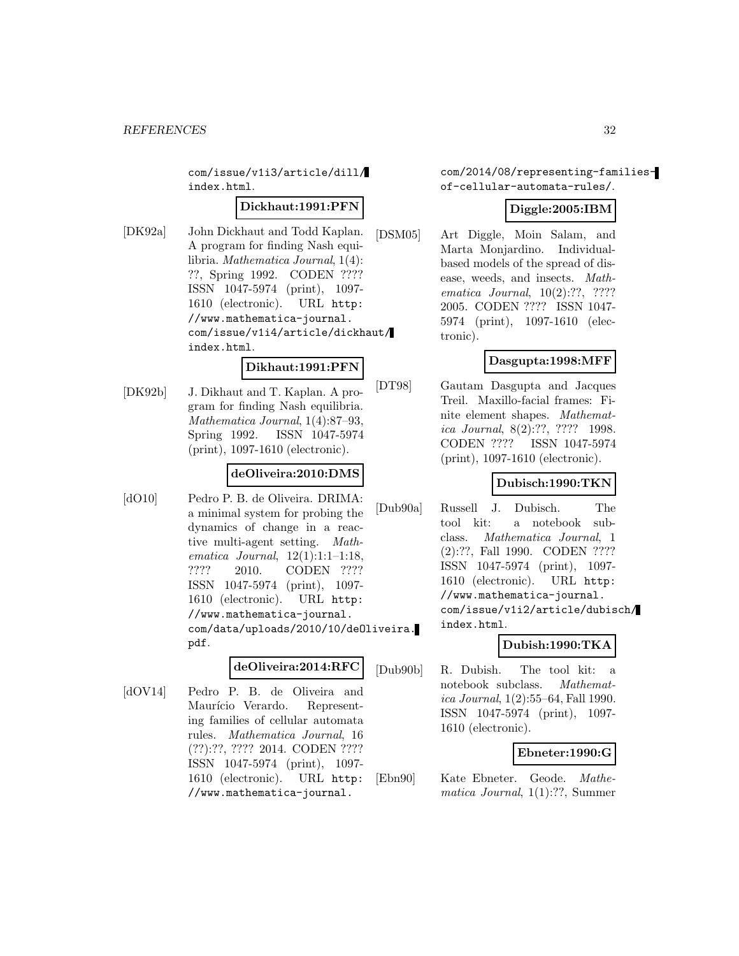com/issue/v1i3/article/dill/ index.html.

# **Dickhaut:1991:PFN**

[DK92a] John Dickhaut and Todd Kaplan. A program for finding Nash equilibria. Mathematica Journal, 1(4): ??, Spring 1992. CODEN ???? ISSN 1047-5974 (print), 1097- 1610 (electronic). URL http: //www.mathematica-journal. com/issue/v1i4/article/dickhaut/ index.html.

#### **Dikhaut:1991:PFN**

[DK92b] J. Dikhaut and T. Kaplan. A program for finding Nash equilibria. Mathematica Journal, 1(4):87–93, Spring 1992. ISSN 1047-5974 (print), 1097-1610 (electronic).

# **deOliveira:2010:DMS**

[dO10] Pedro P. B. de Oliveira. DRIMA: a minimal system for probing the dynamics of change in a reactive multi-agent setting. Mathematica Journal, 12(1):1:1–1:18, ???? 2010. CODEN ???? ISSN 1047-5974 (print), 1097- 1610 (electronic). URL http: //www.mathematica-journal. com/data/uploads/2010/10/deOliveira. pdf.

# **deOliveira:2014:RFC**

[dOV14] Pedro P. B. de Oliveira and Maurício Verardo. Representing families of cellular automata rules. Mathematica Journal, 16 (??):??, ???? 2014. CODEN ???? ISSN 1047-5974 (print), 1097- 1610 (electronic). URL http: //www.mathematica-journal.

com/2014/08/representing-familiesof-cellular-automata-rules/.

# **Diggle:2005:IBM**

[DSM05] Art Diggle, Moin Salam, and Marta Monjardino. Individualbased models of the spread of disease, weeds, and insects. Mathematica Journal, 10(2):??, ???? 2005. CODEN ???? ISSN 1047- 5974 (print), 1097-1610 (electronic).

# **Dasgupta:1998:MFF**

[DT98] Gautam Dasgupta and Jacques Treil. Maxillo-facial frames: Finite element shapes. Mathematica Journal, 8(2):??, ???? 1998. CODEN ???? ISSN 1047-5974 (print), 1097-1610 (electronic).

# **Dubisch:1990:TKN**

[Dub90a] Russell J. Dubisch. The tool kit: a notebook subclass. Mathematica Journal, 1 (2):??, Fall 1990. CODEN ???? ISSN 1047-5974 (print), 1097- 1610 (electronic). URL http: //www.mathematica-journal. com/issue/v1i2/article/dubisch/ index.html.

# **Dubish:1990:TKA**

[Dub90b] R. Dubish. The tool kit: a notebook subclass. Mathematica Journal, 1(2):55–64, Fall 1990. ISSN 1047-5974 (print), 1097- 1610 (electronic).

# **Ebneter:1990:G**

[Ebn90] Kate Ebneter. Geode. Mathematica Journal, 1(1):??, Summer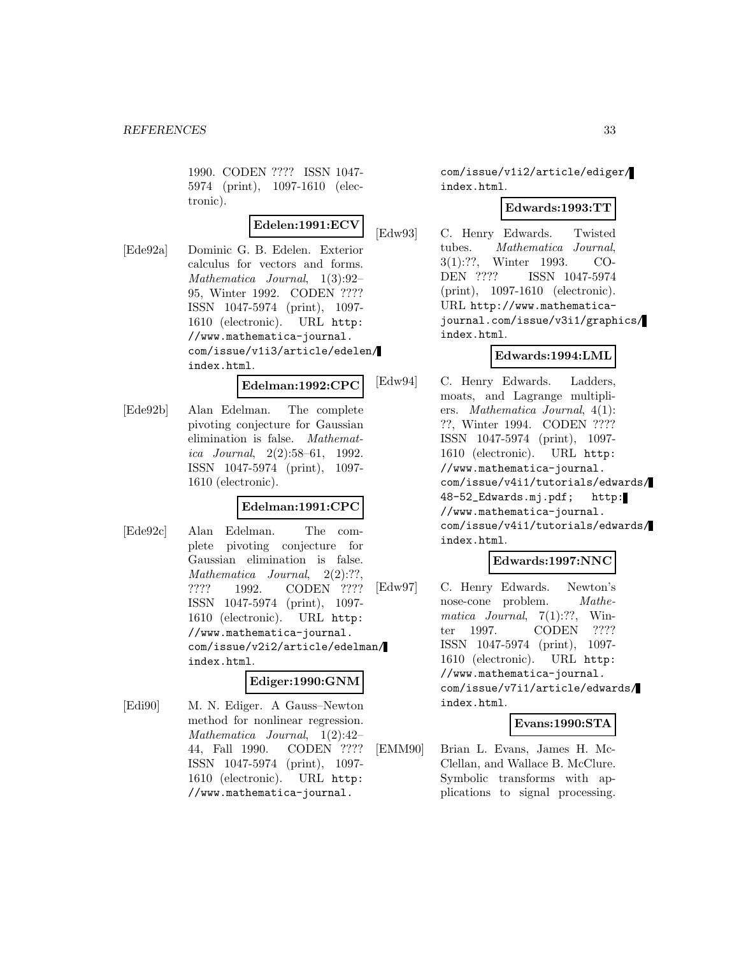1990. CODEN ???? ISSN 1047- 5974 (print), 1097-1610 (electronic).

# **Edelen:1991:ECV**

[Ede92a] Dominic G. B. Edelen. Exterior calculus for vectors and forms. Mathematica Journal, 1(3):92– 95, Winter 1992. CODEN ???? ISSN 1047-5974 (print), 1097- 1610 (electronic). URL http: //www.mathematica-journal. com/issue/v1i3/article/edelen/ index.html.

**Edelman:1992:CPC**

[Ede92b] Alan Edelman. The complete pivoting conjecture for Gaussian elimination is false. Mathematica Journal, 2(2):58–61, 1992. ISSN 1047-5974 (print), 1097- 1610 (electronic).

# **Edelman:1991:CPC**

[Ede92c] Alan Edelman. The complete pivoting conjecture for Gaussian elimination is false. Mathematica Journal, 2(2):??, ???? 1992. CODEN ???? ISSN 1047-5974 (print), 1097- 1610 (electronic). URL http: //www.mathematica-journal. com/issue/v2i2/article/edelman/ index.html.

# **Ediger:1990:GNM**

[Edi90] M. N. Ediger. A Gauss–Newton method for nonlinear regression. Mathematica Journal, 1(2):42– 44, Fall 1990. CODEN ???? ISSN 1047-5974 (print), 1097- 1610 (electronic). URL http: //www.mathematica-journal.

com/issue/v1i2/article/ediger/ index.html.

# **Edwards:1993:TT**

[Edw93] C. Henry Edwards. Twisted tubes. Mathematica Journal, 3(1):??, Winter 1993. CO-DEN ???? ISSN 1047-5974 (print), 1097-1610 (electronic). URL http://www.mathematicajournal.com/issue/v3i1/graphics/ index.html.

# **Edwards:1994:LML**

[Edw94] C. Henry Edwards. Ladders, moats, and Lagrange multipliers. Mathematica Journal, 4(1): ??, Winter 1994. CODEN ???? ISSN 1047-5974 (print), 1097- 1610 (electronic). URL http: //www.mathematica-journal. com/issue/v4i1/tutorials/edwards/ 48-52\_Edwards.mj.pdf; http: //www.mathematica-journal. com/issue/v4i1/tutorials/edwards/ index.html.

# **Edwards:1997:NNC**

[Edw97] C. Henry Edwards. Newton's nose-cone problem. *Mathe*matica Journal,  $7(1)$ :??, Winter 1997. CODEN ???? ISSN 1047-5974 (print), 1097- 1610 (electronic). URL http: //www.mathematica-journal. com/issue/v7i1/article/edwards/ index.html.

# **Evans:1990:STA**

[EMM90] Brian L. Evans, James H. Mc-Clellan, and Wallace B. McClure. Symbolic transforms with applications to signal processing.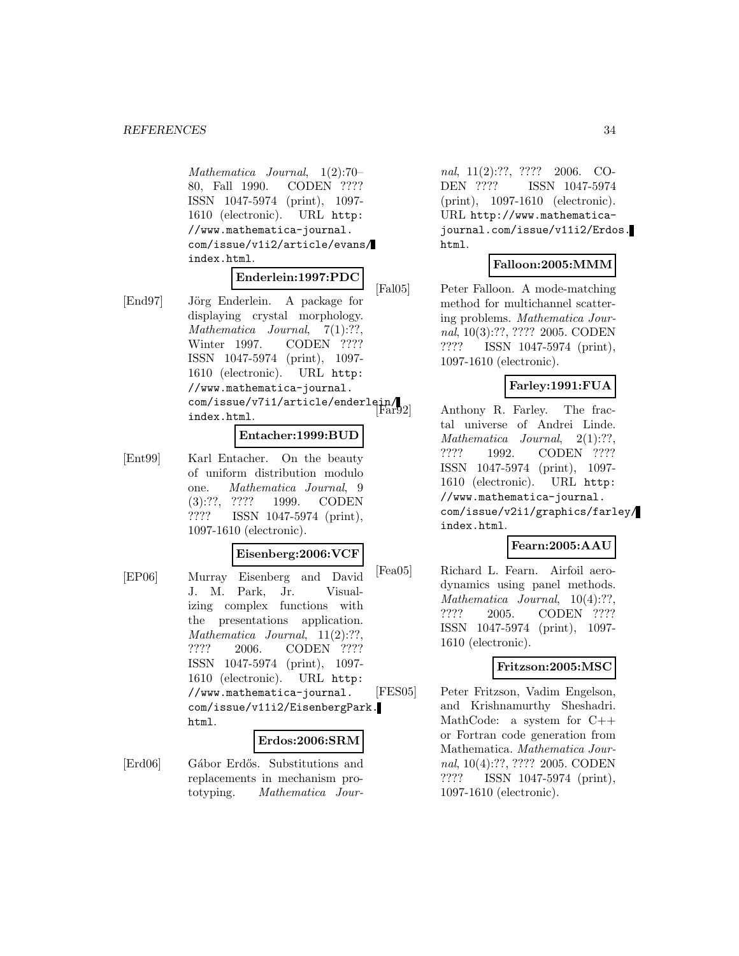Mathematica Journal, 1(2):70– 80, Fall 1990. CODEN ???? ISSN 1047-5974 (print), 1097- 1610 (electronic). URL http: //www.mathematica-journal. com/issue/v1i2/article/evans/ index.html.

# **Enderlein:1997:PDC**

[End97] Jörg Enderlein. A package for displaying crystal morphology. Mathematica Journal, 7(1):??, Winter 1997. CODEN ???? ISSN 1047-5974 (print), 1097- 1610 (electronic). URL http: //www.mathematica-journal. com/issue/v7i1/article/enderlein/ index.html.

#### **Entacher:1999:BUD**

[Ent99] Karl Entacher. On the beauty of uniform distribution modulo one. Mathematica Journal, 9 (3):??, ???? 1999. CODEN ???? ISSN 1047-5974 (print), 1097-1610 (electronic).

#### **Eisenberg:2006:VCF**

[EP06] Murray Eisenberg and David J. M. Park, Jr. Visualizing complex functions with the presentations application. Mathematica Journal, 11(2):??, ???? 2006. CODEN ???? ISSN 1047-5974 (print), 1097- 1610 (electronic). URL http: //www.mathematica-journal. com/issue/v11i2/EisenbergPark. html.

#### **Erdos:2006:SRM**

[Erd06] Gábor Erdős. Substitutions and replacements in mechanism prototyping. Mathematica Jour-

nal, 11(2):??, ???? 2006. CO-DEN ???? ISSN 1047-5974 (print), 1097-1610 (electronic). URL http://www.mathematicajournal.com/issue/v11i2/Erdos. html.

#### **Falloon:2005:MMM**

[Fal05] Peter Falloon. A mode-matching method for multichannel scattering problems. Mathematica Journal, 10(3):??, ???? 2005. CODEN ???? ISSN 1047-5974 (print), 1097-1610 (electronic).

#### **Farley:1991:FUA**

Anthony R. Farley. The fractal universe of Andrei Linde. Mathematica Journal, 2(1):??, ???? 1992. CODEN ???? ISSN 1047-5974 (print), 1097- 1610 (electronic). URL http: //www.mathematica-journal. com/issue/v2i1/graphics/farley/ index.html.

#### **Fearn:2005:AAU**

[Fea05] Richard L. Fearn. Airfoil aerodynamics using panel methods. Mathematica Journal,  $10(4)$ :??, ???? 2005. CODEN ???? ISSN 1047-5974 (print), 1097- 1610 (electronic).

# **Fritzson:2005:MSC**

[FES05] Peter Fritzson, Vadim Engelson, and Krishnamurthy Sheshadri. MathCode: a system for  $C++$ or Fortran code generation from Mathematica. Mathematica Journal, 10(4):??, ???? 2005. CODEN ???? ISSN 1047-5974 (print), 1097-1610 (electronic).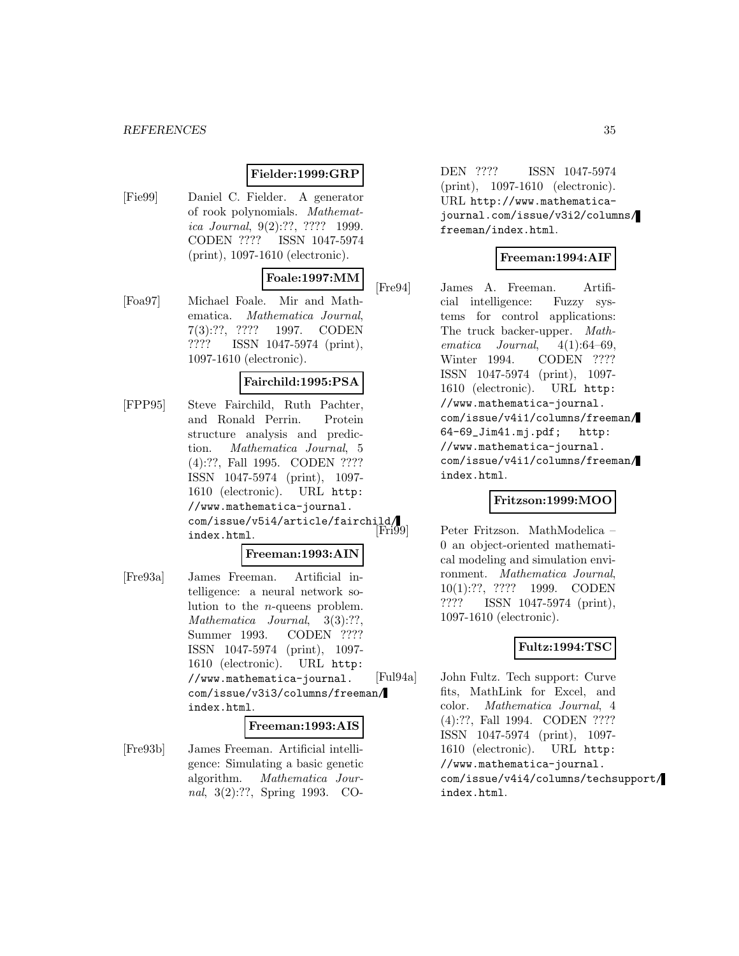#### *REFERENCES* 35

# **Fielder:1999:GRP**

[Fie99] Daniel C. Fielder. A generator of rook polynomials. Mathematica Journal, 9(2):??, ???? 1999. CODEN ???? ISSN 1047-5974 (print), 1097-1610 (electronic).

# **Foale:1997:MM**

[Foa97] Michael Foale. Mir and Mathematica. Mathematica Journal, 7(3):??, ???? 1997. CODEN ???? ISSN 1047-5974 (print), 1097-1610 (electronic).

#### **Fairchild:1995:PSA**

[FPP95] Steve Fairchild, Ruth Pachter, and Ronald Perrin. Protein structure analysis and prediction. Mathematica Journal, 5 (4):??, Fall 1995. CODEN ???? ISSN 1047-5974 (print), 1097- 1610 (electronic). URL http: //www.mathematica-journal. com/issue/v5i4/article/fairchild/ index.html.

#### **Freeman:1993:AIN**

[Fre93a] James Freeman. Artificial intelligence: a neural network solution to the n-queens problem. Mathematica Journal, 3(3):??, Summer 1993. CODEN ???? ISSN 1047-5974 (print), 1097- 1610 (electronic). URL http: //www.mathematica-journal. com/issue/v3i3/columns/freeman/ index.html.

#### **Freeman:1993:AIS**

[Fre93b] James Freeman. Artificial intelligence: Simulating a basic genetic algorithm. Mathematica Journal, 3(2):??, Spring 1993. CO-

DEN ???? ISSN 1047-5974 (print), 1097-1610 (electronic). URL http://www.mathematicajournal.com/issue/v3i2/columns/ freeman/index.html.

# **Freeman:1994:AIF**

[Fre94] James A. Freeman. Artificial intelligence: Fuzzy systems for control applications: The truck backer-upper. Mathematica Journal, 4(1):64–69, Winter 1994. CODEN ???? ISSN 1047-5974 (print), 1097- 1610 (electronic). URL http: //www.mathematica-journal. com/issue/v4i1/columns/freeman/ 64-69\_Jim41.mj.pdf; http: //www.mathematica-journal. com/issue/v4i1/columns/freeman/ index.html.

#### **Fritzson:1999:MOO**

Peter Fritzson. MathModelica – 0 an object-oriented mathematical modeling and simulation environment. Mathematica Journal, 10(1):??, ???? 1999. CODEN ???? ISSN 1047-5974 (print), 1097-1610 (electronic).

# **Fultz:1994:TSC**

[Ful94a] John Fultz. Tech support: Curve fits, MathLink for Excel, and color. Mathematica Journal, 4 (4):??, Fall 1994. CODEN ???? ISSN 1047-5974 (print), 1097- 1610 (electronic). URL http: //www.mathematica-journal. com/issue/v4i4/columns/techsupport/ index.html.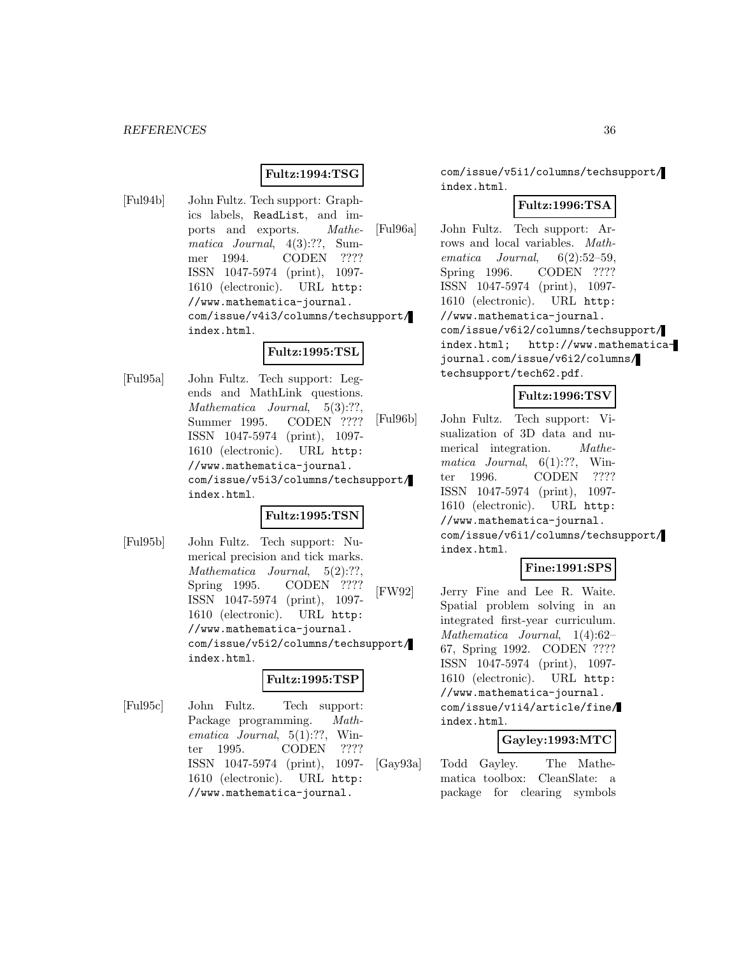# **Fultz:1994:TSG**

[Ful94b] John Fultz. Tech support: Graphics labels, ReadList, and imports and exports. Mathematica Journal, 4(3):??, Summer 1994. CODEN ???? ISSN 1047-5974 (print), 1097- 1610 (electronic). URL http: //www.mathematica-journal. com/issue/v4i3/columns/techsupport/ index.html.

# **Fultz:1995:TSL**

[Ful95a] John Fultz. Tech support: Legends and MathLink questions. Mathematica Journal, 5(3):??, Summer 1995. CODEN ???? ISSN 1047-5974 (print), 1097- 1610 (electronic). URL http: //www.mathematica-journal. com/issue/v5i3/columns/techsupport/ index.html.

#### **Fultz:1995:TSN**

[Ful95b] John Fultz. Tech support: Numerical precision and tick marks. Mathematica Journal, 5(2):??, Spring 1995. CODEN ???? ISSN 1047-5974 (print), 1097- 1610 (electronic). URL http: //www.mathematica-journal. com/issue/v5i2/columns/techsupport/ index.html.

#### **Fultz:1995:TSP**

[Ful95c] John Fultz. Tech support: Package programming. Mathematica Journal, 5(1):??, Winter 1995. CODEN ???? ISSN 1047-5974 (print), 1097- 1610 (electronic). URL http: //www.mathematica-journal.

com/issue/v5i1/columns/techsupport/ index.html.

# **Fultz:1996:TSA**

[Ful96a] John Fultz. Tech support: Arrows and local variables. Mathematica Journal, 6(2):52–59, Spring 1996. CODEN ???? ISSN 1047-5974 (print), 1097- 1610 (electronic). URL http: //www.mathematica-journal. com/issue/v6i2/columns/techsupport/ index.html; http://www.mathematicajournal.com/issue/v6i2/columns/ techsupport/tech62.pdf.

# **Fultz:1996:TSV**

[Ful96b] John Fultz. Tech support: Visualization of 3D data and numerical integration. Mathematica Journal,  $6(1)$ :??, Winter 1996. CODEN ???? ISSN 1047-5974 (print), 1097- 1610 (electronic). URL http: //www.mathematica-journal. com/issue/v6i1/columns/techsupport/ index.html.

# **Fine:1991:SPS**

[FW92] Jerry Fine and Lee R. Waite. Spatial problem solving in an integrated first-year curriculum. Mathematica Journal, 1(4):62– 67, Spring 1992. CODEN ???? ISSN 1047-5974 (print), 1097- 1610 (electronic). URL http: //www.mathematica-journal. com/issue/v1i4/article/fine/ index.html.

#### **Gayley:1993:MTC**

[Gay93a] Todd Gayley. The Mathematica toolbox: CleanSlate: a package for clearing symbols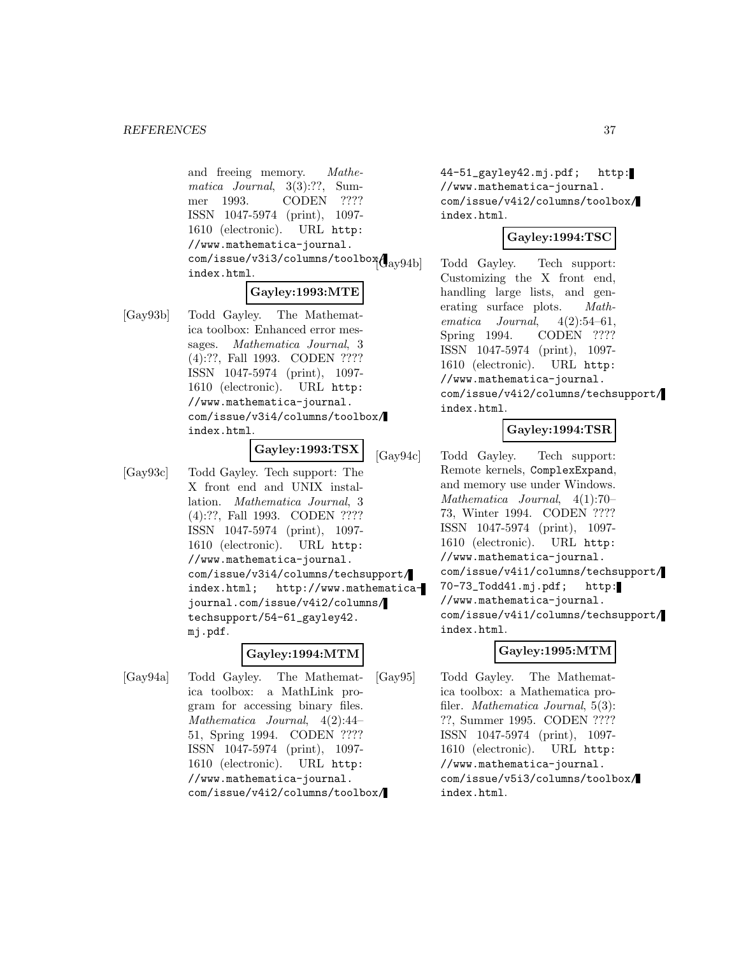and freeing memory. Mathematica Journal, 3(3):??, Summer 1993. CODEN ???? ISSN 1047-5974 (print), 1097- 1610 (electronic). URL http: //www.mathematica-journal.  $com/issue/v3i3/columns/toolbox($ <br> $_{\text{av}94b}$ index.html.

### **Gayley:1993:MTE**

[Gay93b] Todd Gayley. The Mathematica toolbox: Enhanced error messages. Mathematica Journal, 3 (4):??, Fall 1993. CODEN ???? ISSN 1047-5974 (print), 1097- 1610 (electronic). URL http: //www.mathematica-journal. com/issue/v3i4/columns/toolbox/ index.html.

#### **Gayley:1993:TSX**

[Gay93c] Todd Gayley. Tech support: The X front end and UNIX installation. Mathematica Journal, 3 (4):??, Fall 1993. CODEN ???? ISSN 1047-5974 (print), 1097- 1610 (electronic). URL http: //www.mathematica-journal. com/issue/v3i4/columns/techsupport/ index.html; http://www.mathematicajournal.com/issue/v4i2/columns/ techsupport/54-61\_gayley42. mj.pdf.

#### **Gayley:1994:MTM**

[Gay94a] Todd Gayley. The Mathematica toolbox: a MathLink program for accessing binary files. Mathematica Journal, 4(2):44– 51, Spring 1994. CODEN ???? ISSN 1047-5974 (print), 1097- 1610 (electronic). URL http: //www.mathematica-journal. com/issue/v4i2/columns/toolbox/ 44-51\_gayley42.mj.pdf; http: //www.mathematica-journal. com/issue/v4i2/columns/toolbox/ index.html.

## **Gayley:1994:TSC**

Todd Gayley. Tech support: Customizing the X front end, handling large lists, and generating surface plots. Mathematica Journal,  $4(2):54-61$ , Spring 1994. CODEN ???? ISSN 1047-5974 (print), 1097- 1610 (electronic). URL http: //www.mathematica-journal. com/issue/v4i2/columns/techsupport/ index.html.

### **Gayley:1994:TSR**

[Gay94c] Todd Gayley. Tech support: Remote kernels, ComplexExpand, and memory use under Windows. Mathematica Journal, 4(1):70– 73, Winter 1994. CODEN ???? ISSN 1047-5974 (print), 1097- 1610 (electronic). URL http: //www.mathematica-journal. com/issue/v4i1/columns/techsupport/ 70-73\_Todd41.mj.pdf; http: //www.mathematica-journal. com/issue/v4i1/columns/techsupport/ index.html.

### **Gayley:1995:MTM**

[Gay95] Todd Gayley. The Mathematica toolbox: a Mathematica profiler. Mathematica Journal, 5(3): ??, Summer 1995. CODEN ???? ISSN 1047-5974 (print), 1097- 1610 (electronic). URL http: //www.mathematica-journal. com/issue/v5i3/columns/toolbox/ index.html.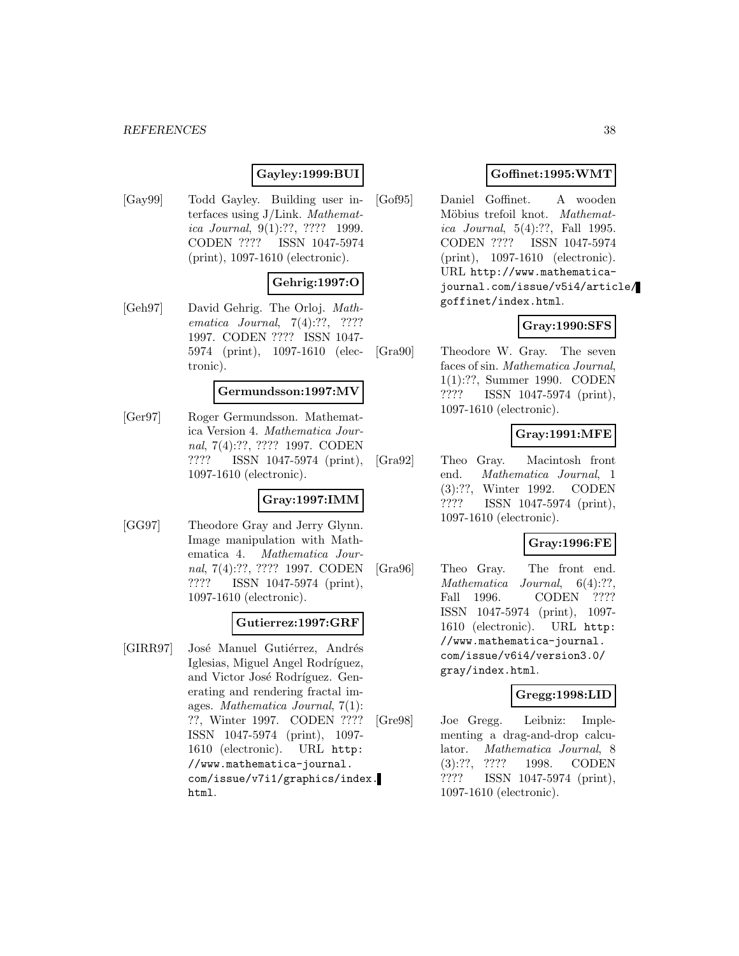#### *REFERENCES* 38

### **Gayley:1999:BUI**

[Gay99] Todd Gayley. Building user interfaces using J/Link. Mathematica Journal, 9(1):??, ???? 1999. CODEN ???? ISSN 1047-5974 (print), 1097-1610 (electronic).

#### **Gehrig:1997:O**

[Geh97] David Gehrig. The Orloj. Mathematica Journal, 7(4):??, ???? 1997. CODEN ???? ISSN 1047- 5974 (print), 1097-1610 (electronic).

#### **Germundsson:1997:MV**

[Ger97] Roger Germundsson. Mathematica Version 4. Mathematica Journal, 7(4):??, ???? 1997. CODEN ???? ISSN 1047-5974 (print), 1097-1610 (electronic).

#### **Gray:1997:IMM**

[GG97] Theodore Gray and Jerry Glynn. Image manipulation with Mathematica 4. Mathematica Journal, 7(4):??, ???? 1997. CODEN ???? ISSN 1047-5974 (print), 1097-1610 (electronic).

#### **Gutierrez:1997:GRF**

[GIRR97] José Manuel Gutiérrez, Andrés Iglesias, Miguel Angel Rodríguez, and Victor José Rodríguez. Generating and rendering fractal images. Mathematica Journal, 7(1): ??, Winter 1997. CODEN ???? ISSN 1047-5974 (print), 1097- 1610 (electronic). URL http: //www.mathematica-journal. com/issue/v7i1/graphics/index. html.

### **Goffinet:1995:WMT**

[Gof95] Daniel Goffinet. A wooden Möbius trefoil knot. Mathematica Journal, 5(4):??, Fall 1995. CODEN ???? ISSN 1047-5974 (print), 1097-1610 (electronic). URL http://www.mathematicajournal.com/issue/v5i4/article/ goffinet/index.html.

#### **Gray:1990:SFS**

[Gra90] Theodore W. Gray. The seven faces of sin. Mathematica Journal, 1(1):??, Summer 1990. CODEN ???? ISSN 1047-5974 (print), 1097-1610 (electronic).

#### **Gray:1991:MFE**

[Gra92] Theo Gray. Macintosh front end. Mathematica Journal, 1 (3):??, Winter 1992. CODEN ???? ISSN 1047-5974 (print), 1097-1610 (electronic).

#### **Gray:1996:FE**

[Gra96] Theo Gray. The front end. Mathematica Journal, 6(4):??, Fall 1996. CODEN ???? ISSN 1047-5974 (print), 1097- 1610 (electronic). URL http: //www.mathematica-journal. com/issue/v6i4/version3.0/ gray/index.html.

#### **Gregg:1998:LID**

[Gre98] Joe Gregg. Leibniz: Implementing a drag-and-drop calculator. Mathematica Journal, 8 (3):??, ???? 1998. CODEN ???? ISSN 1047-5974 (print), 1097-1610 (electronic).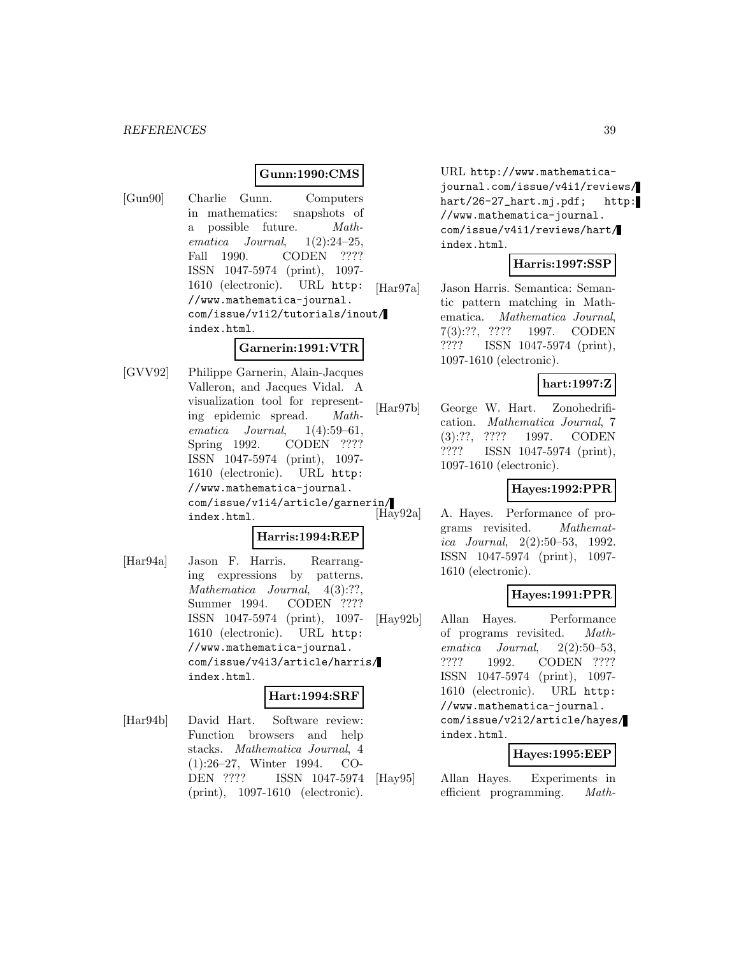### **Gunn:1990:CMS**

[Gun90] Charlie Gunn. Computers in mathematics: snapshots of a possible future. Mathematica Journal,  $1(2):24-25$ , Fall 1990. CODEN ???? ISSN 1047-5974 (print), 1097- 1610 (electronic). URL http: //www.mathematica-journal. com/issue/v1i2/tutorials/inout/ index.html.

## **Garnerin:1991:VTR**

[GVV92] Philippe Garnerin, Alain-Jacques Valleron, and Jacques Vidal. A visualization tool for representing epidemic spread. Mathematica Journal, 1(4):59–61, Spring 1992. CODEN ???? ISSN 1047-5974 (print), 1097- 1610 (electronic). URL http: //www.mathematica-journal. com/issue/v1i4/article/garnerin/ index.html.

## **Harris:1994:REP**

[Har94a] Jason F. Harris. Rearranging expressions by patterns. Mathematica Journal, 4(3):??, Summer 1994. CODEN ???? ISSN 1047-5974 (print), 1097- 1610 (electronic). URL http: //www.mathematica-journal. com/issue/v4i3/article/harris/ index.html.

### **Hart:1994:SRF**

[Har94b] David Hart. Software review: Function browsers and help stacks. Mathematica Journal, 4 (1):26–27, Winter 1994. CO-DEN ???? ISSN 1047-5974 (print), 1097-1610 (electronic).

URL http://www.mathematicajournal.com/issue/v4i1/reviews/ hart/26-27\_hart.mj.pdf; http: //www.mathematica-journal. com/issue/v4i1/reviews/hart/ index.html.

### **Harris:1997:SSP**

[Har97a] Jason Harris. Semantica: Semantic pattern matching in Mathematica. Mathematica Journal, 7(3):??, ???? 1997. CODEN ???? ISSN 1047-5974 (print), 1097-1610 (electronic).

### **hart:1997:Z**

[Har97b] George W. Hart. Zonohedrification. Mathematica Journal, 7 (3):??, ???? 1997. CODEN ???? ISSN 1047-5974 (print), 1097-1610 (electronic).

### **Hayes:1992:PPR**

A. Hayes. Performance of programs revisited. Mathematica Journal, 2(2):50–53, 1992. ISSN 1047-5974 (print), 1097- 1610 (electronic).

### **Hayes:1991:PPR**

[Hay92b] Allan Hayes. Performance of programs revisited. Mathematica Journal, 2(2):50–53, ???? 1992. CODEN ???? ISSN 1047-5974 (print), 1097- 1610 (electronic). URL http: //www.mathematica-journal. com/issue/v2i2/article/hayes/ index.html.

#### **Hayes:1995:EEP**

[Hay95] Allan Hayes. Experiments in efficient programming. Math-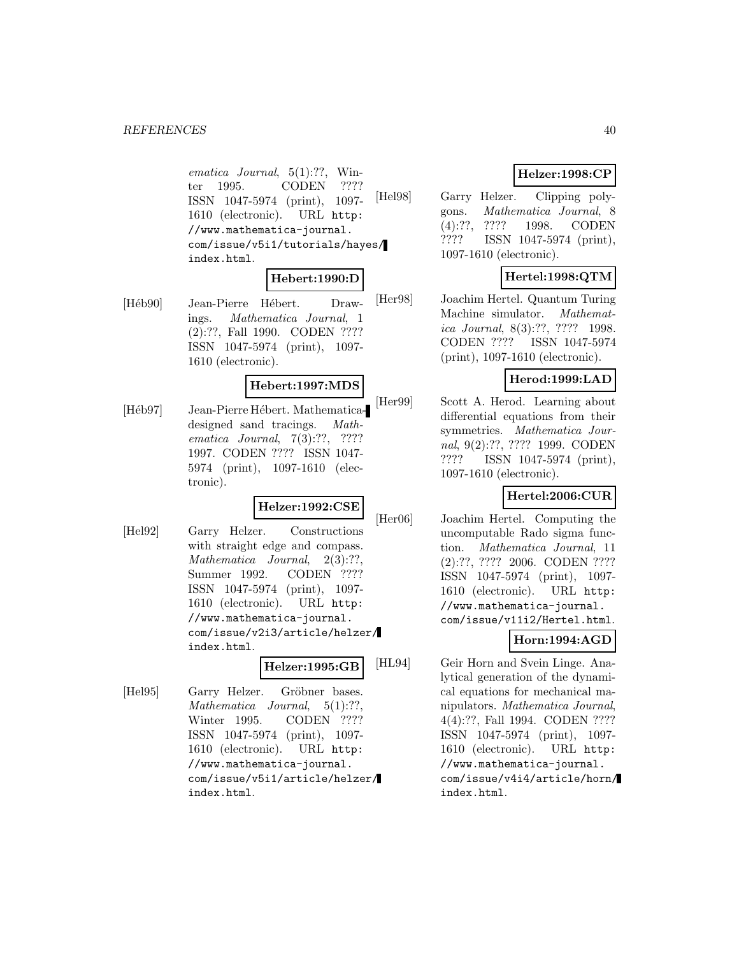ematica Journal, 5(1):??, Winter 1995. CODEN ???? ISSN 1047-5974 (print), 1097- 1610 (electronic). URL http: //www.mathematica-journal. com/issue/v5i1/tutorials/hayes/ index.html.

### **Hebert:1990:D**

[Héb90] Jean-Pierre Hébert. Drawings. Mathematica Journal, 1 (2):??, Fall 1990. CODEN ???? ISSN 1047-5974 (print), 1097- 1610 (electronic).

### **Hebert:1997:MDS**

[Héb97] Jean-Pierre Hébert. Mathematicadesigned sand tracings. Mathematica Journal, 7(3):??, ???? 1997. CODEN ???? ISSN 1047- 5974 (print), 1097-1610 (electronic).

### **Helzer:1992:CSE**

[Hel92] Garry Helzer. Constructions with straight edge and compass. Mathematica Journal, 2(3):??, Summer 1992. CODEN ???? ISSN 1047-5974 (print), 1097- 1610 (electronic). URL http: //www.mathematica-journal. com/issue/v2i3/article/helzer/ index.html.

### **Helzer:1995:GB**

[Hel95] Garry Helzer. Gröbner bases. Mathematica Journal, 5(1):??, Winter 1995. CODEN ???? ISSN 1047-5974 (print), 1097- 1610 (electronic). URL http: //www.mathematica-journal. com/issue/v5i1/article/helzer/ index.html.

## **Helzer:1998:CP**

[Hel98] Garry Helzer. Clipping polygons. Mathematica Journal, 8 (4):??, ???? 1998. CODEN ???? ISSN 1047-5974 (print), 1097-1610 (electronic).

## **Hertel:1998:QTM**

[Her98] Joachim Hertel. Quantum Turing Machine simulator. Mathematica Journal, 8(3):??, ???? 1998. CODEN ???? ISSN 1047-5974 (print), 1097-1610 (electronic).

### **Herod:1999:LAD**

[Her99] Scott A. Herod. Learning about differential equations from their symmetries. Mathematica Journal, 9(2):??, ???? 1999. CODEN ???? ISSN 1047-5974 (print), 1097-1610 (electronic).

## **Hertel:2006:CUR**

[Her06] Joachim Hertel. Computing the uncomputable Rado sigma function. Mathematica Journal, 11 (2):??, ???? 2006. CODEN ???? ISSN 1047-5974 (print), 1097- 1610 (electronic). URL http: //www.mathematica-journal. com/issue/v11i2/Hertel.html.

## **Horn:1994:AGD**

[HL94] Geir Horn and Svein Linge. Analytical generation of the dynamical equations for mechanical manipulators. Mathematica Journal, 4(4):??, Fall 1994. CODEN ???? ISSN 1047-5974 (print), 1097- 1610 (electronic). URL http: //www.mathematica-journal. com/issue/v4i4/article/horn/ index.html.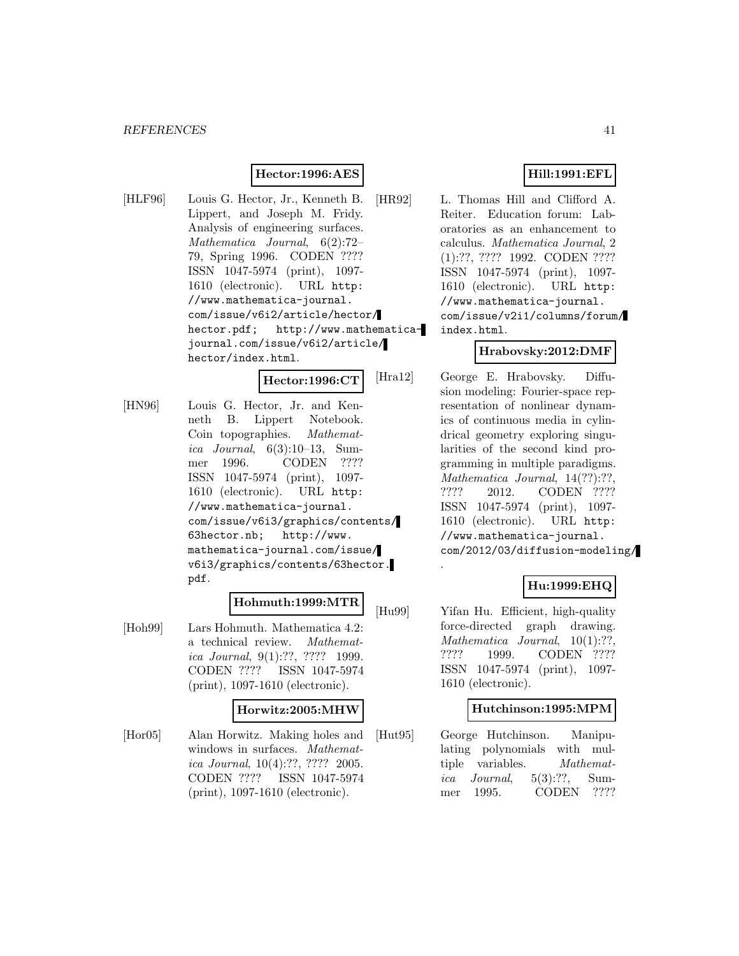### **Hector:1996:AES**

[HLF96] Louis G. Hector, Jr., Kenneth B. Lippert, and Joseph M. Fridy. Analysis of engineering surfaces. Mathematica Journal, 6(2):72– 79, Spring 1996. CODEN ???? ISSN 1047-5974 (print), 1097- 1610 (electronic). URL http: //www.mathematica-journal. com/issue/v6i2/article/hector/ hector.pdf; http://www.mathematicajournal.com/issue/v6i2/article/ hector/index.html.

**Hector:1996:CT**

[HN96] Louis G. Hector, Jr. and Kenneth B. Lippert Notebook. Coin topographies. Mathematica Journal,  $6(3):10-13$ , Summer 1996. CODEN ???? ISSN 1047-5974 (print), 1097- 1610 (electronic). URL http: //www.mathematica-journal. com/issue/v6i3/graphics/contents/ 63hector.nb; http://www. mathematica-journal.com/issue/ v6i3/graphics/contents/63hector. pdf.

### **Hohmuth:1999:MTR**

[Hoh99] Lars Hohmuth. Mathematica 4.2: a technical review. Mathematica Journal, 9(1):??, ???? 1999. CODEN ???? ISSN 1047-5974 (print), 1097-1610 (electronic).

#### **Horwitz:2005:MHW**

[Hor05] Alan Horwitz. Making holes and windows in surfaces. Mathematica Journal, 10(4):??, ???? 2005. CODEN ???? ISSN 1047-5974 (print), 1097-1610 (electronic).

### **Hill:1991:EFL**

[HR92] L. Thomas Hill and Clifford A. Reiter. Education forum: Laboratories as an enhancement to calculus. Mathematica Journal, 2 (1):??, ???? 1992. CODEN ???? ISSN 1047-5974 (print), 1097- 1610 (electronic). URL http: //www.mathematica-journal. com/issue/v2i1/columns/forum/ index.html.

### **Hrabovsky:2012:DMF**

[Hra12] George E. Hrabovsky. Diffusion modeling: Fourier-space representation of nonlinear dynamics of continuous media in cylindrical geometry exploring singularities of the second kind programming in multiple paradigms. Mathematica Journal, 14(??):??, ???? 2012. CODEN ???? ISSN 1047-5974 (print), 1097- 1610 (electronic). URL http: //www.mathematica-journal. com/2012/03/diffusion-modeling/

### **Hu:1999:EHQ**

[Hu99] Yifan Hu. Efficient, high-quality force-directed graph drawing. Mathematica Journal,  $10(1)$ :??, ???? 1999. CODEN ???? ISSN 1047-5974 (print), 1097- 1610 (electronic).

.

#### **Hutchinson:1995:MPM**

[Hut95] George Hutchinson. Manipulating polynomials with multiple variables. Mathematica Journal,  $5(3):$ ??, Summer 1995. CODEN ????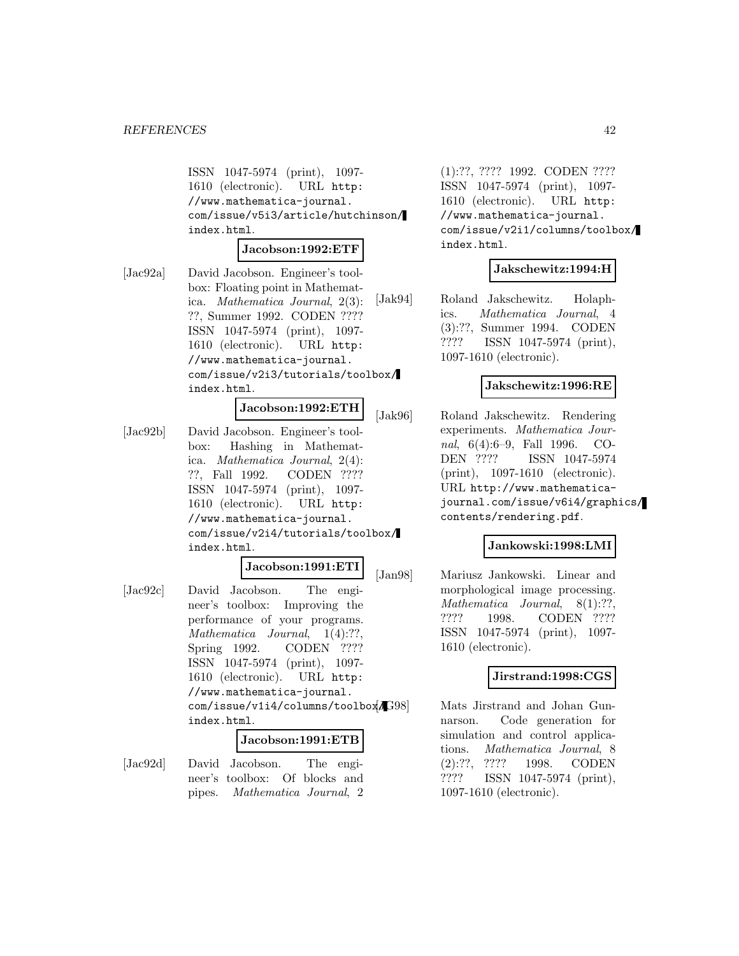ISSN 1047-5974 (print), 1097- 1610 (electronic). URL http: //www.mathematica-journal. com/issue/v5i3/article/hutchinson/ index.html.

#### **Jacobson:1992:ETF**

[Jac92a] David Jacobson. Engineer's toolbox: Floating point in Mathematica. Mathematica Journal, 2(3): ??, Summer 1992. CODEN ???? ISSN 1047-5974 (print), 1097- 1610 (electronic). URL http: //www.mathematica-journal. com/issue/v2i3/tutorials/toolbox/ index.html.

#### **Jacobson:1992:ETH**

[Jac92b] David Jacobson. Engineer's toolbox: Hashing in Mathematica. Mathematica Journal, 2(4): ??, Fall 1992. CODEN ???? ISSN 1047-5974 (print), 1097- 1610 (electronic). URL http: //www.mathematica-journal. com/issue/v2i4/tutorials/toolbox/ index.html.

#### **Jacobson:1991:ETI**

[Jac92c] David Jacobson. The engineer's toolbox: Improving the performance of your programs. Mathematica Journal, 1(4):??, Spring 1992. CODEN ???? ISSN 1047-5974 (print), 1097- 1610 (electronic). URL http: //www.mathematica-journal. com/issue/v1i4/columns/toolbox/ index.html.

#### **Jacobson:1991:ETB**

[Jac92d] David Jacobson. The engineer's toolbox: Of blocks and pipes. Mathematica Journal, 2 (1):??, ???? 1992. CODEN ???? ISSN 1047-5974 (print), 1097- 1610 (electronic). URL http: //www.mathematica-journal. com/issue/v2i1/columns/toolbox/ index.html.

#### **Jakschewitz:1994:H**

[Jak94] Roland Jakschewitz. Holaphics. Mathematica Journal, 4 (3):??, Summer 1994. CODEN ???? ISSN 1047-5974 (print), 1097-1610 (electronic).

#### **Jakschewitz:1996:RE**

[Jak96] Roland Jakschewitz. Rendering experiments. Mathematica Journal, 6(4):6–9, Fall 1996. CO-DEN ???? ISSN 1047-5974 (print), 1097-1610 (electronic). URL http://www.mathematicajournal.com/issue/v6i4/graphics/ contents/rendering.pdf.

#### **Jankowski:1998:LMI**

[Jan98] Mariusz Jankowski. Linear and morphological image processing. Mathematica Journal, 8(1):??, ???? 1998. CODEN ???? ISSN 1047-5974 (print), 1097- 1610 (electronic).

### **Jirstrand:1998:CGS**

Mats Jirstrand and Johan Gunnarson. Code generation for simulation and control applications. Mathematica Journal, 8 (2):??, ???? 1998. CODEN ???? ISSN 1047-5974 (print), 1097-1610 (electronic).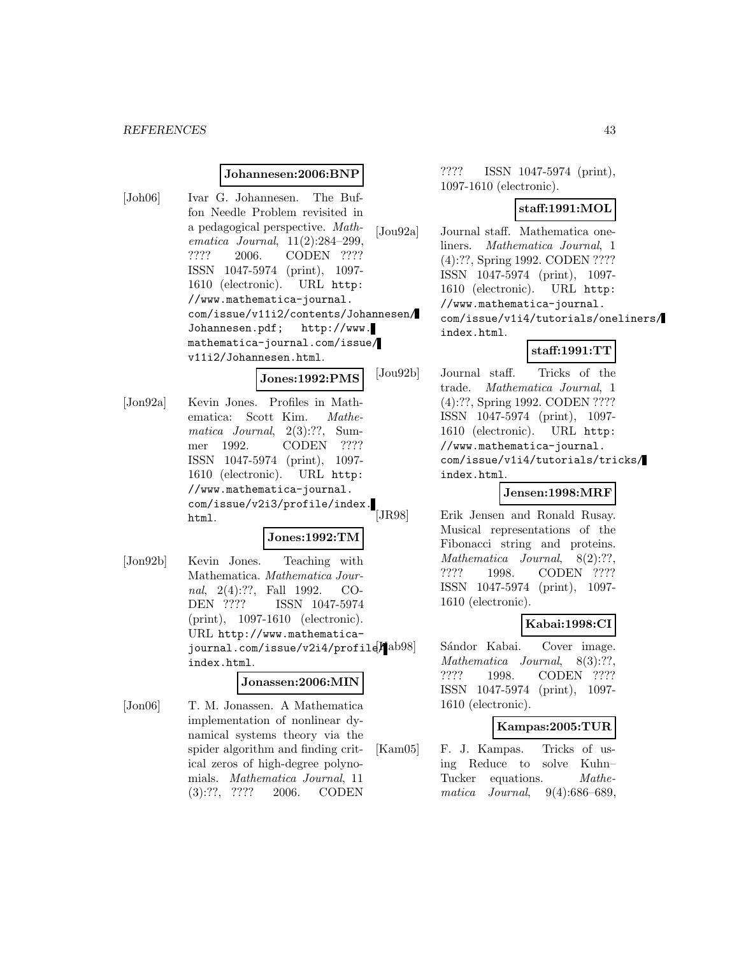#### *REFERENCES* 43

#### **Johannesen:2006:BNP**

[Joh06] Ivar G. Johannesen. The Buffon Needle Problem revisited in a pedagogical perspective. Mathematica Journal, 11(2):284–299, ???? 2006. CODEN ???? ISSN 1047-5974 (print), 1097- 1610 (electronic). URL http: //www.mathematica-journal. com/issue/v11i2/contents/Johannesen/ Johannesen.pdf; http://www. mathematica-journal.com/issue/ v11i2/Johannesen.html.

**Jones:1992:PMS**

[Jon92a] Kevin Jones. Profiles in Mathematica: Scott Kim. Mathematica Journal, 2(3):??, Summer 1992. CODEN ???? ISSN 1047-5974 (print), 1097- 1610 (electronic). URL http: //www.mathematica-journal. com/issue/v2i3/profile/index. html.

#### **Jones:1992:TM**

[Jon92b] Kevin Jones. Teaching with Mathematica. Mathematica Journal, 2(4):??, Fall 1992. CO-DEN ???? ISSN 1047-5974 (print), 1097-1610 (electronic). URL http://www.mathematicajournal.com/issue/v2i4/profile/ index.html.

#### **Jonassen:2006:MIN**

[Jon06] T. M. Jonassen. A Mathematica implementation of nonlinear dynamical systems theory via the spider algorithm and finding critical zeros of high-degree polynomials. Mathematica Journal, 11 (3):??, ???? 2006. CODEN

???? ISSN 1047-5974 (print), 1097-1610 (electronic).

#### **staff:1991:MOL**

[Jou92a] Journal staff. Mathematica oneliners. Mathematica Journal, 1 (4):??, Spring 1992. CODEN ???? ISSN 1047-5974 (print), 1097- 1610 (electronic). URL http: //www.mathematica-journal. com/issue/v1i4/tutorials/oneliners/ index.html.

#### **staff:1991:TT**

[Jou92b] Journal staff. Tricks of the trade. Mathematica Journal, 1 (4):??, Spring 1992. CODEN ???? ISSN 1047-5974 (print), 1097- 1610 (electronic). URL http: //www.mathematica-journal. com/issue/v1i4/tutorials/tricks/ index.html.

### **Jensen:1998:MRF**

[JR98] Erik Jensen and Ronald Rusay. Musical representations of the Fibonacci string and proteins. Mathematica Journal, 8(2):??, ???? 1998. CODEN ???? ISSN 1047-5974 (print), 1097- 1610 (electronic).

#### **Kabai:1998:CI**

Sándor Kabai. Cover image. Mathematica Journal, 8(3):??, ???? 1998. CODEN ???? ISSN 1047-5974 (print), 1097- 1610 (electronic).

#### **Kampas:2005:TUR**

[Kam05] F. J. Kampas. Tricks of using Reduce to solve Kuhn– Tucker equations. *Mathe*matica Journal, 9(4):686–689,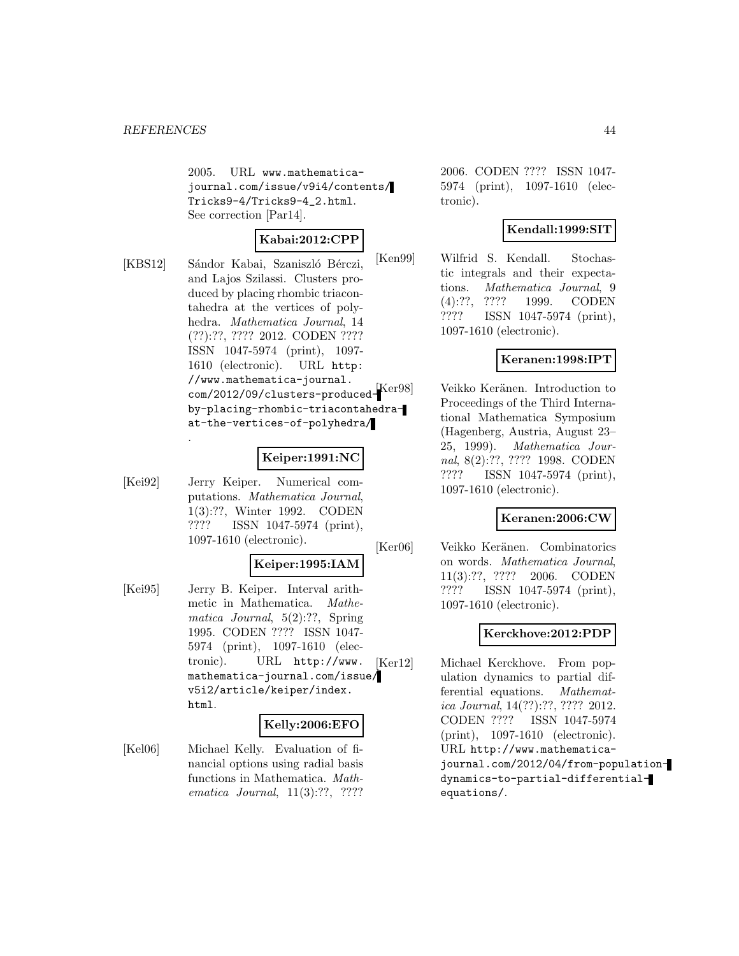2005. URL www.mathematicajournal.com/issue/v9i4/contents/ Tricks9-4/Tricks9-4\_2.html. See correction [Par14].

## **Kabai:2012:CPP**

[KBS12] Sándor Kabai, Szaniszló Bérczi, and Lajos Szilassi. Clusters produced by placing rhombic triacontahedra at the vertices of polyhedra. Mathematica Journal, 14 (??):??, ???? 2012. CODEN ???? ISSN 1047-5974 (print), 1097- 1610 (electronic). URL http: //www.mathematica-journal. com/2012/09/clusters-producedby-placing-rhombic-triacontahedraat-the-vertices-of-polyhedra/

### **Keiper:1991:NC**

[Kei92] Jerry Keiper. Numerical computations. Mathematica Journal, 1(3):??, Winter 1992. CODEN ???? ISSN 1047-5974 (print), 1097-1610 (electronic).

.

### **Keiper:1995:IAM**

[Kei95] Jerry B. Keiper. Interval arithmetic in Mathematica. Mathematica Journal, 5(2):??, Spring 1995. CODEN ???? ISSN 1047- 5974 (print), 1097-1610 (electronic). URL http://www. mathematica-journal.com/issue/ v5i2/article/keiper/index. html.

### **Kelly:2006:EFO**

[Kel06] Michael Kelly. Evaluation of financial options using radial basis functions in Mathematica. Mathematica Journal, 11(3):??, ????

2006. CODEN ???? ISSN 1047- 5974 (print), 1097-1610 (electronic).

## **Kendall:1999:SIT**

[Ken99] Wilfrid S. Kendall. Stochastic integrals and their expectations. Mathematica Journal, 9 (4):??, ???? 1999. CODEN ???? ISSN 1047-5974 (print), 1097-1610 (electronic).

### **Keranen:1998:IPT**

Ker98] Veikko Keränen. Introduction to Proceedings of the Third International Mathematica Symposium (Hagenberg, Austria, August 23– 25, 1999). Mathematica Journal, 8(2):??, ???? 1998. CODEN ???? ISSN 1047-5974 (print), 1097-1610 (electronic).

### **Keranen:2006:CW**

[Ker06] Veikko Keränen. Combinatorics on words. Mathematica Journal, 11(3):??, ???? 2006. CODEN ???? ISSN 1047-5974 (print), 1097-1610 (electronic).

## **Kerckhove:2012:PDP**

[Ker12] Michael Kerckhove. From population dynamics to partial differential equations. Mathematica Journal, 14(??):??, ???? 2012. CODEN ???? ISSN 1047-5974 (print), 1097-1610 (electronic). URL http://www.mathematicajournal.com/2012/04/from-populationdynamics-to-partial-differentialequations/.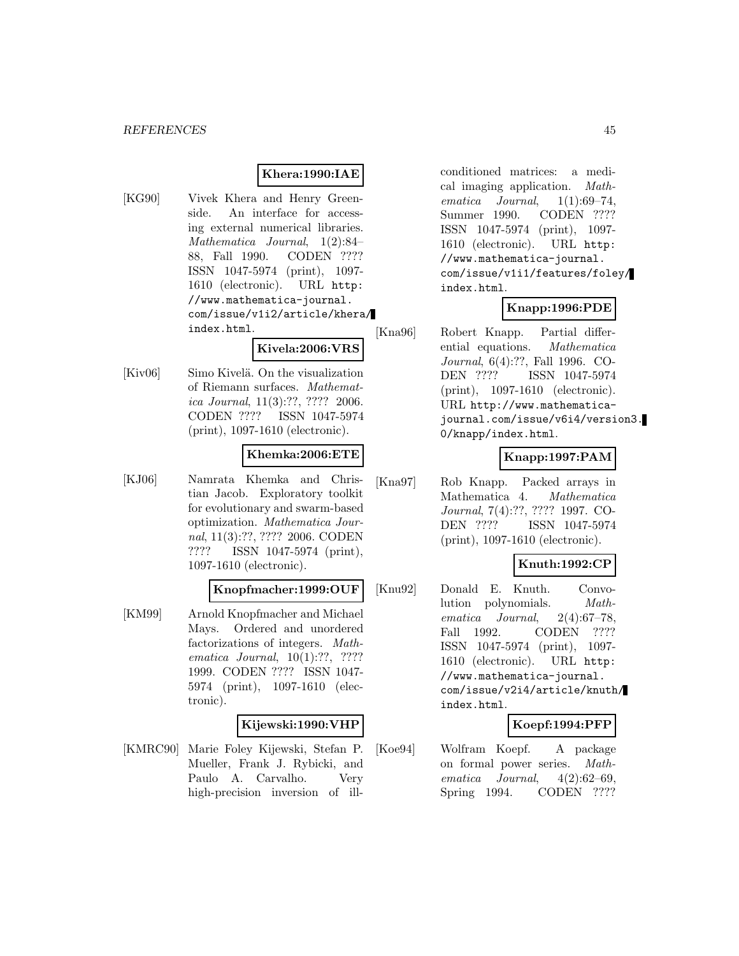### **Khera:1990:IAE**

[KG90] Vivek Khera and Henry Greenside. An interface for accessing external numerical libraries. Mathematica Journal, 1(2):84– 88, Fall 1990. CODEN ???? ISSN 1047-5974 (print), 1097- 1610 (electronic). URL http: //www.mathematica-journal. com/issue/v1i2/article/khera/ index.html.

[Kiv06] Simo Kivelä. On the visualization of Riemann surfaces. Mathematica Journal, 11(3):??, ???? 2006. CODEN ???? ISSN 1047-5974 (print), 1097-1610 (electronic).

#### **Khemka:2006:ETE**

**Kivela:2006:VRS**

[KJ06] Namrata Khemka and Christian Jacob. Exploratory toolkit for evolutionary and swarm-based optimization. Mathematica Journal, 11(3):??, ???? 2006. CODEN ???? ISSN 1047-5974 (print), 1097-1610 (electronic).

#### **Knopfmacher:1999:OUF**

[KM99] Arnold Knopfmacher and Michael Mays. Ordered and unordered factorizations of integers. Mathematica Journal, 10(1):??, ???? 1999. CODEN ???? ISSN 1047- 5974 (print), 1097-1610 (electronic).

#### **Kijewski:1990:VHP**

[KMRC90] Marie Foley Kijewski, Stefan P. Mueller, Frank J. Rybicki, and Paulo A. Carvalho. Very high-precision inversion of ill-

conditioned matrices: a medical imaging application. Mathematica Journal, 1(1):69–74, Summer 1990. CODEN ???? ISSN 1047-5974 (print), 1097- 1610 (electronic). URL http: //www.mathematica-journal. com/issue/v1i1/features/foley/ index.html.

#### **Knapp:1996:PDE**

[Kna96] Robert Knapp. Partial differential equations. Mathematica Journal, 6(4):??, Fall 1996. CO-DEN ???? ISSN 1047-5974 (print), 1097-1610 (electronic). URL http://www.mathematicajournal.com/issue/v6i4/version3. 0/knapp/index.html.

### **Knapp:1997:PAM**

[Kna97] Rob Knapp. Packed arrays in Mathematica 4. Mathematica Journal, 7(4):??, ???? 1997. CO-DEN ???? ISSN 1047-5974 (print), 1097-1610 (electronic).

### **Knuth:1992:CP**

[Knu92] Donald E. Knuth. Convolution polynomials. Mathematica Journal, 2(4):67–78, Fall 1992. CODEN ???? ISSN 1047-5974 (print), 1097- 1610 (electronic). URL http: //www.mathematica-journal. com/issue/v2i4/article/knuth/ index.html.

### **Koepf:1994:PFP**

[Koe94] Wolfram Koepf. A package on formal power series. Mathematica Journal, 4(2):62–69, Spring 1994. CODEN ????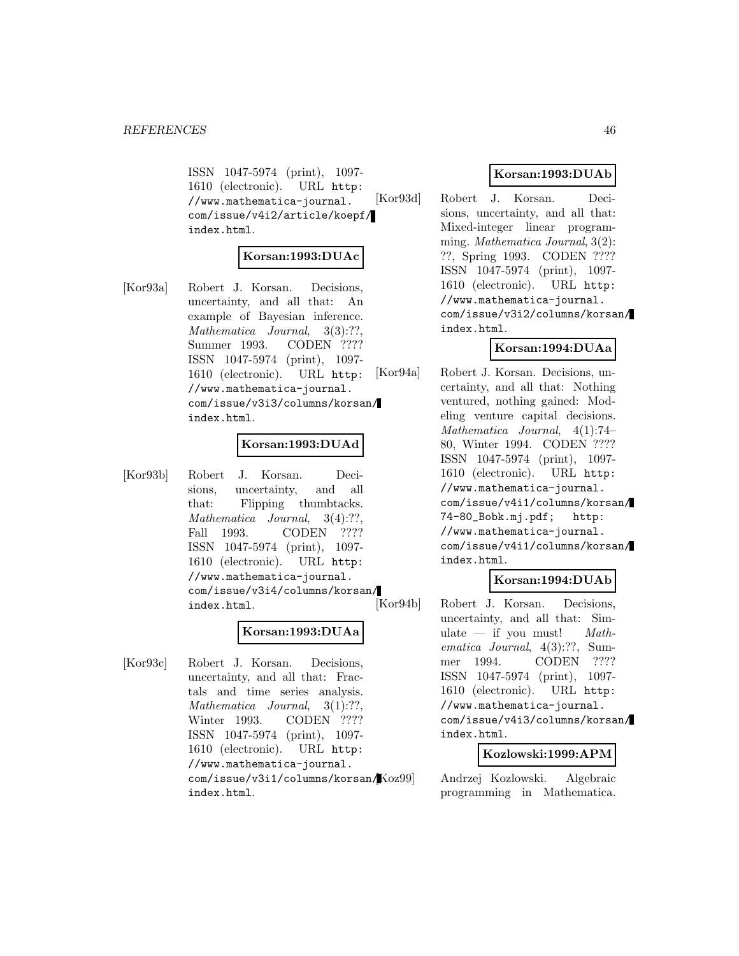ISSN 1047-5974 (print), 1097- 1610 (electronic). URL http: //www.mathematica-journal. com/issue/v4i2/article/koepf/ index.html.

#### **Korsan:1993:DUAc**

[Kor93a] Robert J. Korsan. Decisions, uncertainty, and all that: An example of Bayesian inference. Mathematica Journal, 3(3):??, Summer 1993. CODEN ???? ISSN 1047-5974 (print), 1097- 1610 (electronic). URL http: //www.mathematica-journal. com/issue/v3i3/columns/korsan/ index.html.

### **Korsan:1993:DUAd**

[Kor93b] Robert J. Korsan. Decisions, uncertainty, and all that: Flipping thumbtacks. Mathematica Journal, 3(4):??, Fall 1993. CODEN ???? ISSN 1047-5974 (print), 1097- 1610 (electronic). URL http: //www.mathematica-journal. com/issue/v3i4/columns/korsan/ index.html.

### **Korsan:1993:DUAa**

[Kor93c] Robert J. Korsan. Decisions, uncertainty, and all that: Fractals and time series analysis. Mathematica Journal, 3(1):??, Winter 1993. CODEN ???? ISSN 1047-5974 (print), 1097- 1610 (electronic). URL http: //www.mathematica-journal. com/issue/v3i1/columns/korsan/ index.html.

#### **Korsan:1993:DUAb**

[Kor93d] Robert J. Korsan. Decisions, uncertainty, and all that: Mixed-integer linear programming. Mathematica Journal,  $3(2)$ : ??, Spring 1993. CODEN ???? ISSN 1047-5974 (print), 1097- 1610 (electronic). URL http: //www.mathematica-journal. com/issue/v3i2/columns/korsan/ index.html.

### **Korsan:1994:DUAa**

[Kor94a] Robert J. Korsan. Decisions, uncertainty, and all that: Nothing ventured, nothing gained: Modeling venture capital decisions. Mathematica Journal, 4(1):74– 80, Winter 1994. CODEN ???? ISSN 1047-5974 (print), 1097- 1610 (electronic). URL http: //www.mathematica-journal. com/issue/v4i1/columns/korsan/ 74-80\_Bobk.mj.pdf; http: //www.mathematica-journal. com/issue/v4i1/columns/korsan/ index.html.

#### **Korsan:1994:DUAb**

[Kor94b] Robert J. Korsan. Decisions, uncertainty, and all that: Simulate  $-$  if you must! Mathematica Journal, 4(3):??, Summer 1994. CODEN ???? ISSN 1047-5974 (print), 1097- 1610 (electronic). URL http: //www.mathematica-journal. com/issue/v4i3/columns/korsan/ index.html.

#### **Kozlowski:1999:APM**

Andrzej Kozlowski. Algebraic programming in Mathematica.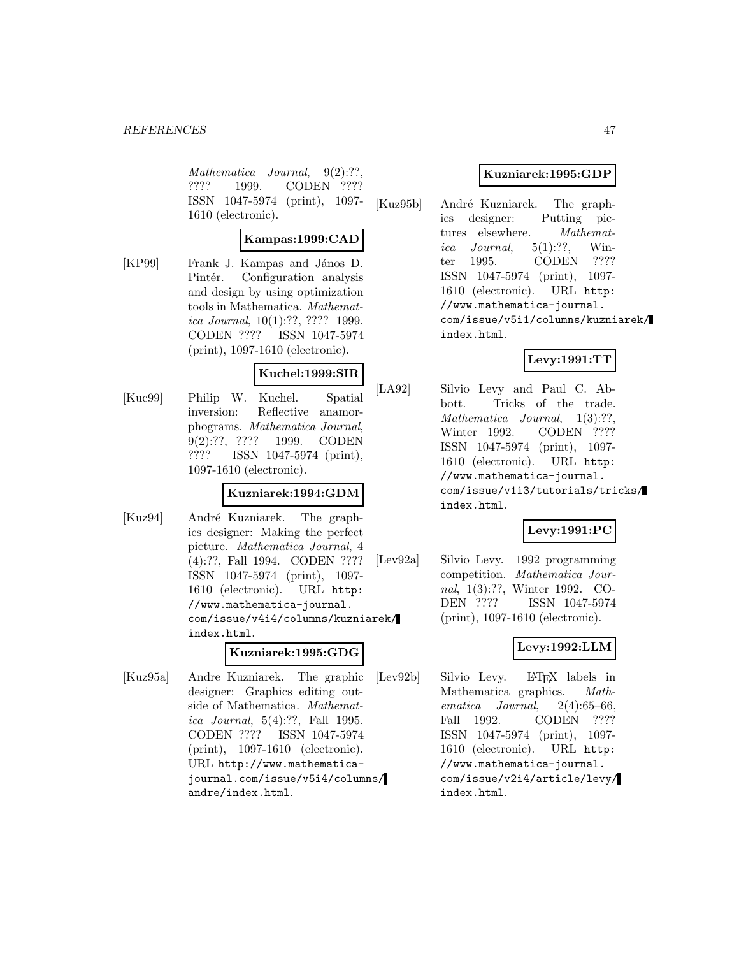Mathematica Journal, 9(2):??, ???? 1999. CODEN ???? ISSN 1047-5974 (print), 1097- 1610 (electronic).

### **Kampas:1999:CAD**

[KP99] Frank J. Kampas and János D. Pintér. Configuration analysis and design by using optimization tools in Mathematica. Mathematica Journal, 10(1):??, ???? 1999. CODEN ???? ISSN 1047-5974 (print), 1097-1610 (electronic).

### **Kuchel:1999:SIR**

[Kuc99] Philip W. Kuchel. Spatial inversion: Reflective anamorphograms. Mathematica Journal, 9(2):??, ???? 1999. CODEN ???? ISSN 1047-5974 (print), 1097-1610 (electronic).

### **Kuzniarek:1994:GDM**

[Kuz94] André Kuzniarek. The graphics designer: Making the perfect picture. Mathematica Journal, 4 (4):??, Fall 1994. CODEN ???? ISSN 1047-5974 (print), 1097- 1610 (electronic). URL http: //www.mathematica-journal. com/issue/v4i4/columns/kuzniarek/ index.html.

### **Kuzniarek:1995:GDG**

[Kuz95a] Andre Kuzniarek. The graphic designer: Graphics editing outside of Mathematica. Mathematica Journal, 5(4):??, Fall 1995. CODEN ???? ISSN 1047-5974 (print), 1097-1610 (electronic). URL http://www.mathematicajournal.com/issue/v5i4/columns/ andre/index.html.

### **Kuzniarek:1995:GDP**

[Kuz95b] André Kuzniarek. The graphics designer: Putting pictures elsewhere. Mathematica Journal,  $5(1)$ :??, Winter 1995. CODEN ???? ISSN 1047-5974 (print), 1097- 1610 (electronic). URL http: //www.mathematica-journal. com/issue/v5i1/columns/kuzniarek/ index.html.

## **Levy:1991:TT**

[LA92] Silvio Levy and Paul C. Abbott. Tricks of the trade. Mathematica Journal, 1(3):??, Winter 1992. CODEN ???? ISSN 1047-5974 (print), 1097- 1610 (electronic). URL http: //www.mathematica-journal. com/issue/v1i3/tutorials/tricks/ index.html.

## **Levy:1991:PC**

[Lev92a] Silvio Levy. 1992 programming competition. Mathematica Journal, 1(3):??, Winter 1992. CO-DEN ???? ISSN 1047-5974 (print), 1097-1610 (electronic).

## **Levy:1992:LLM**

[Lev92b] Silvio Levy. L<sup>AT</sup>EX labels in Mathematica graphics. *Math*-Mathematica graphics. ematica Journal, 2(4):65–66, Fall 1992. CODEN ???? ISSN 1047-5974 (print), 1097- 1610 (electronic). URL http: //www.mathematica-journal. com/issue/v2i4/article/levy/ index.html.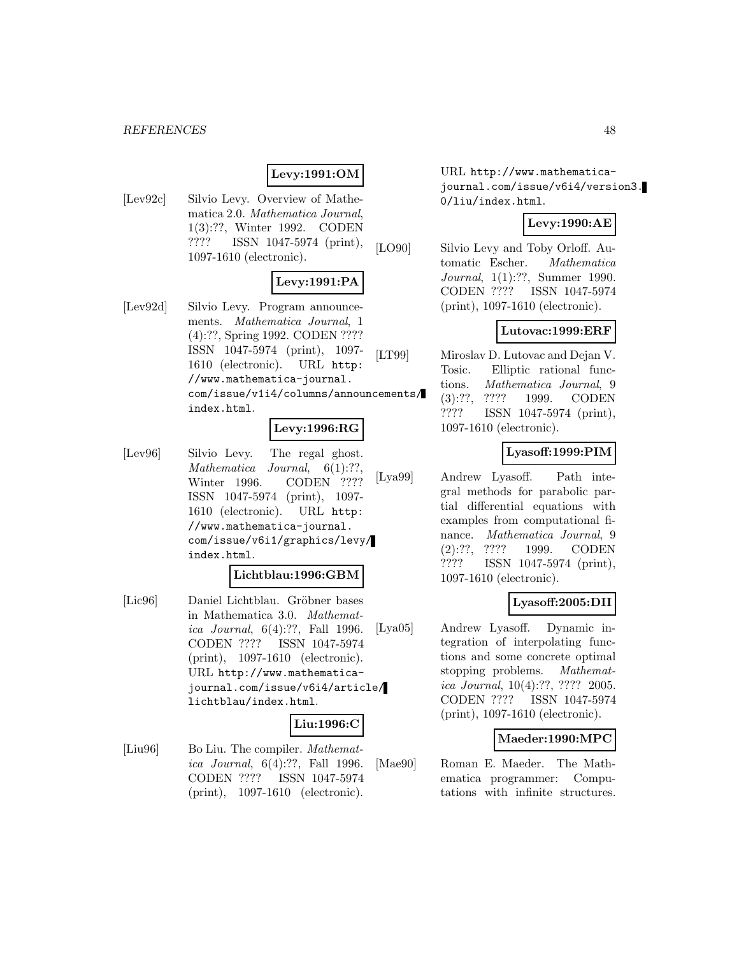#### *REFERENCES* 48

## **Levy:1991:OM**

[Lev92c] Silvio Levy. Overview of Mathematica 2.0. Mathematica Journal, 1(3):??, Winter 1992. CODEN ???? ISSN 1047-5974 (print), 1097-1610 (electronic).

### **Levy:1991:PA**

[Lev92d] Silvio Levy. Program announcements. Mathematica Journal, 1 (4):??, Spring 1992. CODEN ???? ISSN 1047-5974 (print), 1097- 1610 (electronic). URL http: //www.mathematica-journal. com/issue/v1i4/columns/announcements/ index.html.

## **Levy:1996:RG**

[Lev96] Silvio Levy. The regal ghost. Mathematica Journal,  $6(1)$ :??, Winter 1996. CODEN ???? ISSN 1047-5974 (print), 1097- 1610 (electronic). URL http: //www.mathematica-journal. com/issue/v6i1/graphics/levy/ index.html.

#### **Lichtblau:1996:GBM**

[Lic96] Daniel Lichtblau. Gröbner bases in Mathematica 3.0. Mathematica Journal, 6(4):??, Fall 1996. CODEN ???? ISSN 1047-5974 (print), 1097-1610 (electronic). URL http://www.mathematicajournal.com/issue/v6i4/article/ lichtblau/index.html.

### **Liu:1996:C**

[Liu96] Bo Liu. The compiler. *Mathemat*ica Journal, 6(4):??, Fall 1996. CODEN ???? ISSN 1047-5974 (print), 1097-1610 (electronic).

URL http://www.mathematicajournal.com/issue/v6i4/version3. 0/liu/index.html.

### **Levy:1990:AE**

[LO90] Silvio Levy and Toby Orloff. Automatic Escher. Mathematica Journal, 1(1):??, Summer 1990. CODEN ???? ISSN 1047-5974 (print), 1097-1610 (electronic).

### **Lutovac:1999:ERF**

[LT99] Miroslav D. Lutovac and Dejan V. Tosic. Elliptic rational functions. Mathematica Journal, 9 (3):??, ???? 1999. CODEN ???? ISSN 1047-5974 (print), 1097-1610 (electronic).

### **Lyasoff:1999:PIM**

[Lya99] Andrew Lyasoff. Path integral methods for parabolic partial differential equations with examples from computational finance. *Mathematica Journal*, 9 (2):??, ???? 1999. CODEN ???? ISSN 1047-5974 (print), 1097-1610 (electronic).

### **Lyasoff:2005:DII**

[Lya05] Andrew Lyasoff. Dynamic integration of interpolating functions and some concrete optimal stopping problems. Mathematica Journal, 10(4):??, ???? 2005. CODEN ???? ISSN 1047-5974 (print), 1097-1610 (electronic).

### **Maeder:1990:MPC**

[Mae90] Roman E. Maeder. The Mathematica programmer: Computations with infinite structures.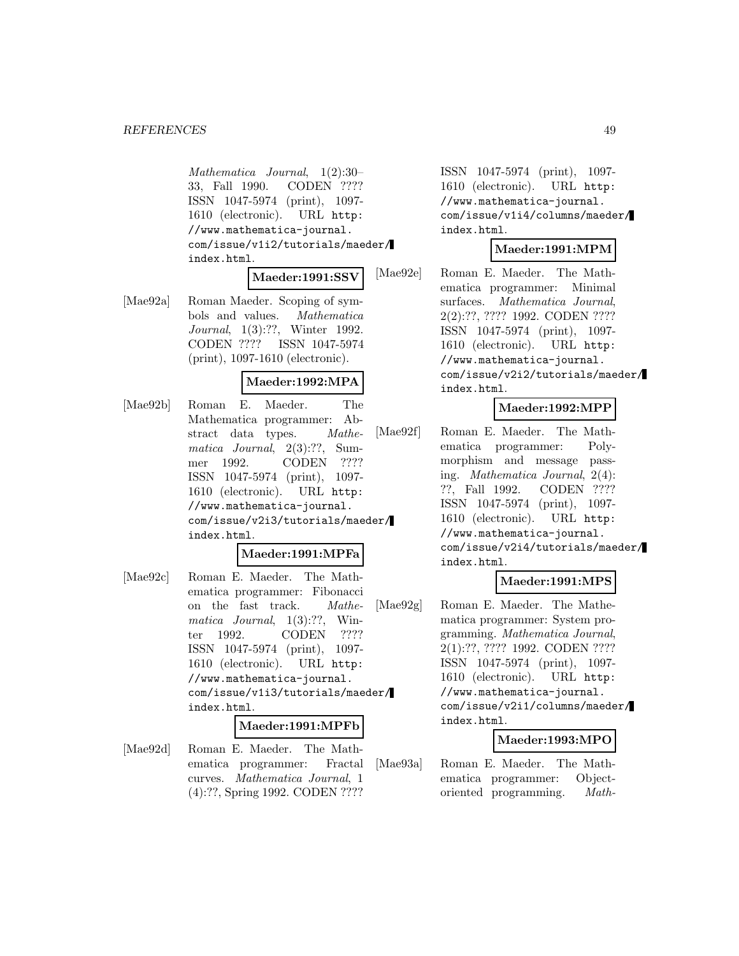Mathematica Journal, 1(2):30– 33, Fall 1990. CODEN ???? ISSN 1047-5974 (print), 1097- 1610 (electronic). URL http: //www.mathematica-journal. com/issue/v1i2/tutorials/maeder/ index.html.

#### **Maeder:1991:SSV**

[Mae92a] Roman Maeder. Scoping of symbols and values. Mathematica Journal, 1(3):??, Winter 1992. CODEN ???? ISSN 1047-5974 (print), 1097-1610 (electronic).

### **Maeder:1992:MPA**

[Mae92b] Roman E. Maeder. The Mathematica programmer: Abstract data types. Mathematica Journal, 2(3):??, Summer 1992. CODEN ???? ISSN 1047-5974 (print), 1097- 1610 (electronic). URL http: //www.mathematica-journal. com/issue/v2i3/tutorials/maeder/ index.html.

#### **Maeder:1991:MPFa**

[Mae92c] Roman E. Maeder. The Mathematica programmer: Fibonacci on the fast track. Mathematica Journal, 1(3):??, Winter 1992. CODEN ???? ISSN 1047-5974 (print), 1097- 1610 (electronic). URL http: //www.mathematica-journal. com/issue/v1i3/tutorials/maeder/ index.html.

#### **Maeder:1991:MPFb**

[Mae92d] Roman E. Maeder. The Mathematica programmer: Fractal curves. Mathematica Journal, 1 (4):??, Spring 1992. CODEN ????

ISSN 1047-5974 (print), 1097- 1610 (electronic). URL http: //www.mathematica-journal. com/issue/v1i4/columns/maeder/ index.html.

#### **Maeder:1991:MPM**

[Mae92e] Roman E. Maeder. The Mathematica programmer: Minimal surfaces. Mathematica Journal, 2(2):??, ???? 1992. CODEN ???? ISSN 1047-5974 (print), 1097- 1610 (electronic). URL http: //www.mathematica-journal. com/issue/v2i2/tutorials/maeder/ index.html.

### **Maeder:1992:MPP**

[Mae92f] Roman E. Maeder. The Mathematica programmer: Polymorphism and message passing. Mathematica Journal, 2(4): ??, Fall 1992. CODEN ???? ISSN 1047-5974 (print), 1097- 1610 (electronic). URL http: //www.mathematica-journal. com/issue/v2i4/tutorials/maeder/ index.html.

#### **Maeder:1991:MPS**

[Mae92g] Roman E. Maeder. The Mathematica programmer: System programming. Mathematica Journal, 2(1):??, ???? 1992. CODEN ???? ISSN 1047-5974 (print), 1097- 1610 (electronic). URL http: //www.mathematica-journal. com/issue/v2i1/columns/maeder/ index.html.

#### **Maeder:1993:MPO**

[Mae93a] Roman E. Maeder. The Mathematica programmer: Objectoriented programming. Math-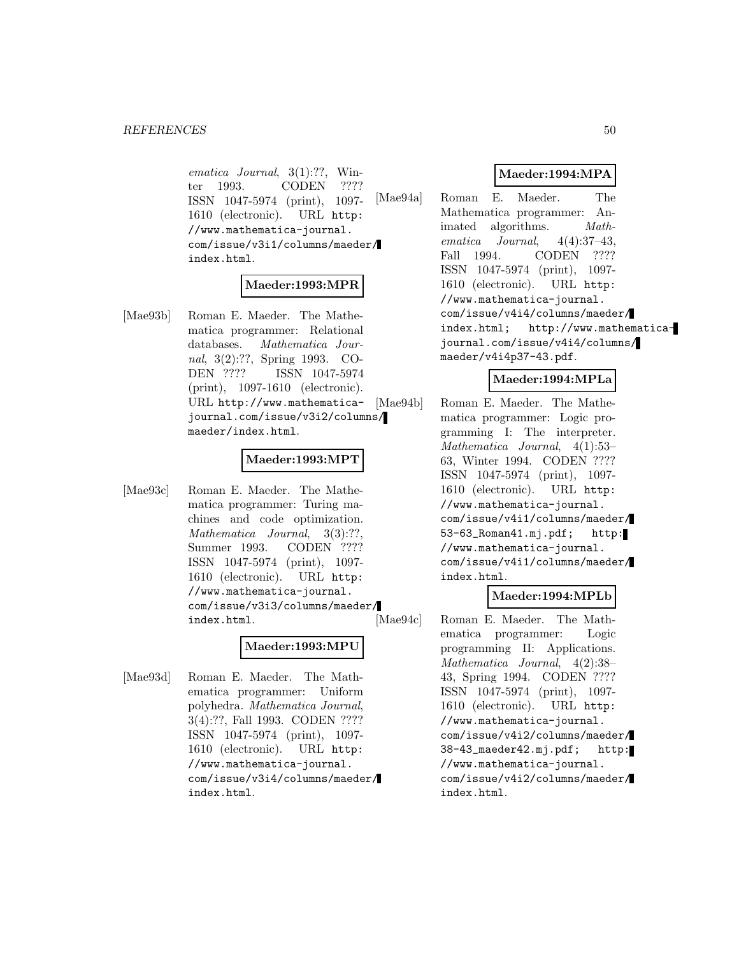ematica Journal, 3(1):??, Winter 1993. CODEN ???? ISSN 1047-5974 (print), 1097- 1610 (electronic). URL http: //www.mathematica-journal. com/issue/v3i1/columns/maeder/ index.html.

#### **Maeder:1993:MPR**

[Mae93b] Roman E. Maeder. The Mathematica programmer: Relational databases. Mathematica Journal, 3(2):??, Spring 1993. CO-DEN ???? ISSN 1047-5974 (print), 1097-1610 (electronic). URL http://www.mathematicajournal.com/issue/v3i2/columns/ maeder/index.html.

#### **Maeder:1993:MPT**

[Mae93c] Roman E. Maeder. The Mathematica programmer: Turing machines and code optimization. Mathematica Journal, 3(3):??, Summer 1993. CODEN ???? ISSN 1047-5974 (print), 1097- 1610 (electronic). URL http: //www.mathematica-journal. com/issue/v3i3/columns/maeder/ index.html.

#### **Maeder:1993:MPU**

[Mae93d] Roman E. Maeder. The Mathematica programmer: Uniform polyhedra. Mathematica Journal, 3(4):??, Fall 1993. CODEN ???? ISSN 1047-5974 (print), 1097- 1610 (electronic). URL http: //www.mathematica-journal. com/issue/v3i4/columns/maeder/ index.html.

### **Maeder:1994:MPA**

[Mae94a] Roman E. Maeder. The Mathematica programmer: Animated algorithms. Mathematica Journal, 4(4):37–43, Fall 1994. CODEN ???? ISSN 1047-5974 (print), 1097- 1610 (electronic). URL http: //www.mathematica-journal. com/issue/v4i4/columns/maeder/ index.html; http://www.mathematicajournal.com/issue/v4i4/columns/ maeder/v4i4p37-43.pdf.

#### **Maeder:1994:MPLa**

[Mae94b] Roman E. Maeder. The Mathematica programmer: Logic programming I: The interpreter. Mathematica Journal, 4(1):53– 63, Winter 1994. CODEN ???? ISSN 1047-5974 (print), 1097- 1610 (electronic). URL http: //www.mathematica-journal. com/issue/v4i1/columns/maeder/ 53-63\_Roman41.mj.pdf; http: //www.mathematica-journal. com/issue/v4i1/columns/maeder/ index.html.

#### **Maeder:1994:MPLb**

[Mae94c] Roman E. Maeder. The Mathematica programmer: Logic programming II: Applications. Mathematica Journal, 4(2):38– 43, Spring 1994. CODEN ???? ISSN 1047-5974 (print), 1097- 1610 (electronic). URL http: //www.mathematica-journal. com/issue/v4i2/columns/maeder/ 38-43\_maeder42.mj.pdf; http: //www.mathematica-journal. com/issue/v4i2/columns/maeder/ index.html.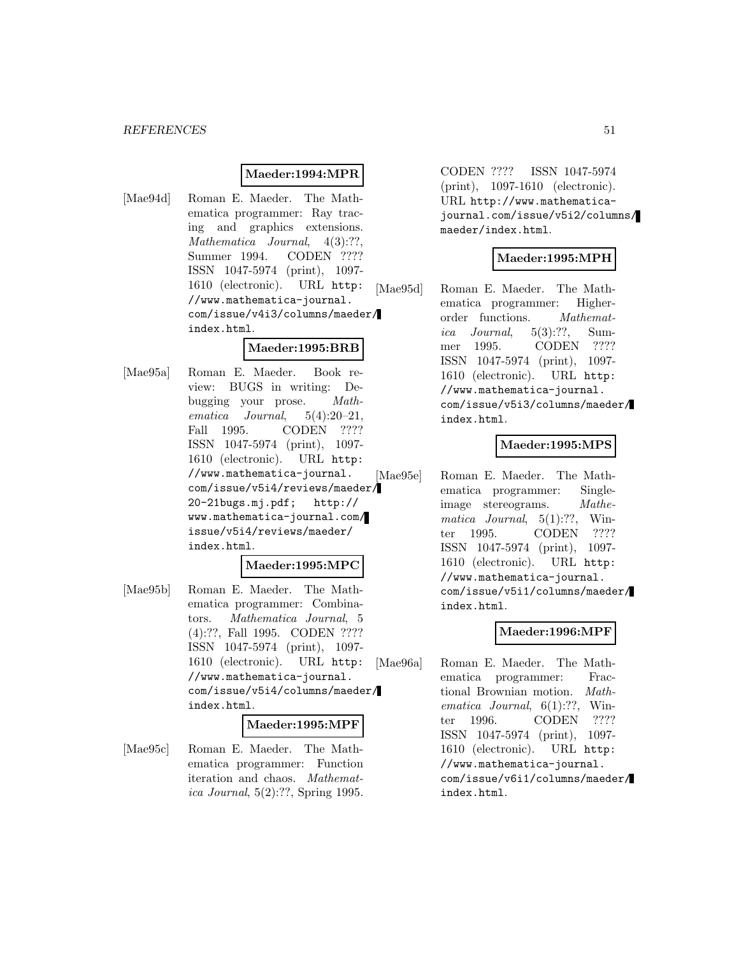#### **Maeder:1994:MPR**

[Mae94d] Roman E. Maeder. The Mathematica programmer: Ray tracing and graphics extensions. Mathematica Journal, 4(3):??. Summer 1994. CODEN ???? ISSN 1047-5974 (print), 1097- 1610 (electronic). URL http: //www.mathematica-journal. com/issue/v4i3/columns/maeder/ index.html.

## **Maeder:1995:BRB**

[Mae95a] Roman E. Maeder. Book review: BUGS in writing: Debugging your prose. Mathematica  $Journal. 5(4):20-21,$ Fall 1995. CODEN ???? ISSN 1047-5974 (print), 1097- 1610 (electronic). URL http: //www.mathematica-journal. com/issue/v5i4/reviews/maeder/ 20-21bugs.mj.pdf; http:// www.mathematica-journal.com/ issue/v5i4/reviews/maeder/ index.html.

#### **Maeder:1995:MPC**

[Mae95b] Roman E. Maeder. The Mathematica programmer: Combinators. Mathematica Journal, 5 (4):??, Fall 1995. CODEN ???? ISSN 1047-5974 (print), 1097- 1610 (electronic). URL http: //www.mathematica-journal. com/issue/v5i4/columns/maeder/ index.html.

#### **Maeder:1995:MPF**

[Mae95c] Roman E. Maeder. The Mathematica programmer: Function iteration and chaos. Mathematica Journal, 5(2):??, Spring 1995.

CODEN ???? ISSN 1047-5974 (print), 1097-1610 (electronic). URL http://www.mathematicajournal.com/issue/v5i2/columns/ maeder/index.html.

### **Maeder:1995:MPH**

[Mae95d] Roman E. Maeder. The Mathematica programmer: Higherorder functions. Mathematica Journal,  $5(3):$ ??, Summer 1995. CODEN ???? ISSN 1047-5974 (print), 1097- 1610 (electronic). URL http: //www.mathematica-journal. com/issue/v5i3/columns/maeder/ index.html.

#### **Maeder:1995:MPS**

[Mae95e] Roman E. Maeder. The Mathematica programmer: Singleimage stereograms. Mathematica Journal,  $5(1)$ :??, Winter 1995. CODEN ???? ISSN 1047-5974 (print), 1097- 1610 (electronic). URL http: //www.mathematica-journal. com/issue/v5i1/columns/maeder/ index.html.

### **Maeder:1996:MPF**

[Mae96a] Roman E. Maeder. The Mathematica programmer: Fractional Brownian motion. Mathematica Journal,  $6(1)$ :??, Winter 1996. CODEN ???? ISSN 1047-5974 (print), 1097- 1610 (electronic). URL http: //www.mathematica-journal. com/issue/v6i1/columns/maeder/ index.html.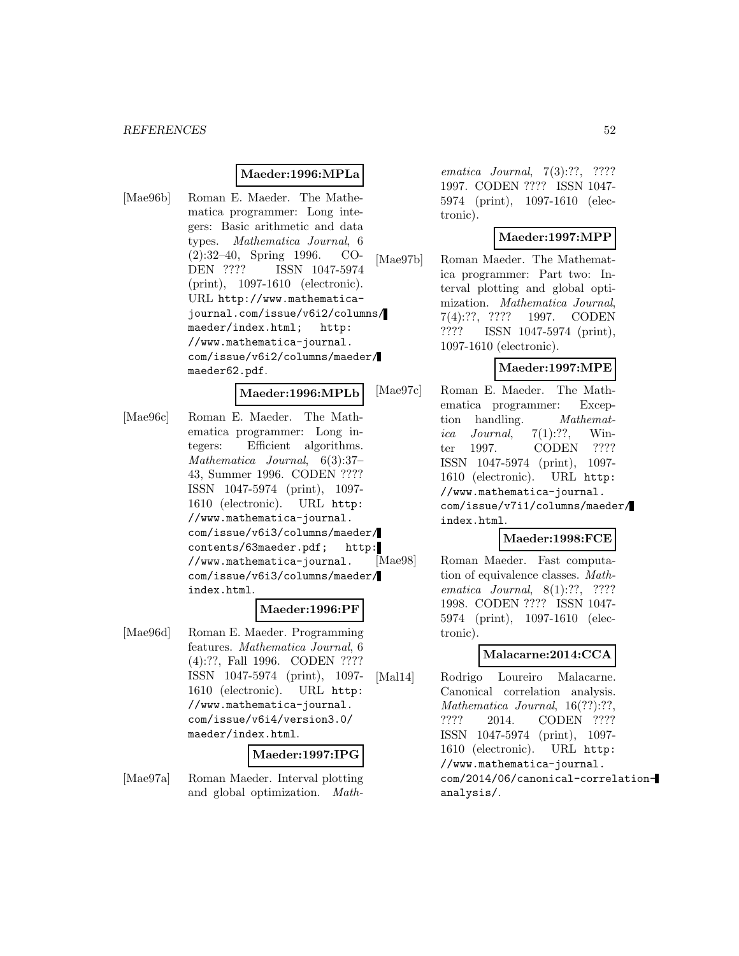#### **Maeder:1996:MPLa**

[Mae96b] Roman E. Maeder. The Mathematica programmer: Long integers: Basic arithmetic and data types. Mathematica Journal, 6 (2):32–40, Spring 1996. CO-DEN ???? ISSN 1047-5974 (print), 1097-1610 (electronic). URL http://www.mathematicajournal.com/issue/v6i2/columns/ maeder/index.html; http: //www.mathematica-journal. com/issue/v6i2/columns/maeder/ maeder62.pdf.

#### **Maeder:1996:MPLb**

[Mae96c] Roman E. Maeder. The Mathematica programmer: Long integers: Efficient algorithms. Mathematica Journal, 6(3):37– 43, Summer 1996. CODEN ???? ISSN 1047-5974 (print), 1097- 1610 (electronic). URL http: //www.mathematica-journal. com/issue/v6i3/columns/maeder/ contents/63maeder.pdf; http: //www.mathematica-journal. com/issue/v6i3/columns/maeder/ index.html.

#### **Maeder:1996:PF**

[Mae96d] Roman E. Maeder. Programming features. Mathematica Journal, 6 (4):??, Fall 1996. CODEN ???? ISSN 1047-5974 (print), 1097- 1610 (electronic). URL http: //www.mathematica-journal. com/issue/v6i4/version3.0/ maeder/index.html.

#### **Maeder:1997:IPG**

[Mae97a] Roman Maeder. Interval plotting and global optimization. Mathematica Journal, 7(3):??, ???? 1997. CODEN ???? ISSN 1047- 5974 (print), 1097-1610 (electronic).

#### **Maeder:1997:MPP**

[Mae97b] Roman Maeder. The Mathematica programmer: Part two: Interval plotting and global optimization. Mathematica Journal, 7(4):??, ???? 1997. CODEN ???? ISSN 1047-5974 (print), 1097-1610 (electronic).

#### **Maeder:1997:MPE**

[Mae97c] Roman E. Maeder. The Mathematica programmer: Exception handling. *Mathemat*ica Journal,  $7(1)$ :??, Winter 1997. CODEN ???? ISSN 1047-5974 (print), 1097- 1610 (electronic). URL http: //www.mathematica-journal. com/issue/v7i1/columns/maeder/ index.html.

#### **Maeder:1998:FCE**

[Mae98] Roman Maeder. Fast computation of equivalence classes. Mathematica Journal, 8(1):??, ???? 1998. CODEN ???? ISSN 1047- 5974 (print), 1097-1610 (electronic).

#### **Malacarne:2014:CCA**

[Mal14] Rodrigo Loureiro Malacarne. Canonical correlation analysis. Mathematica Journal, 16(??):??, ???? 2014. CODEN ???? ISSN 1047-5974 (print), 1097- 1610 (electronic). URL http: //www.mathematica-journal. com/2014/06/canonical-correlationanalysis/.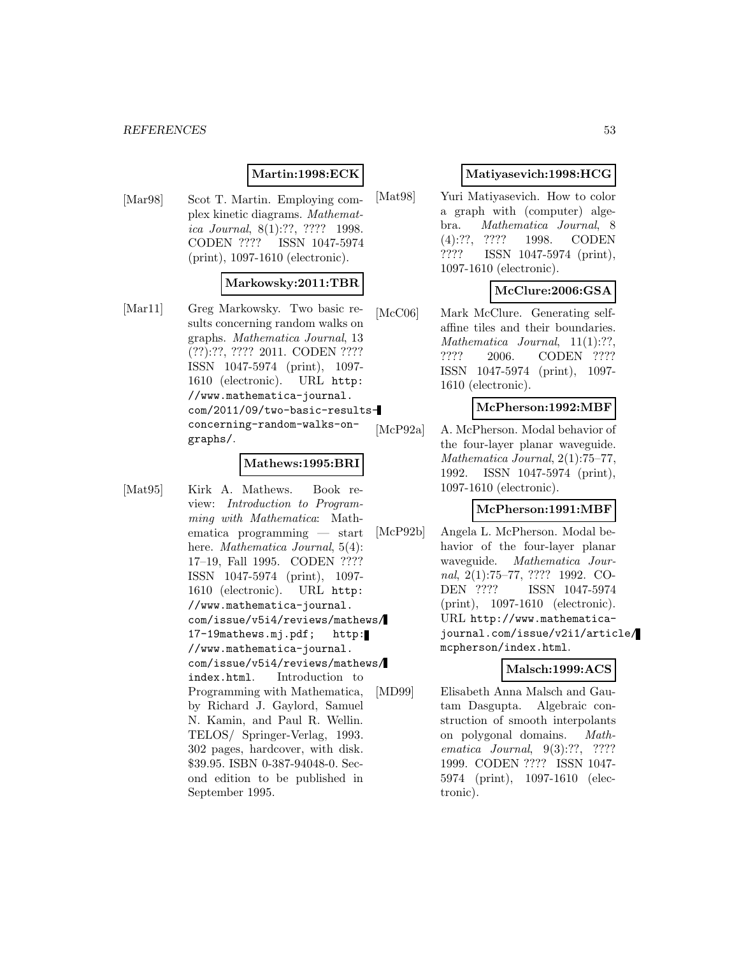## **Martin:1998:ECK**

[Mar98] Scot T. Martin. Employing complex kinetic diagrams. Mathematica Journal, 8(1):??, ???? 1998. CODEN ???? ISSN 1047-5974 (print), 1097-1610 (electronic).

#### **Markowsky:2011:TBR**

[Mar11] Greg Markowsky. Two basic results concerning random walks on graphs. Mathematica Journal, 13 (??):??, ???? 2011. CODEN ???? ISSN 1047-5974 (print), 1097- 1610 (electronic). URL http: //www.mathematica-journal. com/2011/09/two-basic-resultsconcerning-random-walks-ongraphs/.

#### **Mathews:1995:BRI**

[Mat95] Kirk A. Mathews. Book review: Introduction to Programming with Mathematica: Mathematica programming — start here. *Mathematica Journal*, 5(4): 17–19, Fall 1995. CODEN ???? ISSN 1047-5974 (print), 1097- 1610 (electronic). URL http: //www.mathematica-journal. com/issue/v5i4/reviews/mathews/ 17-19mathews.mj.pdf; http: //www.mathematica-journal. com/issue/v5i4/reviews/mathews/ index.html. Introduction to Programming with Mathematica, by Richard J. Gaylord, Samuel N. Kamin, and Paul R. Wellin. TELOS/ Springer-Verlag, 1993. 302 pages, hardcover, with disk. \$39.95. ISBN 0-387-94048-0. Second edition to be published in September 1995.

#### **Matiyasevich:1998:HCG**

[Mat98] Yuri Matiyasevich. How to color a graph with (computer) algebra. Mathematica Journal, 8 (4):??, ???? 1998. CODEN ???? ISSN 1047-5974 (print), 1097-1610 (electronic).

### **McClure:2006:GSA**

[McC06] Mark McClure. Generating selfaffine tiles and their boundaries. Mathematica Journal, 11(1):??, ???? 2006. CODEN ???? ISSN 1047-5974 (print), 1097- 1610 (electronic).

#### **McPherson:1992:MBF**

[McP92a] A. McPherson. Modal behavior of the four-layer planar waveguide. Mathematica Journal, 2(1):75–77, 1992. ISSN 1047-5974 (print), 1097-1610 (electronic).

### **McPherson:1991:MBF**

[McP92b] Angela L. McPherson. Modal behavior of the four-layer planar waveguide. Mathematica Journal, 2(1):75–77, ???? 1992. CO-DEN ???? ISSN 1047-5974 (print), 1097-1610 (electronic). URL http://www.mathematicajournal.com/issue/v2i1/article/ mcpherson/index.html.

### **Malsch:1999:ACS**

[MD99] Elisabeth Anna Malsch and Gautam Dasgupta. Algebraic construction of smooth interpolants on polygonal domains. Mathematica Journal, 9(3):??, ???? 1999. CODEN ???? ISSN 1047- 5974 (print), 1097-1610 (electronic).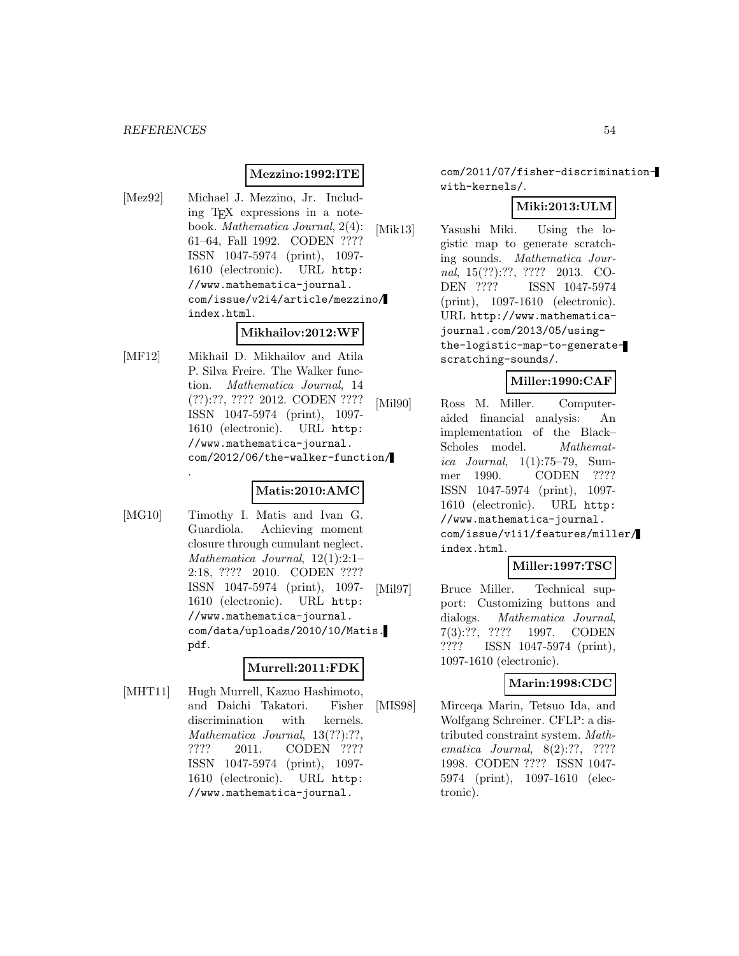### **Mezzino:1992:ITE**

[Mez92] Michael J. Mezzino, Jr. Including TEX expressions in a notebook. Mathematica Journal, 2(4): 61–64, Fall 1992. CODEN ???? ISSN 1047-5974 (print), 1097- 1610 (electronic). URL http: //www.mathematica-journal. com/issue/v2i4/article/mezzino/ index.html.

#### **Mikhailov:2012:WF**

[MF12] Mikhail D. Mikhailov and Atila P. Silva Freire. The Walker function. Mathematica Journal, 14 (??):??, ???? 2012. CODEN ???? ISSN 1047-5974 (print), 1097- 1610 (electronic). URL http: //www.mathematica-journal. com/2012/06/the-walker-function/ .

### **Matis:2010:AMC**

[MG10] Timothy I. Matis and Ivan G. Guardiola. Achieving moment closure through cumulant neglect. Mathematica Journal, 12(1):2:1– 2:18, ???? 2010. CODEN ???? ISSN 1047-5974 (print), 1097- 1610 (electronic). URL http: //www.mathematica-journal. com/data/uploads/2010/10/Matis. pdf.

### **Murrell:2011:FDK**

[MHT11] Hugh Murrell, Kazuo Hashimoto, and Daichi Takatori. Fisher discrimination with kernels. Mathematica Journal, 13(??):??, ???? 2011. CODEN ???? ISSN 1047-5974 (print), 1097- 1610 (electronic). URL http: //www.mathematica-journal.

com/2011/07/fisher-discriminationwith-kernels/.

### **Miki:2013:ULM**

[Mik13] Yasushi Miki. Using the logistic map to generate scratching sounds. Mathematica Journal, 15(??):??, ???? 2013. CO-DEN ???? ISSN 1047-5974 (print), 1097-1610 (electronic). URL http://www.mathematicajournal.com/2013/05/usingthe-logistic-map-to-generatescratching-sounds/.

#### **Miller:1990:CAF**

[Mil90] Ross M. Miller. Computeraided financial analysis: An implementation of the Black– Scholes model. *Mathemat*ica Journal, 1(1):75–79, Summer 1990. CODEN ???? ISSN 1047-5974 (print), 1097- 1610 (electronic). URL http: //www.mathematica-journal. com/issue/v1i1/features/miller/ index.html.

### **Miller:1997:TSC**

[Mil97] Bruce Miller. Technical support: Customizing buttons and dialogs. Mathematica Journal, 7(3):??, ???? 1997. CODEN ???? ISSN 1047-5974 (print), 1097-1610 (electronic).

#### **Marin:1998:CDC**

[MIS98] Mirceqa Marin, Tetsuo Ida, and Wolfgang Schreiner. CFLP: a distributed constraint system. Mathematica Journal, 8(2):??, ???? 1998. CODEN ???? ISSN 1047- 5974 (print), 1097-1610 (electronic).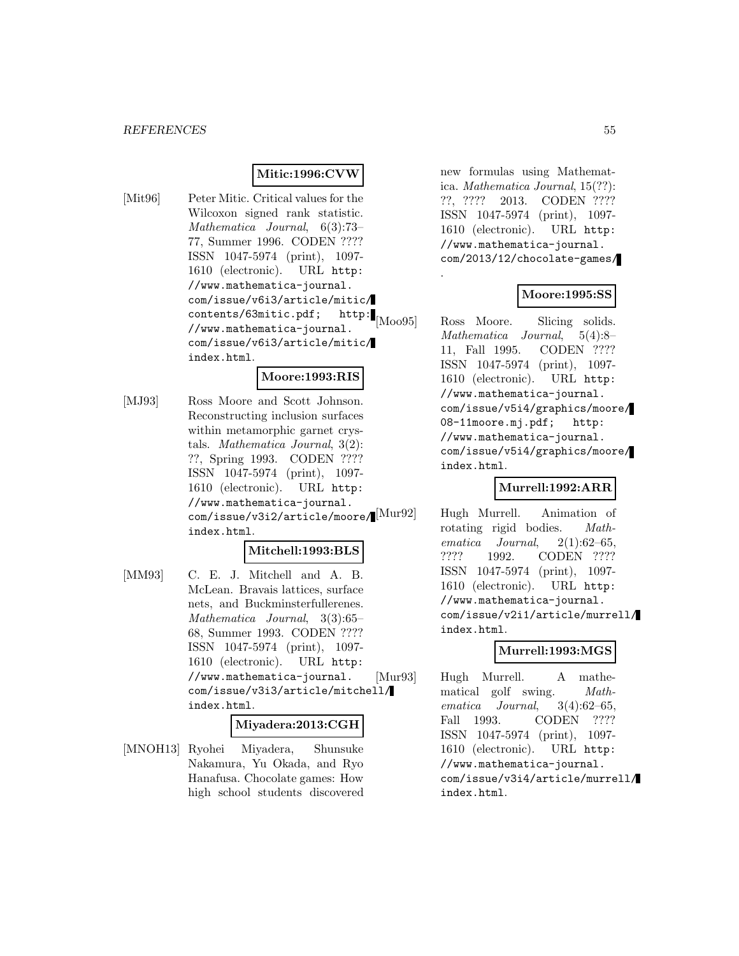#### **Mitic:1996:CVW**

[Mit96] Peter Mitic. Critical values for the Wilcoxon signed rank statistic. Mathematica Journal, 6(3):73– 77, Summer 1996. CODEN ???? ISSN 1047-5974 (print), 1097- 1610 (electronic). URL http: //www.mathematica-journal. com/issue/v6i3/article/mitic/ contents/63mitic.pdf; http: //www.mathematica-journal. com/issue/v6i3/article/mitic/ index.html.

### **Moore:1993:RIS**

[MJ93] Ross Moore and Scott Johnson. Reconstructing inclusion surfaces within metamorphic garnet crystals. Mathematica Journal, 3(2): ??, Spring 1993. CODEN ???? ISSN 1047-5974 (print), 1097- 1610 (electronic). URL http: //www.mathematica-journal. com/issue/v3i2/article/moore/[Mur92] index.html.

#### **Mitchell:1993:BLS**

[MM93] C. E. J. Mitchell and A. B. McLean. Bravais lattices, surface nets, and Buckminsterfullerenes. Mathematica Journal, 3(3):65– 68, Summer 1993. CODEN ???? ISSN 1047-5974 (print), 1097- 1610 (electronic). URL http: //www.mathematica-journal. com/issue/v3i3/article/mitchell/ index.html.

#### **Miyadera:2013:CGH**

[MNOH13] Ryohei Miyadera, Shunsuke Nakamura, Yu Okada, and Ryo Hanafusa. Chocolate games: How high school students discovered

new formulas using Mathematica. Mathematica Journal, 15(??): ??, ???? 2013. CODEN ???? ISSN 1047-5974 (print), 1097- 1610 (electronic). URL http: //www.mathematica-journal. com/2013/12/chocolate-games/

.

### **Moore:1995:SS**

[Moo95] Ross Moore. Slicing solids. Mathematica Journal, 5(4):8– 11, Fall 1995. CODEN ???? ISSN 1047-5974 (print), 1097- 1610 (electronic). URL http: //www.mathematica-journal. com/issue/v5i4/graphics/moore/ 08-11moore.mj.pdf; http: //www.mathematica-journal. com/issue/v5i4/graphics/moore/ index.html.

#### **Murrell:1992:ARR**

Hugh Murrell. Animation of rotating rigid bodies. Mathematica Journal,  $2(1):62-65$ , ???? 1992. CODEN ???? ISSN 1047-5974 (print), 1097- 1610 (electronic). URL http: //www.mathematica-journal. com/issue/v2i1/article/murrell/ index.html.

#### **Murrell:1993:MGS**

[Mur93] Hugh Murrell. A mathematical golf swing. Mathematica Journal, 3(4):62–65, Fall 1993. CODEN ???? ISSN 1047-5974 (print), 1097- 1610 (electronic). URL http: //www.mathematica-journal. com/issue/v3i4/article/murrell/ index.html.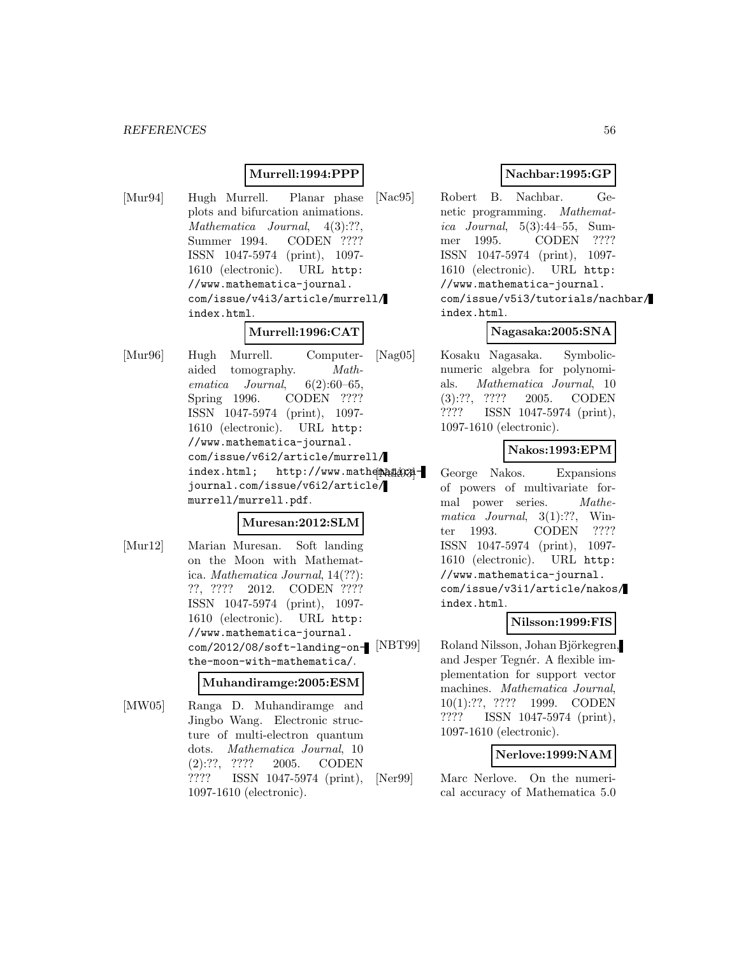#### **Murrell:1994:PPP**

[Mur94] Hugh Murrell. Planar phase plots and bifurcation animations. Mathematica Journal,  $4(3):?$ ? Summer 1994. CODEN ???? ISSN 1047-5974 (print), 1097- 1610 (electronic). URL http: //www.mathematica-journal. com/issue/v4i3/article/murrell/ index.html.

## **Murrell:1996:CAT**

[Mur96] Hugh Murrell. Computeraided tomography. Mathematica Journal, 6(2):60–65, Spring 1996. CODEN ???? ISSN 1047-5974 (print), 1097- 1610 (electronic). URL http: //www.mathematica-journal. com/issue/v6i2/article/murrell/ index.html; http://www.mathematicajournal.com/issue/v6i2/article/ murrell/murrell.pdf.

#### **Muresan:2012:SLM**

[Mur12] Marian Muresan. Soft landing on the Moon with Mathematica. Mathematica Journal, 14(??): ??, ???? 2012. CODEN ???? ISSN 1047-5974 (print), 1097- 1610 (electronic). URL http: //www.mathematica-journal. com/2012/08/soft-landing-onthe-moon-with-mathematica/.

#### **Muhandiramge:2005:ESM**

[MW05] Ranga D. Muhandiramge and Jingbo Wang. Electronic structure of multi-electron quantum dots. Mathematica Journal, 10 (2):??, ???? 2005. CODEN ???? ISSN 1047-5974 (print), 1097-1610 (electronic).

### **Nachbar:1995:GP**

[Nac95] Robert B. Nachbar. Genetic programming. Mathematica Journal, 5(3):44–55, Summer 1995. CODEN ???? ISSN 1047-5974 (print), 1097- 1610 (electronic). URL http: //www.mathematica-journal. com/issue/v5i3/tutorials/nachbar/ index.html.

### **Nagasaka:2005:SNA**

[Nag05] Kosaku Nagasaka. Symbolicnumeric algebra for polynomials. Mathematica Journal, 10 (3):??, ???? 2005. CODEN ???? ISSN 1047-5974 (print), 1097-1610 (electronic).

#### **Nakos:1993:EPM**

George Nakos. Expansions of powers of multivariate formal power series. Mathematica Journal, 3(1):??, Winter 1993. CODEN ???? ISSN 1047-5974 (print), 1097- 1610 (electronic). URL http: //www.mathematica-journal. com/issue/v3i1/article/nakos/ index.html.

#### **Nilsson:1999:FIS**

[NBT99] Roland Nilsson, Johan Björkegren, and Jesper Tegnér. A flexible implementation for support vector machines. Mathematica Journal. 10(1):??, ???? 1999. CODEN ???? ISSN 1047-5974 (print), 1097-1610 (electronic).

#### **Nerlove:1999:NAM**

[Ner99] Marc Nerlove. On the numerical accuracy of Mathematica 5.0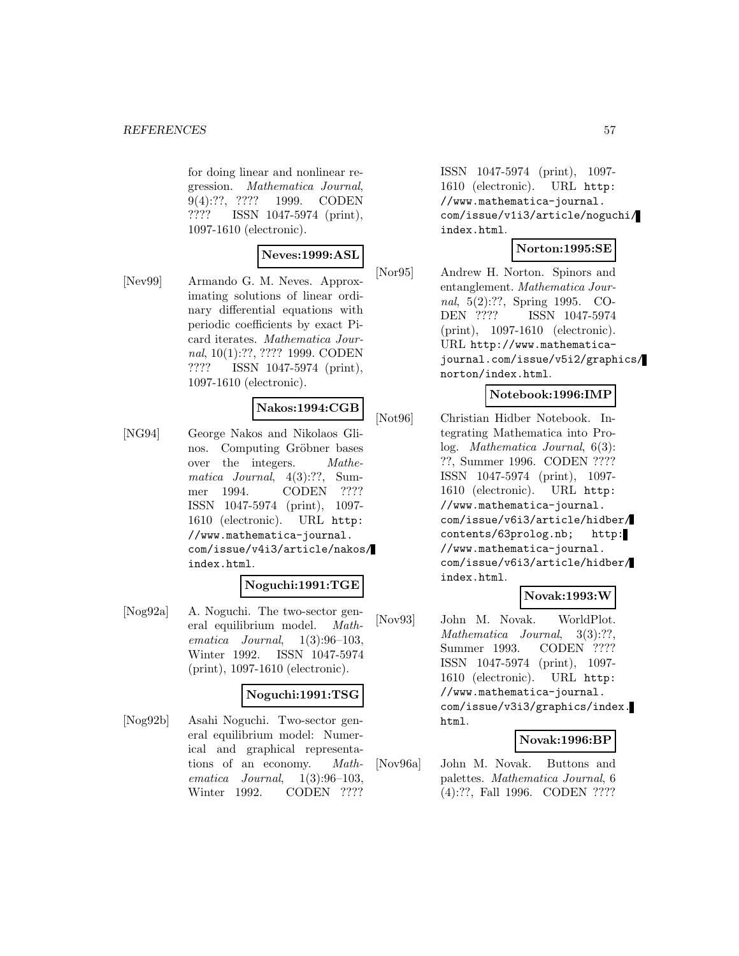for doing linear and nonlinear regression. Mathematica Journal, 9(4):??, ???? 1999. CODEN ???? ISSN 1047-5974 (print), 1097-1610 (electronic).

### **Neves:1999:ASL**

[Nev99] Armando G. M. Neves. Approximating solutions of linear ordinary differential equations with periodic coefficients by exact Picard iterates. Mathematica Journal, 10(1):??, ???? 1999. CODEN ???? ISSN 1047-5974 (print), 1097-1610 (electronic).

### **Nakos:1994:CGB**

[NG94] George Nakos and Nikolaos Glinos. Computing Gröbner bases over the integers. Mathematica Journal, 4(3):??, Summer 1994. CODEN ???? ISSN 1047-5974 (print), 1097- 1610 (electronic). URL http: //www.mathematica-journal. com/issue/v4i3/article/nakos/ index.html.

### **Noguchi:1991:TGE**

[Nog92a] A. Noguchi. The two-sector general equilibrium model. Mathematica Journal,  $1(3):96-103$ , Winter 1992. ISSN 1047-5974 (print), 1097-1610 (electronic).

#### **Noguchi:1991:TSG**

[Nog92b] Asahi Noguchi. Two-sector general equilibrium model: Numerical and graphical representations of an economy. Mathematica Journal,  $1(3):96-103$ , Winter 1992. CODEN ????

ISSN 1047-5974 (print), 1097- 1610 (electronic). URL http: //www.mathematica-journal. com/issue/v1i3/article/noguchi/ index.html.

#### **Norton:1995:SE**

[Nor95] Andrew H. Norton. Spinors and entanglement. Mathematica Journal, 5(2):??, Spring 1995. CO-DEN ???? ISSN 1047-5974 (print), 1097-1610 (electronic). URL http://www.mathematicajournal.com/issue/v5i2/graphics/ norton/index.html.

### **Notebook:1996:IMP**

[Not96] Christian Hidber Notebook. Integrating Mathematica into Prolog. Mathematica Journal, 6(3): ??, Summer 1996. CODEN ???? ISSN 1047-5974 (print), 1097- 1610 (electronic). URL http: //www.mathematica-journal. com/issue/v6i3/article/hidber/ contents/63prolog.nb; http: //www.mathematica-journal. com/issue/v6i3/article/hidber/ index.html.

## **Novak:1993:W**

[Nov93] John M. Novak. WorldPlot. Mathematica Journal, 3(3):??, Summer 1993. CODEN ???? ISSN 1047-5974 (print), 1097- 1610 (electronic). URL http: //www.mathematica-journal. com/issue/v3i3/graphics/index. html.

### **Novak:1996:BP**

[Nov96a] John M. Novak. Buttons and palettes. Mathematica Journal, 6 (4):??, Fall 1996. CODEN ????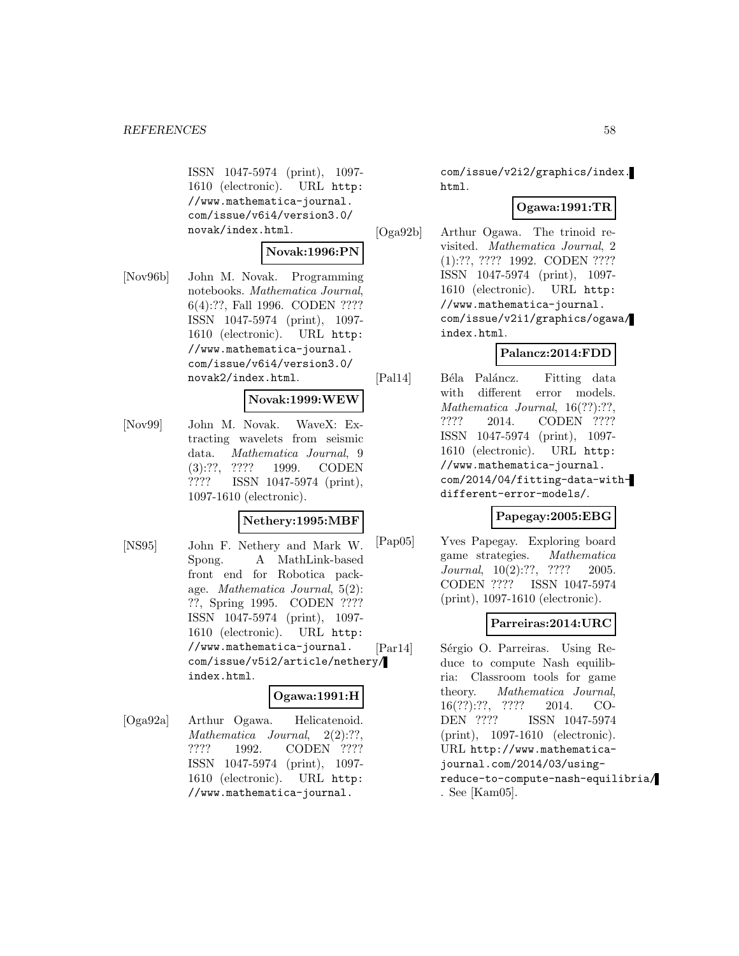ISSN 1047-5974 (print), 1097- 1610 (electronic). URL http: //www.mathematica-journal. com/issue/v6i4/version3.0/ novak/index.html.

#### **Novak:1996:PN**

[Nov96b] John M. Novak. Programming notebooks. Mathematica Journal, 6(4):??, Fall 1996. CODEN ???? ISSN 1047-5974 (print), 1097- 1610 (electronic). URL http: //www.mathematica-journal. com/issue/v6i4/version3.0/ novak2/index.html.

#### **Novak:1999:WEW**

[Nov99] John M. Novak. WaveX: Extracting wavelets from seismic data. Mathematica Journal, 9 (3):??, ???? 1999. CODEN ???? ISSN 1047-5974 (print), 1097-1610 (electronic).

### **Nethery:1995:MBF**

[NS95] John F. Nethery and Mark W. Spong. A MathLink-based front end for Robotica package. Mathematica Journal, 5(2): ??, Spring 1995. CODEN ???? ISSN 1047-5974 (print), 1097- 1610 (electronic). URL http: //www.mathematica-journal. com/issue/v5i2/article/nethery/ index.html.

### **Ogawa:1991:H**

[Oga92a] Arthur Ogawa. Helicatenoid. Mathematica Journal, 2(2):??, ???? 1992. CODEN ???? ISSN 1047-5974 (print), 1097- 1610 (electronic). URL http: //www.mathematica-journal.

com/issue/v2i2/graphics/index. html.

#### **Ogawa:1991:TR**

[Oga92b] Arthur Ogawa. The trinoid revisited. Mathematica Journal, 2 (1):??, ???? 1992. CODEN ???? ISSN 1047-5974 (print), 1097- 1610 (electronic). URL http: //www.mathematica-journal. com/issue/v2i1/graphics/ogawa/ index.html.

## **Palancz:2014:FDD**

[Pal14] Béla Paláncz. Fitting data with different error models. Mathematica Journal, 16(??):??, ???? 2014. CODEN ???? ISSN 1047-5974 (print), 1097- 1610 (electronic). URL http: //www.mathematica-journal. com/2014/04/fitting-data-withdifferent-error-models/.

### **Papegay:2005:EBG**

[Pap05] Yves Papegay. Exploring board game strategies. Mathematica Journal, 10(2):??, ???? 2005. CODEN ???? ISSN 1047-5974 (print), 1097-1610 (electronic).

### **Parreiras:2014:URC**

[Par14] Sérgio O. Parreiras. Using Reduce to compute Nash equilibria: Classroom tools for game theory. Mathematica Journal, 16(??):??, ???? 2014. CO-DEN ???? ISSN 1047-5974 (print), 1097-1610 (electronic). URL http://www.mathematicajournal.com/2014/03/usingreduce-to-compute-nash-equilibria/ . See [Kam05].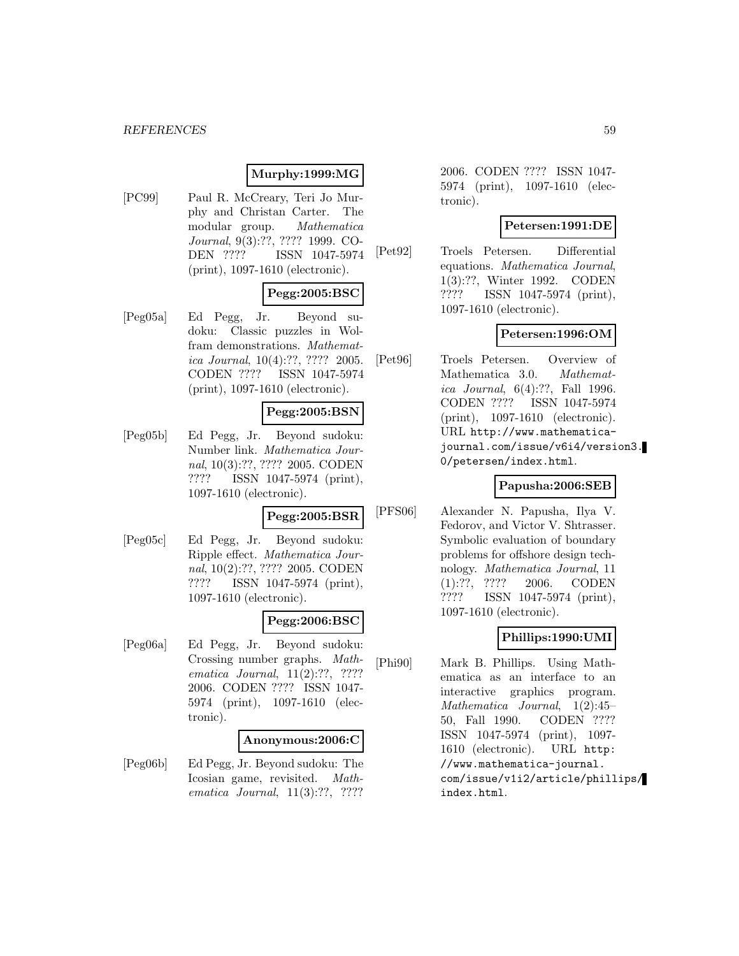#### *REFERENCES* 59

## **Murphy:1999:MG**

[PC99] Paul R. McCreary, Teri Jo Murphy and Christan Carter. The modular group. Mathematica Journal, 9(3):??, ???? 1999. CO-DEN ???? ISSN 1047-5974 (print), 1097-1610 (electronic).

### **Pegg:2005:BSC**

[Peg05a] Ed Pegg, Jr. Beyond sudoku: Classic puzzles in Wolfram demonstrations. Mathematica Journal, 10(4):??, ???? 2005. CODEN ???? ISSN 1047-5974 (print), 1097-1610 (electronic).

### **Pegg:2005:BSN**

[Peg05b] Ed Pegg, Jr. Beyond sudoku: Number link. Mathematica Journal, 10(3):??, ???? 2005. CODEN ???? ISSN 1047-5974 (print), 1097-1610 (electronic).

### **Pegg:2005:BSR**

[Peg05c] Ed Pegg, Jr. Beyond sudoku: Ripple effect. Mathematica Journal, 10(2):??, ???? 2005. CODEN ???? ISSN 1047-5974 (print), 1097-1610 (electronic).

### **Pegg:2006:BSC**

[Peg06a] Ed Pegg, Jr. Beyond sudoku: Crossing number graphs. Mathematica Journal, 11(2):??, ???? 2006. CODEN ???? ISSN 1047- 5974 (print), 1097-1610 (electronic).

### **Anonymous:2006:C**

[Peg06b] Ed Pegg, Jr. Beyond sudoku: The Icosian game, revisited. Mathematica Journal, 11(3):??, ????

2006. CODEN ???? ISSN 1047- 5974 (print), 1097-1610 (electronic).

#### **Petersen:1991:DE**

[Pet92] Troels Petersen. Differential equations. Mathematica Journal, 1(3):??, Winter 1992. CODEN ???? ISSN 1047-5974 (print), 1097-1610 (electronic).

#### **Petersen:1996:OM**

[Pet96] Troels Petersen. Overview of Mathematica 3.0. Mathematica Journal, 6(4):??, Fall 1996. CODEN ???? ISSN 1047-5974 (print), 1097-1610 (electronic). URL http://www.mathematicajournal.com/issue/v6i4/version3. 0/petersen/index.html.

#### **Papusha:2006:SEB**

[PFS06] Alexander N. Papusha, Ilya V. Fedorov, and Victor V. Shtrasser. Symbolic evaluation of boundary problems for offshore design technology. Mathematica Journal, 11 (1):??, ???? 2006. CODEN ???? ISSN 1047-5974 (print), 1097-1610 (electronic).

## **Phillips:1990:UMI**

[Phi90] Mark B. Phillips. Using Mathematica as an interface to an interactive graphics program. Mathematica Journal, 1(2):45– 50, Fall 1990. CODEN ???? ISSN 1047-5974 (print), 1097- 1610 (electronic). URL http: //www.mathematica-journal. com/issue/v1i2/article/phillips/ index.html.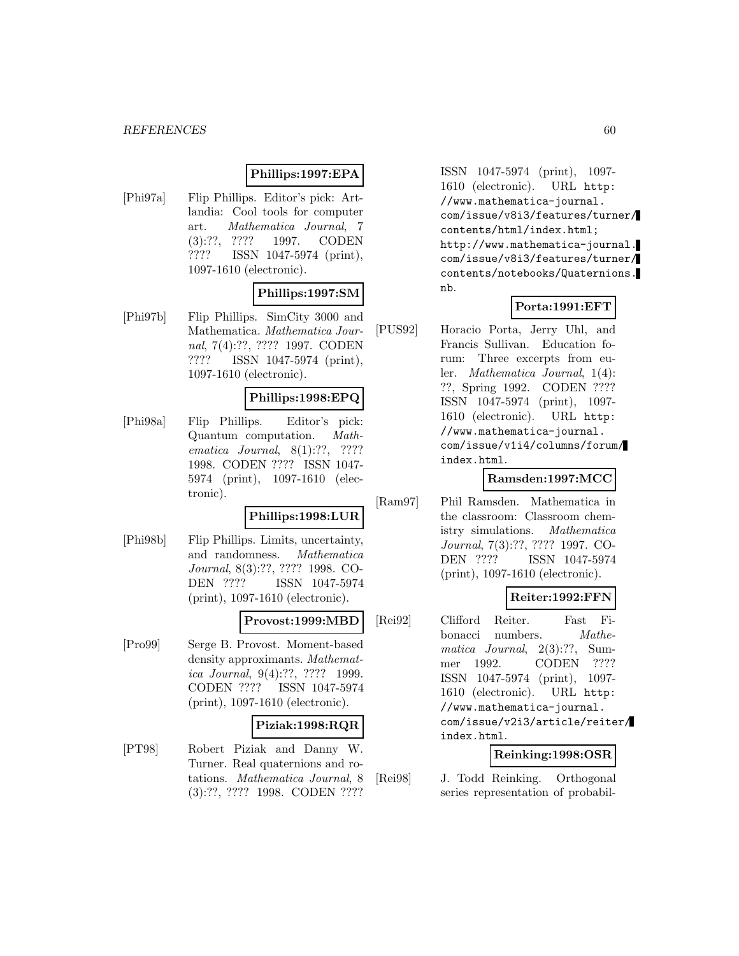#### *REFERENCES* 60

### **Phillips:1997:EPA**

[Phi97a] Flip Phillips. Editor's pick: Artlandia: Cool tools for computer art. Mathematica Journal, 7 (3):??, ???? 1997. CODEN ???? ISSN 1047-5974 (print), 1097-1610 (electronic).

### **Phillips:1997:SM**

[Phi97b] Flip Phillips. SimCity 3000 and Mathematica. Mathematica Journal, 7(4):??, ???? 1997. CODEN ???? ISSN 1047-5974 (print), 1097-1610 (electronic).

#### **Phillips:1998:EPQ**

[Phi98a] Flip Phillips. Editor's pick: Quantum computation. Mathematica Journal, 8(1):??, ???? 1998. CODEN ???? ISSN 1047- 5974 (print), 1097-1610 (electronic).

#### **Phillips:1998:LUR**

[Phi98b] Flip Phillips. Limits, uncertainty, and randomness. Mathematica Journal, 8(3):??, ???? 1998. CO-DEN ???? ISSN 1047-5974 (print), 1097-1610 (electronic).

#### **Provost:1999:MBD**

[Pro99] Serge B. Provost. Moment-based density approximants. Mathematica Journal, 9(4):??, ???? 1999. CODEN ???? ISSN 1047-5974 (print), 1097-1610 (electronic).

#### **Piziak:1998:RQR**

[PT98] Robert Piziak and Danny W. Turner. Real quaternions and rotations. Mathematica Journal, 8 (3):??, ???? 1998. CODEN ????

ISSN 1047-5974 (print), 1097- 1610 (electronic). URL http: //www.mathematica-journal. com/issue/v8i3/features/turner/ contents/html/index.html; http://www.mathematica-journal. com/issue/v8i3/features/turner/ contents/notebooks/Quaternions. nb.

### **Porta:1991:EFT**

[PUS92] Horacio Porta, Jerry Uhl, and Francis Sullivan. Education forum: Three excerpts from euler. Mathematica Journal, 1(4): ??, Spring 1992. CODEN ???? ISSN 1047-5974 (print), 1097- 1610 (electronic). URL http: //www.mathematica-journal. com/issue/v1i4/columns/forum/ index.html.

### **Ramsden:1997:MCC**

[Ram97] Phil Ramsden. Mathematica in the classroom: Classroom chemistry simulations. Mathematica Journal, 7(3):??, ???? 1997. CO-DEN ???? ISSN 1047-5974 (print), 1097-1610 (electronic).

### **Reiter:1992:FFN**

[Rei92] Clifford Reiter. Fast Fibonacci numbers. *Mathe*matica Journal, 2(3):??, Summer 1992. CODEN ???? ISSN 1047-5974 (print), 1097- 1610 (electronic). URL http: //www.mathematica-journal. com/issue/v2i3/article/reiter/ index.html.

## **Reinking:1998:OSR**

[Rei98] J. Todd Reinking. Orthogonal series representation of probabil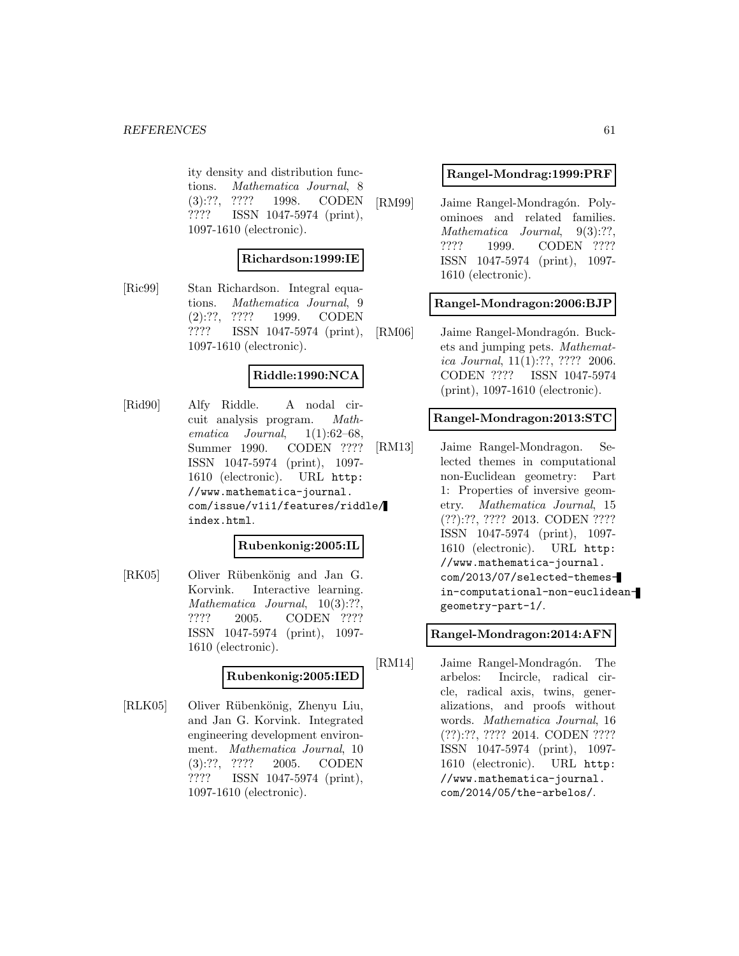ity density and distribution functions. Mathematica Journal, 8 (3):??, ???? 1998. CODEN ???? ISSN 1047-5974 (print), 1097-1610 (electronic).

### **Richardson:1999:IE**

[Ric99] Stan Richardson. Integral equations. Mathematica Journal, 9 (2):??, ???? 1999. CODEN ???? ISSN 1047-5974 (print), 1097-1610 (electronic).

#### **Riddle:1990:NCA**

[Rid90] Alfy Riddle. A nodal circuit analysis program. Mathematica Journal,  $1(1):62-68$ , Summer 1990. CODEN ???? ISSN 1047-5974 (print), 1097- 1610 (electronic). URL http: //www.mathematica-journal. com/issue/v1i1/features/riddle/ index.html.

#### **Rubenkonig:2005:IL**

[RK05] Oliver Rübenkönig and Jan G. Korvink. Interactive learning. Mathematica Journal, 10(3):??, ???? 2005. CODEN ???? ISSN 1047-5974 (print), 1097- 1610 (electronic).

### **Rubenkonig:2005:IED**

[RLK05] Oliver Rübenkönig, Zhenyu Liu, and Jan G. Korvink. Integrated engineering development environment. Mathematica Journal, 10 (3):??, ???? 2005. CODEN ???? ISSN 1047-5974 (print), 1097-1610 (electronic).

#### **Rangel-Mondrag:1999:PRF**

[RM99] Jaime Rangel-Mondragón. Polyominoes and related families. Mathematica Journal, 9(3):??, ???? 1999. CODEN ???? ISSN 1047-5974 (print), 1097- 1610 (electronic).

#### **Rangel-Mondragon:2006:BJP**

[RM06] Jaime Rangel-Mondragón. Buckets and jumping pets. Mathematica Journal, 11(1):??, ???? 2006. CODEN ???? ISSN 1047-5974 (print), 1097-1610 (electronic).

### **Rangel-Mondragon:2013:STC**

[RM13] Jaime Rangel-Mondragon. Selected themes in computational non-Euclidean geometry: Part 1: Properties of inversive geometry. Mathematica Journal, 15 (??):??, ???? 2013. CODEN ???? ISSN 1047-5974 (print), 1097- 1610 (electronic). URL http: //www.mathematica-journal. com/2013/07/selected-themesin-computational-non-euclideangeometry-part-1/.

#### **Rangel-Mondragon:2014:AFN**

[RM14] Jaime Rangel-Mondragón. The arbelos: Incircle, radical circle, radical axis, twins, generalizations, and proofs without words. Mathematica Journal, 16 (??):??, ???? 2014. CODEN ???? ISSN 1047-5974 (print), 1097- 1610 (electronic). URL http: //www.mathematica-journal. com/2014/05/the-arbelos/.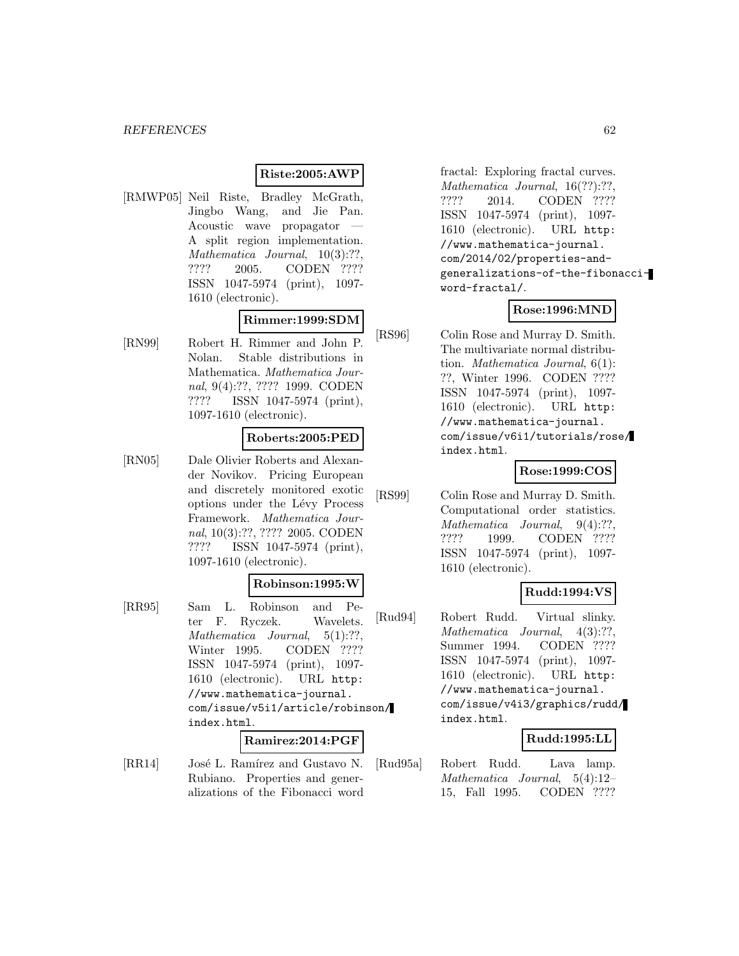### **Riste:2005:AWP**

[RMWP05] Neil Riste, Bradley McGrath, Jingbo Wang, and Jie Pan. Acoustic wave propagator A split region implementation. Mathematica Journal,  $10(3)$ :??, ???? 2005. CODEN ???? ISSN 1047-5974 (print), 1097- 1610 (electronic).

#### **Rimmer:1999:SDM**

[RN99] Robert H. Rimmer and John P. Nolan. Stable distributions in Mathematica. Mathematica Journal, 9(4):??, ???? 1999. CODEN ???? ISSN 1047-5974 (print), 1097-1610 (electronic).

#### **Roberts:2005:PED**

[RN05] Dale Olivier Roberts and Alexander Novikov. Pricing European and discretely monitored exotic options under the Lévy Process Framework. Mathematica Journal, 10(3):??, ???? 2005. CODEN ???? ISSN 1047-5974 (print), 1097-1610 (electronic).

#### **Robinson:1995:W**

[RR95] Sam L. Robinson and Peter F. Ryczek. Wavelets. Mathematica Journal, 5(1):??, Winter 1995. CODEN ???? ISSN 1047-5974 (print), 1097- 1610 (electronic). URL http: //www.mathematica-journal. com/issue/v5i1/article/robinson/ index.html.

#### **Ramirez:2014:PGF**

[RR14] José L. Ramírez and Gustavo N. Rubiano. Properties and generalizations of the Fibonacci word

fractal: Exploring fractal curves. Mathematica Journal, 16(??):??, ???? 2014. CODEN ???? ISSN 1047-5974 (print), 1097- 1610 (electronic). URL http: //www.mathematica-journal. com/2014/02/properties-andgeneralizations-of-the-fibonacciword-fractal/.

#### **Rose:1996:MND**

[RS96] Colin Rose and Murray D. Smith. The multivariate normal distribution. Mathematica Journal, 6(1): ??, Winter 1996. CODEN ???? ISSN 1047-5974 (print), 1097- 1610 (electronic). URL http: //www.mathematica-journal. com/issue/v6i1/tutorials/rose/ index.html.

#### **Rose:1999:COS**

[RS99] Colin Rose and Murray D. Smith. Computational order statistics. Mathematica Journal, 9(4):??, ???? 1999. CODEN ???? ISSN 1047-5974 (print), 1097- 1610 (electronic).

#### **Rudd:1994:VS**

[Rud94] Robert Rudd. Virtual slinky. Mathematica Journal, 4(3):??, Summer 1994. CODEN ???? ISSN 1047-5974 (print), 1097- 1610 (electronic). URL http: //www.mathematica-journal. com/issue/v4i3/graphics/rudd/ index.html.

#### **Rudd:1995:LL**

[Rud95a] Robert Rudd. Lava lamp. Mathematica Journal, 5(4):12– 15, Fall 1995. CODEN ????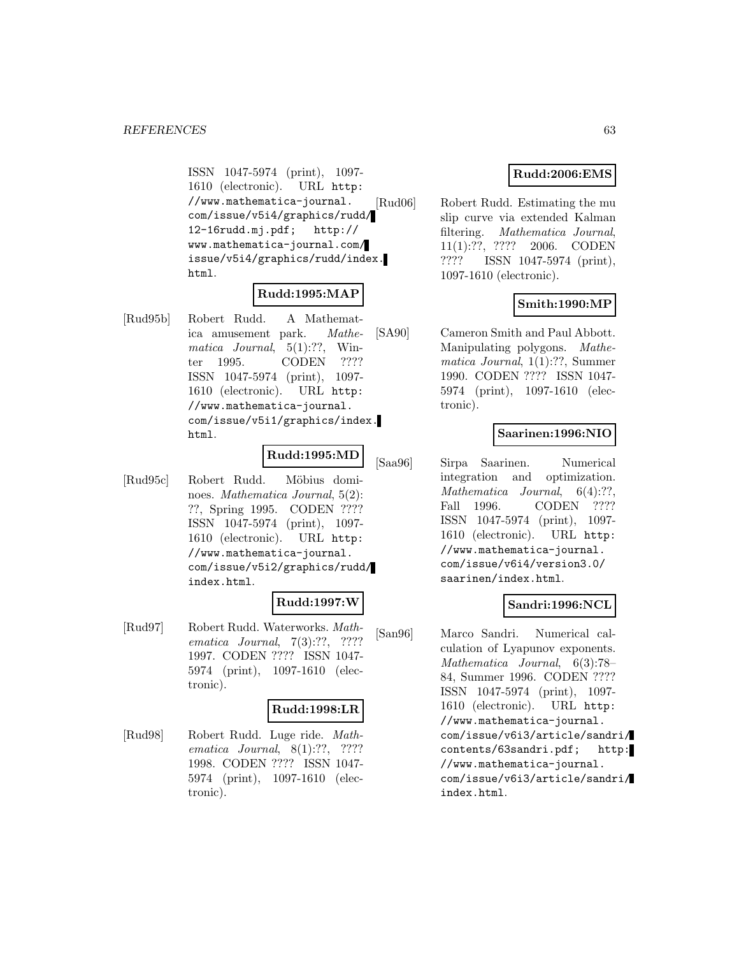ISSN 1047-5974 (print), 1097- 1610 (electronic). URL http: //www.mathematica-journal. com/issue/v5i4/graphics/rudd/ 12-16rudd.mj.pdf; http:// www.mathematica-journal.com/ issue/v5i4/graphics/rudd/index. html.

## **Rudd:1995:MAP**

[Rud95b] Robert Rudd. A Mathematica amusement park. Mathematica Journal,  $5(1)$ :??, Winter 1995. CODEN ???? ISSN 1047-5974 (print), 1097- 1610 (electronic). URL http: //www.mathematica-journal. com/issue/v5i1/graphics/index. html.

### **Rudd:1995:MD**

[Rud95c] Robert Rudd. Möbius dominoes. Mathematica Journal, 5(2): ??, Spring 1995. CODEN ???? ISSN 1047-5974 (print), 1097- 1610 (electronic). URL http: //www.mathematica-journal. com/issue/v5i2/graphics/rudd/ index.html.

#### **Rudd:1997:W**

[Rud97] Robert Rudd. Waterworks. Mathematica Journal, 7(3):??, ???? 1997. CODEN ???? ISSN 1047- 5974 (print), 1097-1610 (electronic).

### **Rudd:1998:LR**

[Rud98] Robert Rudd. Luge ride. Mathematica Journal, 8(1):??, ???? 1998. CODEN ???? ISSN 1047- 5974 (print), 1097-1610 (electronic).

### **Rudd:2006:EMS**

[Rud06] Robert Rudd. Estimating the mu slip curve via extended Kalman filtering. Mathematica Journal, 11(1):??, ???? 2006. CODEN ???? ISSN 1047-5974 (print), 1097-1610 (electronic).

### **Smith:1990:MP**

[SA90] Cameron Smith and Paul Abbott. Manipulating polygons. Mathematica Journal, 1(1):??, Summer 1990. CODEN ???? ISSN 1047- 5974 (print), 1097-1610 (electronic).

### **Saarinen:1996:NIO**

[Saa96] Sirpa Saarinen. Numerical integration and optimization. Mathematica Journal, 6(4):??, Fall 1996. CODEN ???? ISSN 1047-5974 (print), 1097- 1610 (electronic). URL http: //www.mathematica-journal. com/issue/v6i4/version3.0/ saarinen/index.html.

### **Sandri:1996:NCL**

[San96] Marco Sandri. Numerical calculation of Lyapunov exponents. Mathematica Journal, 6(3):78– 84, Summer 1996. CODEN ???? ISSN 1047-5974 (print), 1097- 1610 (electronic). URL http: //www.mathematica-journal. com/issue/v6i3/article/sandri/ contents/63sandri.pdf; http: //www.mathematica-journal. com/issue/v6i3/article/sandri/ index.html.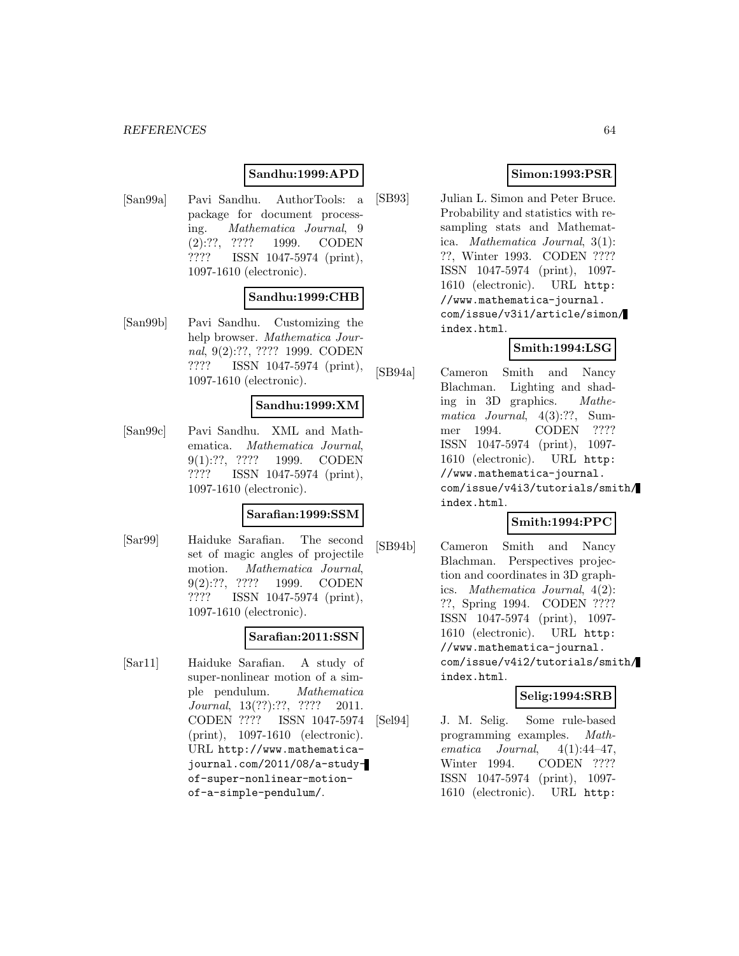#### *REFERENCES* 64

### **Sandhu:1999:APD**

[San99a] Pavi Sandhu. AuthorTools: a package for document processing. Mathematica Journal, 9 (2):??, ???? 1999. CODEN ???? ISSN 1047-5974 (print), 1097-1610 (electronic).

#### **Sandhu:1999:CHB**

[San99b] Pavi Sandhu. Customizing the help browser. Mathematica Journal, 9(2):??, ???? 1999. CODEN ???? ISSN 1047-5974 (print), 1097-1610 (electronic).

#### **Sandhu:1999:XM**

[San99c] Pavi Sandhu. XML and Mathematica. Mathematica Journal, 9(1):??, ???? 1999. CODEN ???? ISSN 1047-5974 (print), 1097-1610 (electronic).

#### **Sarafian:1999:SSM**

[Sar99] Haiduke Sarafian. The second set of magic angles of projectile motion. Mathematica Journal, 9(2):??, ???? 1999. CODEN ???? ISSN 1047-5974 (print), 1097-1610 (electronic).

#### **Sarafian:2011:SSN**

[Sar11] Haiduke Sarafian. A study of super-nonlinear motion of a simple pendulum. Mathematica Journal, 13(??):??, ???? 2011. CODEN ???? ISSN 1047-5974 (print), 1097-1610 (electronic). URL http://www.mathematicajournal.com/2011/08/a-studyof-super-nonlinear-motionof-a-simple-pendulum/.

### **Simon:1993:PSR**

[SB93] Julian L. Simon and Peter Bruce. Probability and statistics with resampling stats and Mathematica. Mathematica Journal, 3(1): ??, Winter 1993. CODEN ???? ISSN 1047-5974 (print), 1097- 1610 (electronic). URL http: //www.mathematica-journal. com/issue/v3i1/article/simon/ index.html.

### **Smith:1994:LSG**

[SB94a] Cameron Smith and Nancy Blachman. Lighting and shading in 3D graphics. Mathematica Journal, 4(3):??, Summer 1994. CODEN ???? ISSN 1047-5974 (print), 1097- 1610 (electronic). URL http: //www.mathematica-journal. com/issue/v4i3/tutorials/smith/ index.html.

### **Smith:1994:PPC**

[SB94b] Cameron Smith and Nancy Blachman. Perspectives projection and coordinates in 3D graphics. Mathematica Journal, 4(2): ??, Spring 1994. CODEN ???? ISSN 1047-5974 (print), 1097- 1610 (electronic). URL http: //www.mathematica-journal. com/issue/v4i2/tutorials/smith/ index.html.

#### **Selig:1994:SRB**

[Sel94] J. M. Selig. Some rule-based programming examples. Mathematica Journal,  $4(1):44-47$ , Winter 1994. CODEN ???? ISSN 1047-5974 (print), 1097- 1610 (electronic). URL http: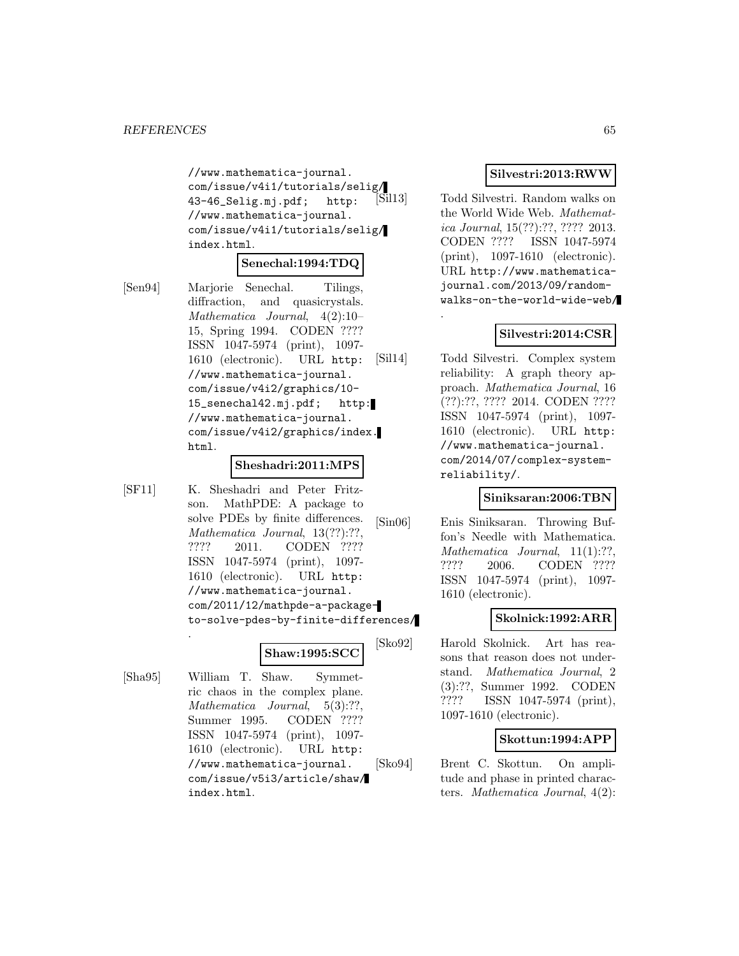//www.mathematica-journal. com/issue/v4i1/tutorials/selig/ 43-46\_Selig.mj.pdf; http: //www.mathematica-journal. com/issue/v4i1/tutorials/selig/ index.html.

#### **Senechal:1994:TDQ**

[Sen94] Marjorie Senechal. Tilings, diffraction, and quasicrystals. Mathematica Journal, 4(2):10– 15, Spring 1994. CODEN ???? ISSN 1047-5974 (print), 1097- 1610 (electronic). URL http: //www.mathematica-journal. com/issue/v4i2/graphics/10- 15\_senechal42.mj.pdf; http: //www.mathematica-journal. com/issue/v4i2/graphics/index. html.

#### **Sheshadri:2011:MPS**

[SF11] K. Sheshadri and Peter Fritzson. MathPDE: A package to solve PDEs by finite differences. Mathematica Journal, 13(??):??, ???? 2011. CODEN ???? ISSN 1047-5974 (print), 1097- 1610 (electronic). URL http: //www.mathematica-journal. com/2011/12/mathpde-a-packageto-solve-pdes-by-finite-differences/ .

#### **Shaw:1995:SCC**

[Sha95] William T. Shaw. Symmetric chaos in the complex plane. Mathematica Journal, 5(3):??, Summer 1995. CODEN ???? ISSN 1047-5974 (print), 1097- 1610 (electronic). URL http: //www.mathematica-journal. com/issue/v5i3/article/shaw/ index.html.

#### **Silvestri:2013:RWW**

[Sil13] Todd Silvestri. Random walks on the World Wide Web. Mathematica Journal, 15(??):??, ???? 2013. CODEN ???? ISSN 1047-5974 (print), 1097-1610 (electronic). URL http://www.mathematicajournal.com/2013/09/randomwalks-on-the-world-wide-web/

.

#### **Silvestri:2014:CSR**

[Sil14] Todd Silvestri. Complex system reliability: A graph theory approach. Mathematica Journal, 16 (??):??, ???? 2014. CODEN ???? ISSN 1047-5974 (print), 1097- 1610 (electronic). URL http: //www.mathematica-journal. com/2014/07/complex-systemreliability/.

#### **Siniksaran:2006:TBN**

[Sin06] Enis Siniksaran. Throwing Buffon's Needle with Mathematica. Mathematica Journal, 11(1):??, ???? 2006. CODEN ???? ISSN 1047-5974 (print), 1097- 1610 (electronic).

#### **Skolnick:1992:ARR**

[Sko92] Harold Skolnick. Art has reasons that reason does not understand. Mathematica Journal, 2 (3):??, Summer 1992. CODEN ???? ISSN 1047-5974 (print), 1097-1610 (electronic).

#### **Skottun:1994:APP**

[Sko94] Brent C. Skottun. On amplitude and phase in printed characters. Mathematica Journal, 4(2):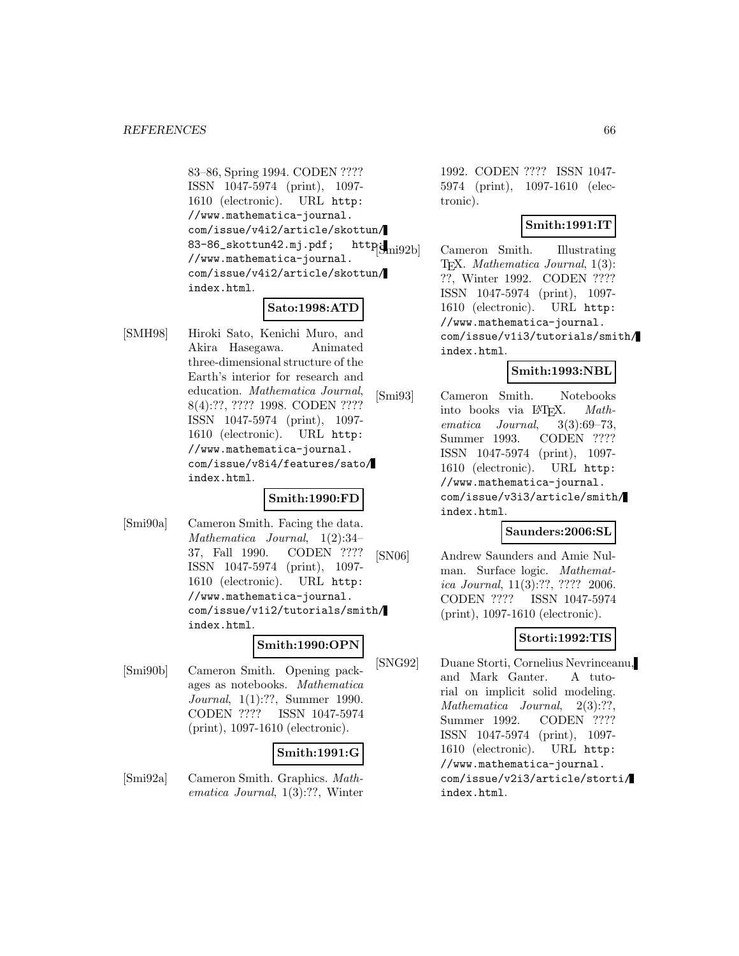83–86, Spring 1994. CODEN ???? ISSN 1047-5974 (print), 1097- 1610 (electronic). URL http: //www.mathematica-journal. com/issue/v4i2/article/skottun/ 83-86\_skottun42.mj.pdf; http://mig2b //www.mathematica-journal. com/issue/v4i2/article/skottun/ index.html.

### **Sato:1998:ATD**

[SMH98] Hiroki Sato, Kenichi Muro, and Akira Hasegawa. Animated three-dimensional structure of the Earth's interior for research and education. Mathematica Journal, 8(4):??, ???? 1998. CODEN ???? ISSN 1047-5974 (print), 1097- 1610 (electronic). URL http: //www.mathematica-journal. com/issue/v8i4/features/sato/ index.html.

## **Smith:1990:FD**

[Smi90a] Cameron Smith. Facing the data. Mathematica Journal, 1(2):34– 37, Fall 1990. CODEN ???? ISSN 1047-5974 (print), 1097- 1610 (electronic). URL http: //www.mathematica-journal. com/issue/v1i2/tutorials/smith/ index.html.

### **Smith:1990:OPN**

[Smi90b] Cameron Smith. Opening packages as notebooks. Mathematica Journal, 1(1):??, Summer 1990. CODEN ???? ISSN 1047-5974 (print), 1097-1610 (electronic).

### **Smith:1991:G**

[Smi92a] Cameron Smith. Graphics. Mathematica Journal, 1(3):??, Winter 1992. CODEN ???? ISSN 1047- 5974 (print), 1097-1610 (electronic).

#### **Smith:1991:IT**

Cameron Smith. Illustrating TEX. Mathematica Journal, 1(3): ??, Winter 1992. CODEN ???? ISSN 1047-5974 (print), 1097- 1610 (electronic). URL http: //www.mathematica-journal. com/issue/v1i3/tutorials/smith/ index.html.

### **Smith:1993:NBL**

[Smi93] Cameron Smith. Notebooks into books via IATEX. Math-<br>ematica Journal, 3(3):69–73,  $3(3):69-73$ Summer 1993. CODEN ???? ISSN 1047-5974 (print), 1097- 1610 (electronic). URL http: //www.mathematica-journal. com/issue/v3i3/article/smith/ index.html.

#### **Saunders:2006:SL**

[SN06] Andrew Saunders and Amie Nulman. Surface logic. Mathematica Journal, 11(3):??, ???? 2006. CODEN ???? ISSN 1047-5974 (print), 1097-1610 (electronic).

## **Storti:1992:TIS**

[SNG92] Duane Storti, Cornelius Nevrinceanu, and Mark Ganter. A tutorial on implicit solid modeling. Mathematica Journal, 2(3):??, Summer 1992. CODEN ???? ISSN 1047-5974 (print), 1097- 1610 (electronic). URL http: //www.mathematica-journal. com/issue/v2i3/article/storti/ index.html.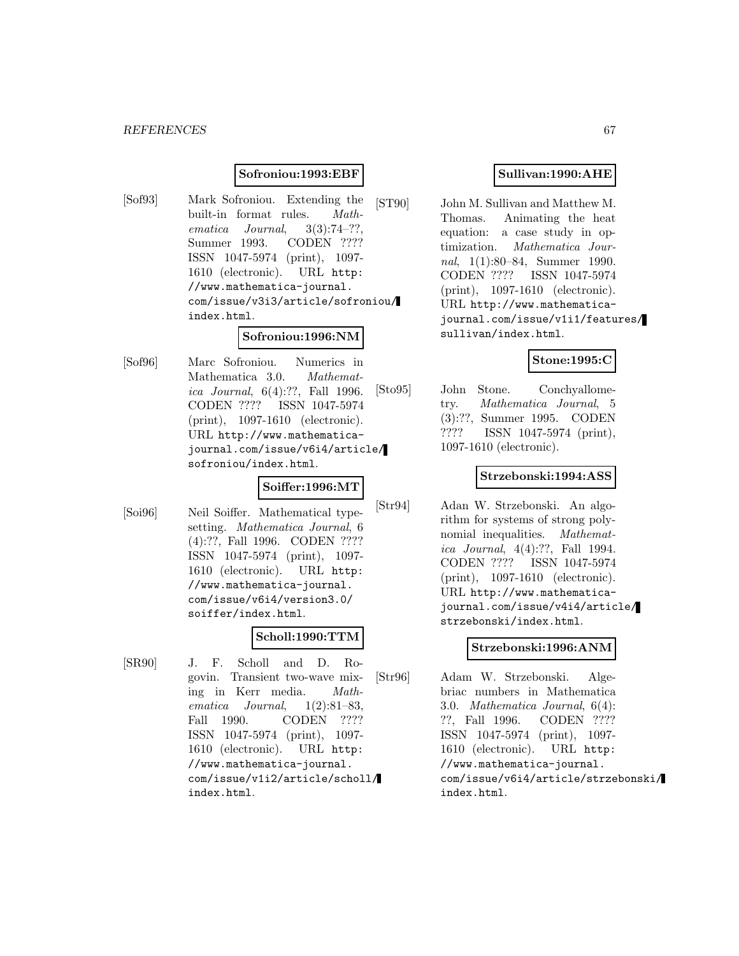#### **Sofroniou:1993:EBF**

[Sof93] Mark Sofroniou. Extending the built-in format rules. Mathematica Journal,  $3(3):74-??$ Summer 1993. CODEN ???? ISSN 1047-5974 (print), 1097- 1610 (electronic). URL http: //www.mathematica-journal. com/issue/v3i3/article/sofroniou/ index.html.

#### **Sofroniou:1996:NM**

[Sof96] Marc Sofroniou. Numerics in Mathematica 3.0. Mathematica Journal, 6(4):??, Fall 1996. CODEN ???? ISSN 1047-5974 (print), 1097-1610 (electronic). URL http://www.mathematicajournal.com/issue/v6i4/article/ sofroniou/index.html.

#### **Soiffer:1996:MT**

[Soi96] Neil Soiffer. Mathematical typesetting. Mathematica Journal, 6 (4):??, Fall 1996. CODEN ???? ISSN 1047-5974 (print), 1097- 1610 (electronic). URL http: //www.mathematica-journal. com/issue/v6i4/version3.0/ soiffer/index.html.

### **Scholl:1990:TTM**

[SR90] J. F. Scholl and D. Rogovin. Transient two-wave mixing in Kerr media. Mathematica Journal, 1(2):81–83, Fall 1990. CODEN ???? ISSN 1047-5974 (print), 1097- 1610 (electronic). URL http: //www.mathematica-journal. com/issue/v1i2/article/scholl/ index.html.

#### **Sullivan:1990:AHE**

[ST90] John M. Sullivan and Matthew M. Thomas. Animating the heat equation: a case study in optimization. Mathematica Journal, 1(1):80–84, Summer 1990. CODEN ???? ISSN 1047-5974 (print), 1097-1610 (electronic). URL http://www.mathematicajournal.com/issue/v1i1/features/ sullivan/index.html.

### **Stone:1995:C**

[Sto95] John Stone. Conchyallometry. Mathematica Journal, 5 (3):??, Summer 1995. CODEN ???? ISSN 1047-5974 (print), 1097-1610 (electronic).

#### **Strzebonski:1994:ASS**

[Str94] Adan W. Strzebonski. An algorithm for systems of strong polynomial inequalities. *Mathemat*ica Journal, 4(4):??, Fall 1994. CODEN ???? ISSN 1047-5974 (print), 1097-1610 (electronic). URL http://www.mathematicajournal.com/issue/v4i4/article/ strzebonski/index.html.

#### **Strzebonski:1996:ANM**

[Str96] Adam W. Strzebonski. Algebriac numbers in Mathematica 3.0. Mathematica Journal, 6(4): ??, Fall 1996. CODEN ???? ISSN 1047-5974 (print), 1097- 1610 (electronic). URL http: //www.mathematica-journal. com/issue/v6i4/article/strzebonski/ index.html.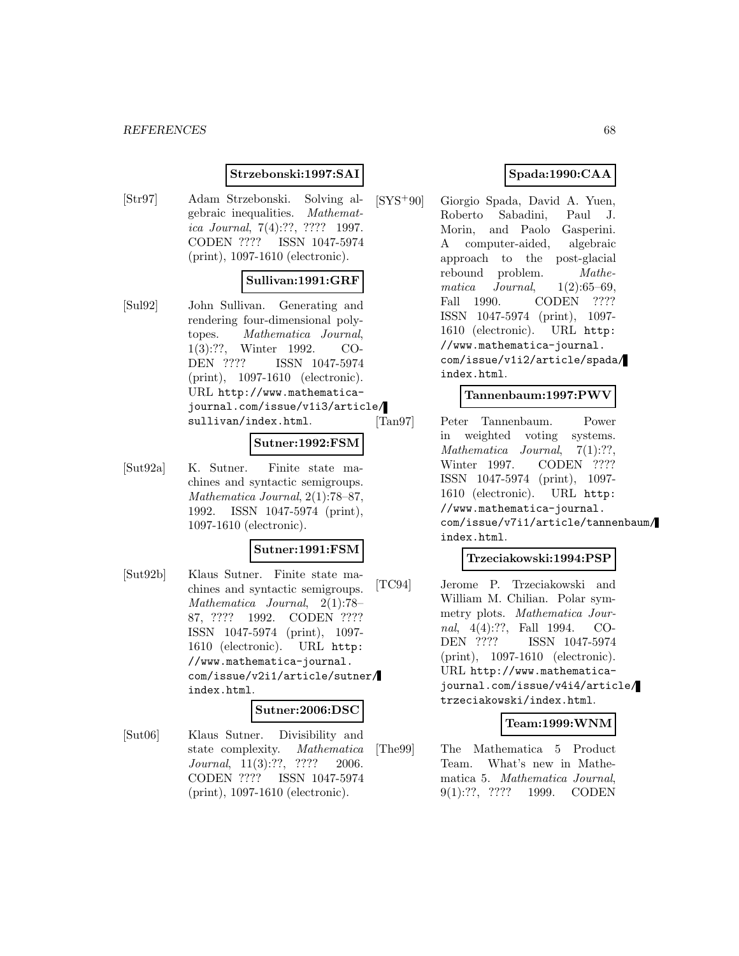#### *REFERENCES* 68

### **Strzebonski:1997:SAI**

[Str97] Adam Strzebonski. Solving algebraic inequalities. Mathematica Journal, 7(4):??, ???? 1997. CODEN ???? ISSN 1047-5974 (print), 1097-1610 (electronic).

#### **Sullivan:1991:GRF**

[Sul92] John Sullivan. Generating and rendering four-dimensional polytopes. Mathematica Journal, 1(3):??, Winter 1992. CO-DEN ???? ISSN 1047-5974 (print), 1097-1610 (electronic). URL http://www.mathematicajournal.com/issue/v1i3/article/ sullivan/index.html.

#### **Sutner:1992:FSM**

[Sut92a] K. Sutner. Finite state machines and syntactic semigroups. Mathematica Journal, 2(1):78–87, 1992. ISSN 1047-5974 (print), 1097-1610 (electronic).

#### **Sutner:1991:FSM**

[Sut92b] Klaus Sutner. Finite state machines and syntactic semigroups. Mathematica Journal, 2(1):78– 87, ???? 1992. CODEN ???? ISSN 1047-5974 (print), 1097- 1610 (electronic). URL http: //www.mathematica-journal. com/issue/v2i1/article/sutner/ index.html.

#### **Sutner:2006:DSC**

[Sut06] Klaus Sutner. Divisibility and state complexity. Mathematica Journal, 11(3):??, ???? 2006. CODEN ???? ISSN 1047-5974 (print), 1097-1610 (electronic).

### **Spada:1990:CAA**

[SYS<sup>+</sup>90] Giorgio Spada, David A. Yuen, Roberto Sabadini, Paul J. Morin, and Paolo Gasperini. A computer-aided, algebraic approach to the post-glacial rebound problem. Mathematica Journal,  $1(2):65-69$ , Fall 1990. CODEN ???? ISSN 1047-5974 (print), 1097- 1610 (electronic). URL http: //www.mathematica-journal. com/issue/v1i2/article/spada/ index.html.

#### **Tannenbaum:1997:PWV**

[Tan97] Peter Tannenbaum. Power in weighted voting systems. Mathematica Journal, 7(1):??, Winter 1997. CODEN ???? ISSN 1047-5974 (print), 1097- 1610 (electronic). URL http: //www.mathematica-journal. com/issue/v7i1/article/tannenbaum/ index.html.

#### **Trzeciakowski:1994:PSP**

[TC94] Jerome P. Trzeciakowski and William M. Chilian. Polar symmetry plots. Mathematica Journal, 4(4):??, Fall 1994. CO-DEN ???? ISSN 1047-5974 (print), 1097-1610 (electronic). URL http://www.mathematicajournal.com/issue/v4i4/article/ trzeciakowski/index.html.

#### **Team:1999:WNM**

[The99] The Mathematica 5 Product Team. What's new in Mathematica 5. Mathematica Journal, 9(1):??, ???? 1999. CODEN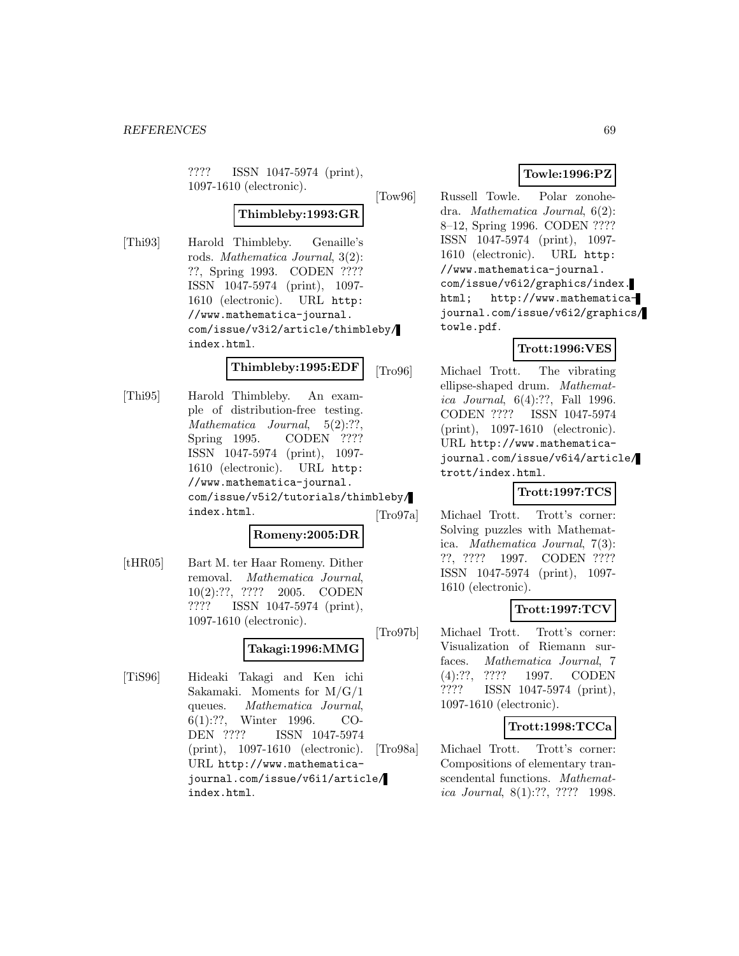???? ISSN 1047-5974 (print), 1097-1610 (electronic).

### **Thimbleby:1993:GR**

[Thi93] Harold Thimbleby. Genaille's rods. Mathematica Journal, 3(2): ??, Spring 1993. CODEN ???? ISSN 1047-5974 (print), 1097- 1610 (electronic). URL http: //www.mathematica-journal. com/issue/v3i2/article/thimbleby/ index.html.

#### **Thimbleby:1995:EDF**

[Thi95] Harold Thimbleby. An example of distribution-free testing. Mathematica Journal, 5(2):??, Spring 1995. CODEN ???? ISSN 1047-5974 (print), 1097- 1610 (electronic). URL http: //www.mathematica-journal. com/issue/v5i2/tutorials/thimbleby/ index.html.

# **Romeny:2005:DR**

[tHR05] Bart M. ter Haar Romeny. Dither removal. Mathematica Journal, 10(2):??, ???? 2005. CODEN ???? ISSN 1047-5974 (print),

1097-1610 (electronic).

# **Takagi:1996:MMG**

[TiS96] Hideaki Takagi and Ken ichi Sakamaki. Moments for M/G/1 queues. Mathematica Journal, 6(1):??, Winter 1996. CO-DEN ???? ISSN 1047-5974 (print), 1097-1610 (electronic). URL http://www.mathematicajournal.com/issue/v6i1/article/ index.html.

### **Towle:1996:PZ**

[Tow96] Russell Towle. Polar zonohedra. Mathematica Journal, 6(2): 8–12, Spring 1996. CODEN ???? ISSN 1047-5974 (print), 1097- 1610 (electronic). URL http: //www.mathematica-journal. com/issue/v6i2/graphics/index. html; http://www.mathematicajournal.com/issue/v6i2/graphics/ towle.pdf.

### **Trott:1996:VES**

[Tro96] Michael Trott. The vibrating ellipse-shaped drum. Mathematica Journal, 6(4):??, Fall 1996. CODEN ???? ISSN 1047-5974 (print), 1097-1610 (electronic). URL http://www.mathematicajournal.com/issue/v6i4/article/ trott/index.html.

### **Trott:1997:TCS**

[Tro97a] Michael Trott. Trott's corner: Solving puzzles with Mathematica. Mathematica Journal, 7(3): ??, ???? 1997. CODEN ???? ISSN 1047-5974 (print), 1097- 1610 (electronic).

### **Trott:1997:TCV**

[Tro97b] Michael Trott. Trott's corner: Visualization of Riemann surfaces. Mathematica Journal, 7 (4):??, ???? 1997. CODEN ???? ISSN 1047-5974 (print), 1097-1610 (electronic).

### **Trott:1998:TCCa**

[Tro98a] Michael Trott. Trott's corner: Compositions of elementary transcendental functions. Mathematica Journal, 8(1):??, ???? 1998.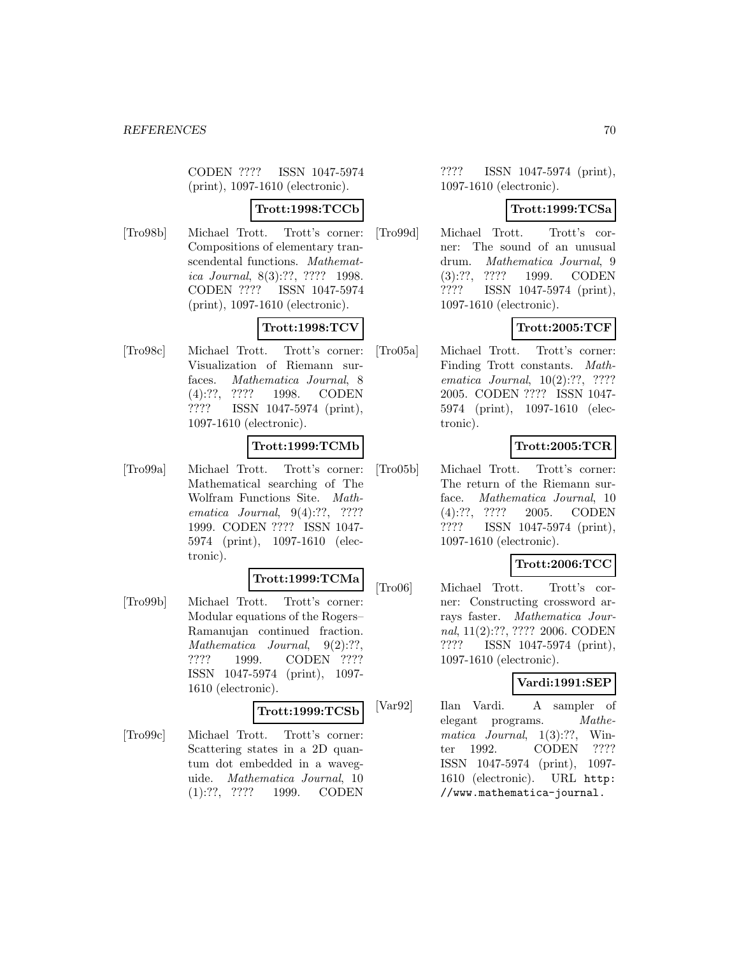CODEN ???? ISSN 1047-5974 (print), 1097-1610 (electronic).

### **Trott:1998:TCCb**

[Tro98b] Michael Trott. Trott's corner: Compositions of elementary transcendental functions. Mathematica Journal, 8(3):??, ???? 1998. CODEN ???? ISSN 1047-5974 (print), 1097-1610 (electronic).

## **Trott:1998:TCV**

[Tro98c] Michael Trott. Trott's corner: Visualization of Riemann surfaces. Mathematica Journal, 8 (4):??, ???? 1998. CODEN ???? ISSN 1047-5974 (print), 1097-1610 (electronic).

### **Trott:1999:TCMb**

[Tro99a] Michael Trott. Trott's corner: Mathematical searching of The Wolfram Functions Site. Mathematica Journal, 9(4):??, ???? 1999. CODEN ???? ISSN 1047- 5974 (print), 1097-1610 (electronic).

## **Trott:1999:TCMa**

[Tro99b] Michael Trott. Trott's corner: Modular equations of the Rogers– Ramanujan continued fraction. Mathematica Journal, 9(2):??, ???? 1999. CODEN ???? ISSN 1047-5974 (print), 1097- 1610 (electronic).

## **Trott:1999:TCSb**

[Tro99c] Michael Trott. Trott's corner: Scattering states in a 2D quantum dot embedded in a waveguide. Mathematica Journal, 10 (1):??, ???? 1999. CODEN

???? ISSN 1047-5974 (print), 1097-1610 (electronic).

#### **Trott:1999:TCSa**

[Tro99d] Michael Trott. Trott's corner: The sound of an unusual drum. Mathematica Journal, 9 (3):??, ???? 1999. CODEN ???? ISSN 1047-5974 (print), 1097-1610 (electronic).

### **Trott:2005:TCF**

[Tro05a] Michael Trott. Trott's corner: Finding Trott constants. Mathematica Journal, 10(2):??, ???? 2005. CODEN ???? ISSN 1047- 5974 (print), 1097-1610 (electronic).

### **Trott:2005:TCR**

[Tro05b] Michael Trott. Trott's corner: The return of the Riemann surface. Mathematica Journal, 10 (4):??, ???? 2005. CODEN ???? ISSN 1047-5974 (print), 1097-1610 (electronic).

### **Trott:2006:TCC**

[Tro06] Michael Trott. Trott's corner: Constructing crossword arrays faster. Mathematica Journal, 11(2):??, ???? 2006. CODEN ???? ISSN 1047-5974 (print), 1097-1610 (electronic).

### **Vardi:1991:SEP**

[Var92] Ilan Vardi. A sampler of elegant programs. Mathematica Journal, 1(3):??, Winter 1992. CODEN ???? ISSN 1047-5974 (print), 1097- 1610 (electronic). URL http: //www.mathematica-journal.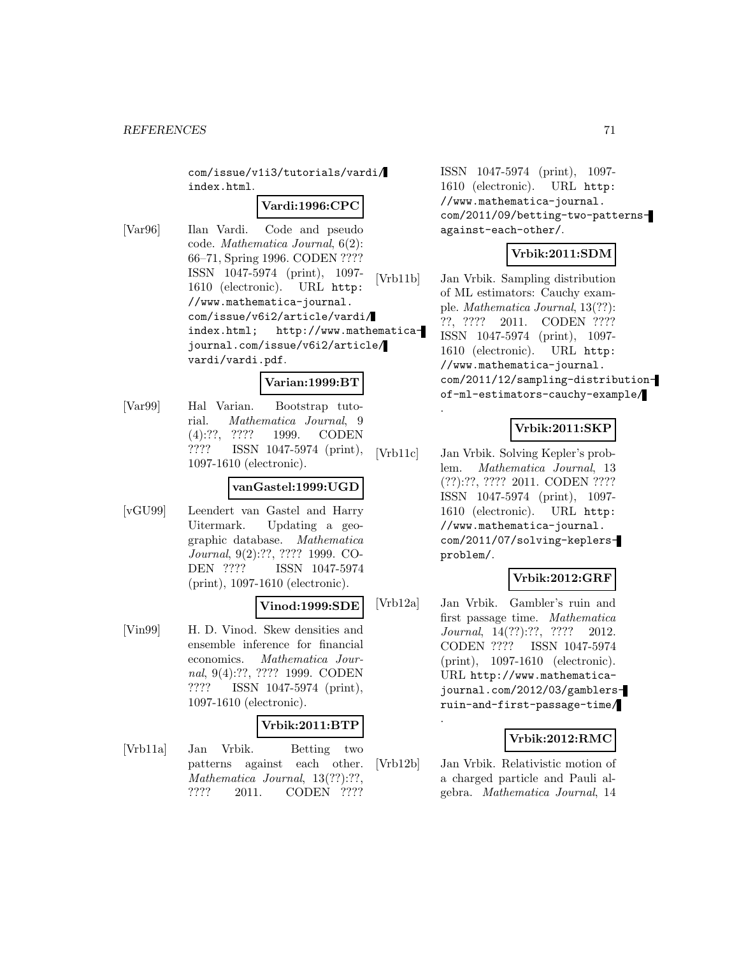com/issue/v1i3/tutorials/vardi/ index.html.

#### **Vardi:1996:CPC**

[Var96] Ilan Vardi. Code and pseudo code. Mathematica Journal, 6(2): 66–71, Spring 1996. CODEN ???? ISSN 1047-5974 (print), 1097- 1610 (electronic). URL http: //www.mathematica-journal. com/issue/v6i2/article/vardi/ index.html; http://www.mathematicajournal.com/issue/v6i2/article/ vardi/vardi.pdf.

#### **Varian:1999:BT**

[Var99] Hal Varian. Bootstrap tutorial. Mathematica Journal, 9 (4):??, ???? 1999. CODEN ???? ISSN 1047-5974 (print), 1097-1610 (electronic).

#### **vanGastel:1999:UGD**

[vGU99] Leendert van Gastel and Harry Uitermark. Updating a geographic database. Mathematica Journal, 9(2):??, ???? 1999. CO-DEN ???? ISSN 1047-5974 (print), 1097-1610 (electronic).

### **Vinod:1999:SDE**

[Vin99] H. D. Vinod. Skew densities and ensemble inference for financial economics. Mathematica Journal, 9(4):??, ???? 1999. CODEN ???? ISSN 1047-5974 (print), 1097-1610 (electronic).

### **Vrbik:2011:BTP**

[Vrb11a] Jan Vrbik. Betting two patterns against each other. Mathematica Journal, 13(??):??, ???? 2011. CODEN ????

ISSN 1047-5974 (print), 1097- 1610 (electronic). URL http: //www.mathematica-journal. com/2011/09/betting-two-patternsagainst-each-other/.

### **Vrbik:2011:SDM**

[Vrb11b] Jan Vrbik. Sampling distribution of ML estimators: Cauchy example. Mathematica Journal, 13(??): ??, ???? 2011. CODEN ???? ISSN 1047-5974 (print), 1097- 1610 (electronic). URL http: //www.mathematica-journal. com/2011/12/sampling-distributionof-ml-estimators-cauchy-example/

## **Vrbik:2011:SKP**

[Vrb11c] Jan Vrbik. Solving Kepler's problem. Mathematica Journal, 13 (??):??, ???? 2011. CODEN ???? ISSN 1047-5974 (print), 1097- 1610 (electronic). URL http: //www.mathematica-journal. com/2011/07/solving-keplersproblem/.

.

.

### **Vrbik:2012:GRF**

[Vrb12a] Jan Vrbik. Gambler's ruin and first passage time. Mathematica Journal, 14(??):??, ???? 2012. CODEN ???? ISSN 1047-5974 (print), 1097-1610 (electronic). URL http://www.mathematicajournal.com/2012/03/gamblersruin-and-first-passage-time/

### **Vrbik:2012:RMC**

[Vrb12b] Jan Vrbik. Relativistic motion of a charged particle and Pauli algebra. Mathematica Journal, 14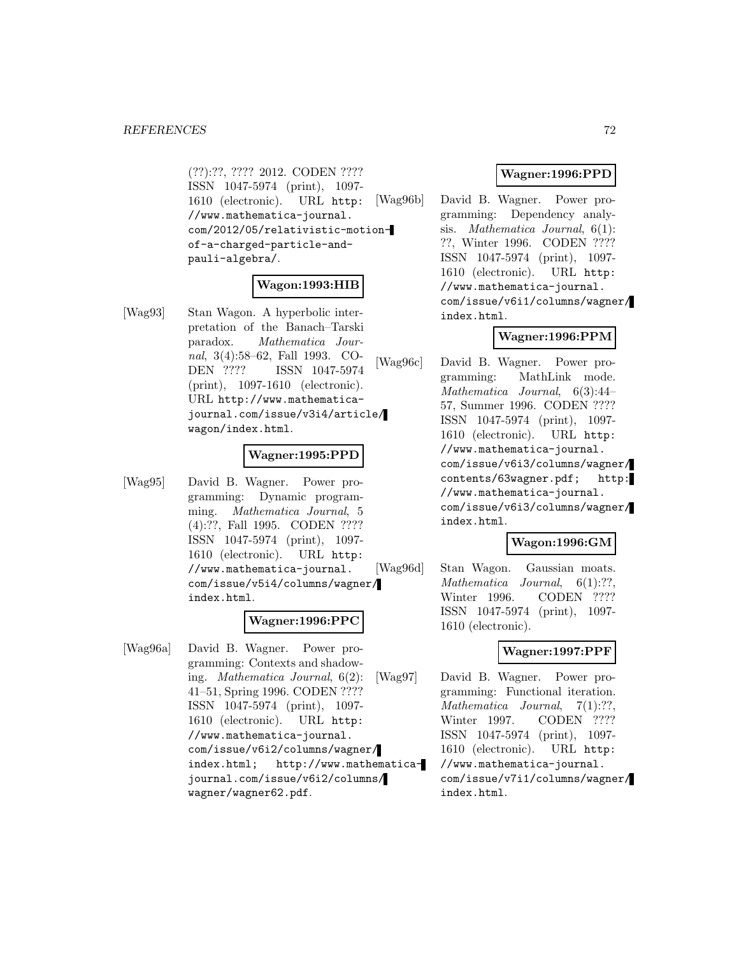(??):??, ???? 2012. CODEN ???? ISSN 1047-5974 (print), 1097- 1610 (electronic). URL http: //www.mathematica-journal. com/2012/05/relativistic-motionof-a-charged-particle-andpauli-algebra/.

#### **Wagon:1993:HIB**

[Wag93] Stan Wagon. A hyperbolic interpretation of the Banach–Tarski paradox. Mathematica Journal, 3(4):58–62, Fall 1993. CO-DEN ???? ISSN 1047-5974 (print), 1097-1610 (electronic). URL http://www.mathematicajournal.com/issue/v3i4/article/ wagon/index.html.

#### **Wagner:1995:PPD**

[Wag95] David B. Wagner. Power programming: Dynamic programming. Mathematica Journal, 5 (4):??, Fall 1995. CODEN ???? ISSN 1047-5974 (print), 1097- 1610 (electronic). URL http: //www.mathematica-journal. com/issue/v5i4/columns/wagner/ index.html.

#### **Wagner:1996:PPC**

[Wag96a] David B. Wagner. Power programming: Contexts and shadowing. Mathematica Journal, 6(2): 41–51, Spring 1996. CODEN ???? ISSN 1047-5974 (print), 1097- 1610 (electronic). URL http: //www.mathematica-journal. com/issue/v6i2/columns/wagner/ index.html; http://www.mathematicajournal.com/issue/v6i2/columns/ wagner/wagner62.pdf.

### **Wagner:1996:PPD**

[Wag96b] David B. Wagner. Power programming: Dependency analysis. Mathematica Journal, 6(1): ??, Winter 1996. CODEN ???? ISSN 1047-5974 (print), 1097- 1610 (electronic). URL http: //www.mathematica-journal. com/issue/v6i1/columns/wagner/ index.html.

### **Wagner:1996:PPM**

[Wag96c] David B. Wagner. Power programming: MathLink mode. Mathematica Journal, 6(3):44– 57, Summer 1996. CODEN ???? ISSN 1047-5974 (print), 1097- 1610 (electronic). URL http: //www.mathematica-journal. com/issue/v6i3/columns/wagner/ contents/63wagner.pdf; http: //www.mathematica-journal. com/issue/v6i3/columns/wagner/ index.html.

#### **Wagon:1996:GM**

[Wag96d] Stan Wagon. Gaussian moats. Mathematica Journal,  $6(1)$ :??, Winter 1996. CODEN ???? ISSN 1047-5974 (print), 1097- 1610 (electronic).

### **Wagner:1997:PPF**

[Wag97] David B. Wagner. Power programming: Functional iteration. Mathematica Journal, 7(1):??, Winter 1997. CODEN ???? ISSN 1047-5974 (print), 1097- 1610 (electronic). URL http: //www.mathematica-journal. com/issue/v7i1/columns/wagner/ index.html.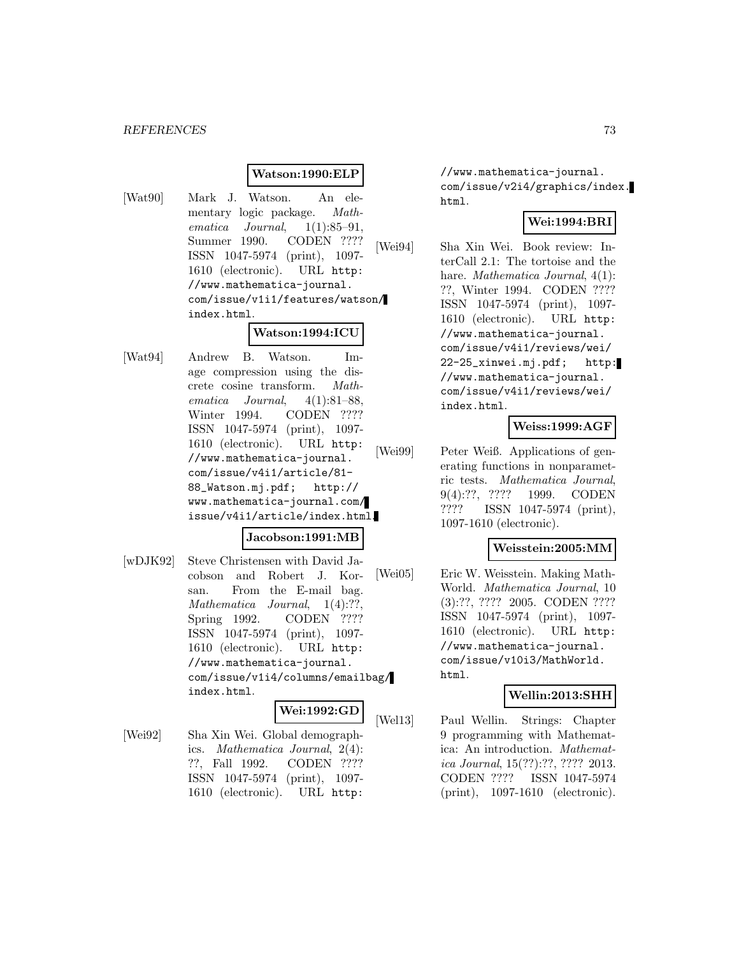# **Watson:1990:ELP**

[Wat90] Mark J. Watson. An elementary logic package. Mathematica Journal, 1(1):85–91, Summer 1990. CODEN ???? ISSN 1047-5974 (print), 1097- 1610 (electronic). URL http: //www.mathematica-journal. com/issue/v1i1/features/watson/ index.html.

# **Watson:1994:ICU**

[Wat94] Andrew B. Watson. Image compression using the discrete cosine transform. Mathematica Journal, 4(1):81–88, Winter 1994. CODEN ???? ISSN 1047-5974 (print), 1097- 1610 (electronic). URL http: //www.mathematica-journal. com/issue/v4i1/article/81- 88\_Watson.mj.pdf; http:// www.mathematica-journal.com/ issue/v4i1/article/index.html.

### **Jacobson:1991:MB**

[wDJK92] Steve Christensen with David Jacobson and Robert J. Korsan. From the E-mail bag. Mathematica Journal, 1(4):??, Spring 1992. CODEN ???? ISSN 1047-5974 (print), 1097- 1610 (electronic). URL http: //www.mathematica-journal. com/issue/v1i4/columns/emailbag/ index.html.

### **Wei:1992:GD**

[Wei92] Sha Xin Wei. Global demographics. Mathematica Journal, 2(4): ??, Fall 1992. CODEN ???? ISSN 1047-5974 (print), 1097- 1610 (electronic). URL http:

//www.mathematica-journal. com/issue/v2i4/graphics/index. html.

# **Wei:1994:BRI**

[Wei94] Sha Xin Wei. Book review: InterCall 2.1: The tortoise and the hare. *Mathematica Journal*,  $4(1)$ : ??, Winter 1994. CODEN ???? ISSN 1047-5974 (print), 1097- 1610 (electronic). URL http: //www.mathematica-journal. com/issue/v4i1/reviews/wei/ 22-25\_xinwei.mj.pdf; http: //www.mathematica-journal. com/issue/v4i1/reviews/wei/ index.html.

# **Weiss:1999:AGF**

[Wei99] Peter Weiß. Applications of generating functions in nonparametric tests. Mathematica Journal, 9(4):??, ???? 1999. CODEN ???? ISSN 1047-5974 (print), 1097-1610 (electronic).

### **Weisstein:2005:MM**

[Wei05] Eric W. Weisstein. Making Math-World. Mathematica Journal, 10 (3):??, ???? 2005. CODEN ???? ISSN 1047-5974 (print), 1097- 1610 (electronic). URL http: //www.mathematica-journal. com/issue/v10i3/MathWorld. html.

#### **Wellin:2013:SHH**

[Wel13] Paul Wellin. Strings: Chapter 9 programming with Mathematica: An introduction. Mathematica Journal, 15(??):??, ???? 2013. CODEN ???? ISSN 1047-5974 (print), 1097-1610 (electronic).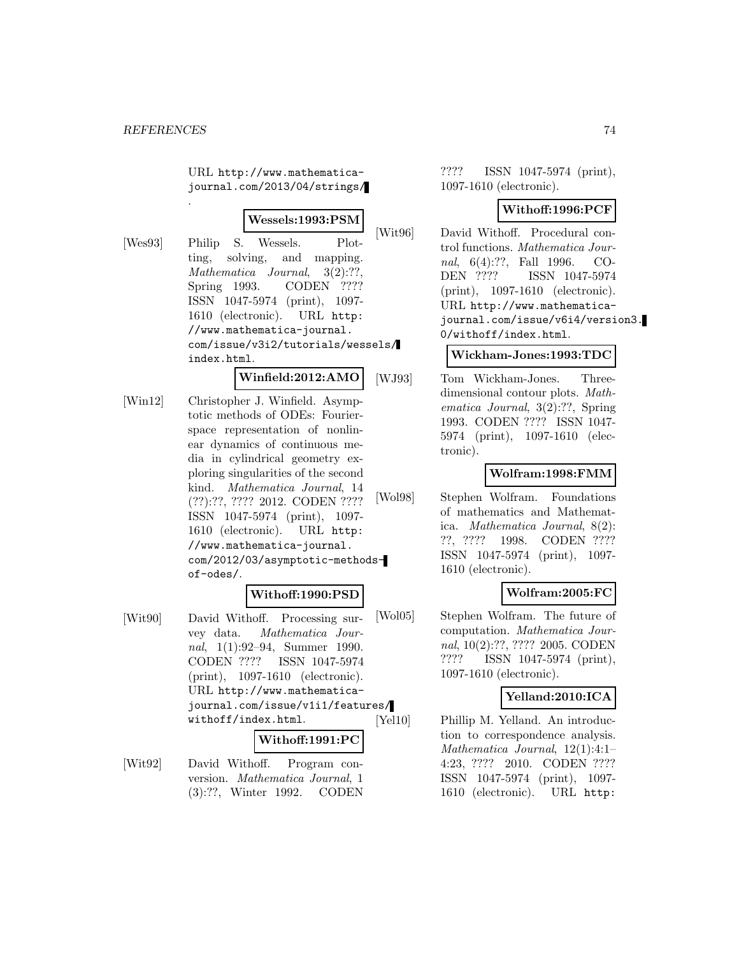.

URL http://www.mathematicajournal.com/2013/04/strings/

#### **Wessels:1993:PSM**

[Wes93] Philip S. Wessels. Plotting, solving, and mapping. Mathematica Journal, 3(2):??, Spring 1993. CODEN ???? ISSN 1047-5974 (print), 1097- 1610 (electronic). URL http: //www.mathematica-journal. com/issue/v3i2/tutorials/wessels/ index.html.

**Winfield:2012:AMO**

[Win12] Christopher J. Winfield. Asymptotic methods of ODEs: Fourierspace representation of nonlinear dynamics of continuous media in cylindrical geometry exploring singularities of the second kind. Mathematica Journal, 14 (??):??, ???? 2012. CODEN ???? ISSN 1047-5974 (print), 1097- 1610 (electronic). URL http: //www.mathematica-journal. com/2012/03/asymptotic-methodsof-odes/.

# **Withoff:1990:PSD**

[Wit90] David Withoff. Processing survey data. Mathematica Journal, 1(1):92–94, Summer 1990. CODEN ???? ISSN 1047-5974 (print), 1097-1610 (electronic). URL http://www.mathematicajournal.com/issue/v1i1/features/ withoff/index.html.

#### **Withoff:1991:PC**

[Wit92] David Withoff. Program conversion. Mathematica Journal, 1 (3):??, Winter 1992. CODEN

???? ISSN 1047-5974 (print), 1097-1610 (electronic).

## **Withoff:1996:PCF**

[Wit96] David Withoff. Procedural control functions. Mathematica Journal, 6(4):??, Fall 1996. CO-DEN ???? ISSN 1047-5974 (print), 1097-1610 (electronic). URL http://www.mathematicajournal.com/issue/v6i4/version3. 0/withoff/index.html.

### **Wickham-Jones:1993:TDC**

[WJ93] Tom Wickham-Jones. Threedimensional contour plots. Mathematica Journal, 3(2):??, Spring 1993. CODEN ???? ISSN 1047- 5974 (print), 1097-1610 (electronic).

# **Wolfram:1998:FMM**

[Wol98] Stephen Wolfram. Foundations of mathematics and Mathematica. Mathematica Journal, 8(2): ??, ???? 1998. CODEN ???? ISSN 1047-5974 (print), 1097- 1610 (electronic).

# **Wolfram:2005:FC**

[Wol05] Stephen Wolfram. The future of computation. Mathematica Journal, 10(2):??, ???? 2005. CODEN ???? ISSN 1047-5974 (print), 1097-1610 (electronic).

# **Yelland:2010:ICA**

[Yel10] Phillip M. Yelland. An introduction to correspondence analysis. Mathematica Journal, 12(1):4:1– 4:23, ???? 2010. CODEN ???? ISSN 1047-5974 (print), 1097- 1610 (electronic). URL http: